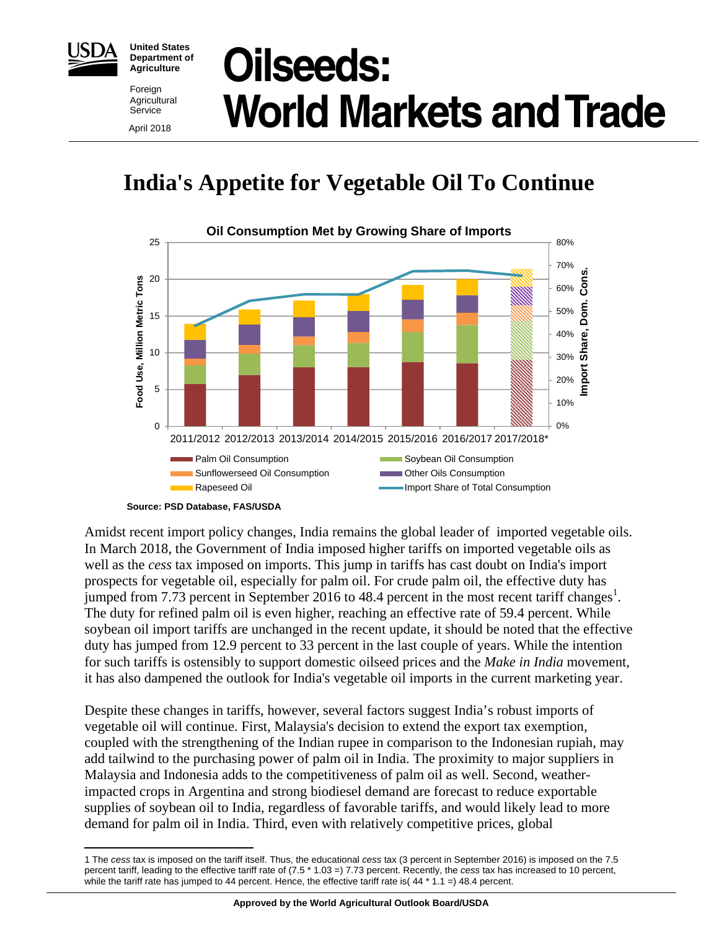

**United States Department of Agriculture** 

Foreign **Agricultural** Service April 2018

# **Oilseeds: World Markets and Trade**

## **India's Appetite for Vegetable Oil To Continue**



**Source: PSD Database, FAS/USDA** 

Amidst recent import policy changes, India remains the global leader of imported vegetable oils. In March 2018, the Government of India imposed higher tariffs on imported vegetable oils as well as the *cess* tax imposed on imports. This jump in tariffs has cast doubt on India's import prospects for vegetable oil, especially for palm oil. For crude palm oil, the effective duty has jumped from 7.73 percent in September 2016 to 48.4 percent in the most recent tariff changes<sup>1</sup>. The duty for refined palm oil is even higher, reaching an effective rate of 59.4 percent. While soybean oil import tariffs are unchanged in the recent update, it should be noted that the effective duty has jumped from 12.9 percent to 33 percent in the last couple of years. While the intention for such tariffs is ostensibly to support domestic oilseed prices and the *Make in India* movement, it has also dampened the outlook for India's vegetable oil imports in the current marketing year.

Despite these changes in tariffs, however, several factors suggest India's robust imports of vegetable oil will continue. First, Malaysia's decision to extend the export tax exemption, coupled with the strengthening of the Indian rupee in comparison to the Indonesian rupiah, may add tailwind to the purchasing power of palm oil in India. The proximity to major suppliers in Malaysia and Indonesia adds to the competitiveness of palm oil as well. Second, weatherimpacted crops in Argentina and strong biodiesel demand are forecast to reduce exportable supplies of soybean oil to India, regardless of favorable tariffs, and would likely lead to more demand for palm oil in India. Third, even with relatively competitive prices, global

<sup>1</sup> 1 The *cess* tax is imposed on the tariff itself. Thus, the educational *cess* tax (3 percent in September 2016) is imposed on the 7.5 percent tariff, leading to the effective tariff rate of (7.5 \* 1.03 =) 7.73 percent. Recently, the *cess* tax has increased to 10 percent, while the tariff rate has jumped to 44 percent. Hence, the effective tariff rate is( 44  $*$  1.1 =) 48.4 percent.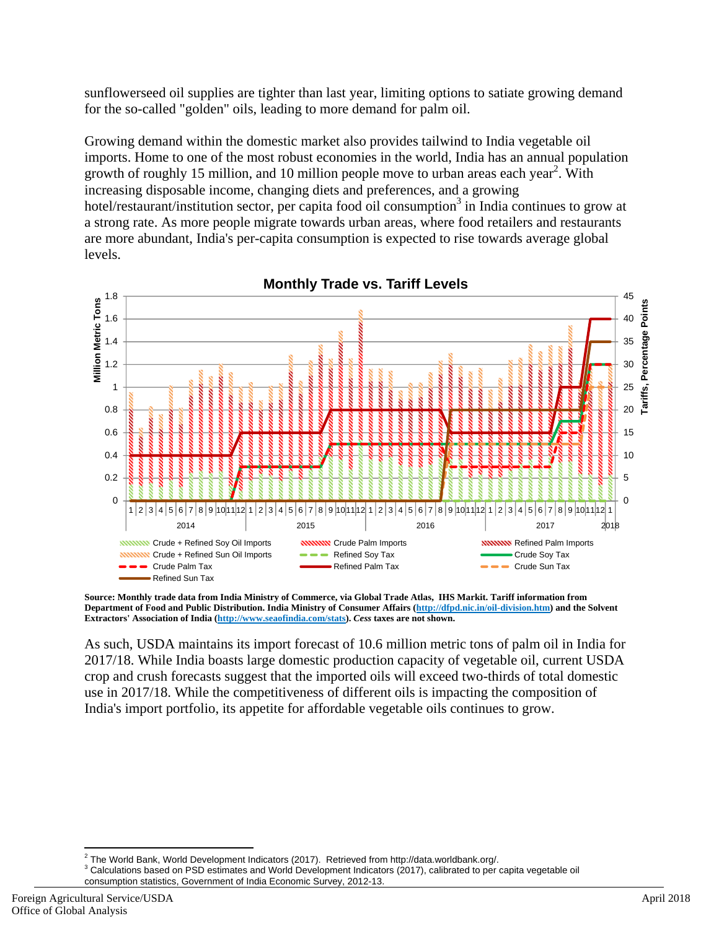sunflowerseed oil supplies are tighter than last year, limiting options to satiate growing demand for the so-called "golden" oils, leading to more demand for palm oil.

Growing demand within the domestic market also provides tailwind to India vegetable oil imports. Home to one of the most robust economies in the world, India has an annual population growth of roughly 15 million, and 10 million people move to urban areas each year<sup>2</sup>. With increasing disposable income, changing diets and preferences, and a growing hotel/restaurant/institution sector, per capita food oil consumption<sup>3</sup> in India continues to grow at a strong rate. As more people migrate towards urban areas, where food retailers and restaurants are more abundant, India's per-capita consumption is expected to rise towards average global levels.



**Monthly Trade vs. Tariff Levels**

**Source: Monthly trade data from India Ministry of Commerce, via Global Trade Atlas, IHS Markit. Tariff information from Department of Food and Public Distribution. India Ministry of Consumer Affairs (http://dfpd.nic.in/oil-division.htm) and the Solvent Extractors' Association of India (http://www.seaofindia.com/stats).** *Cess* **taxes are not shown.** 

As such, USDA maintains its import forecast of 10.6 million metric tons of palm oil in India for 2017/18. While India boasts large domestic production capacity of vegetable oil, current USDA crop and crush forecasts suggest that the imported oils will exceed two-thirds of total domestic use in 2017/18. While the competitiveness of different oils is impacting the composition of India's import portfolio, its appetite for affordable vegetable oils continues to grow.

<sup>-&</sup>lt;br><sup>2</sup> The World Bank, World Development Indicators (2017). Retrieved from http://data.worldbank.org/.<br><sup>3</sup> Celevisticas based an DSD estimates and Warld Development Indicators (2017), eslibiated to para

<sup>&</sup>lt;sup>3</sup> Calculations based on PSD estimates and World Development Indicators (2017), calibrated to per capita vegetable oil consumption statistics, Government of India Economic Survey, 2012-13.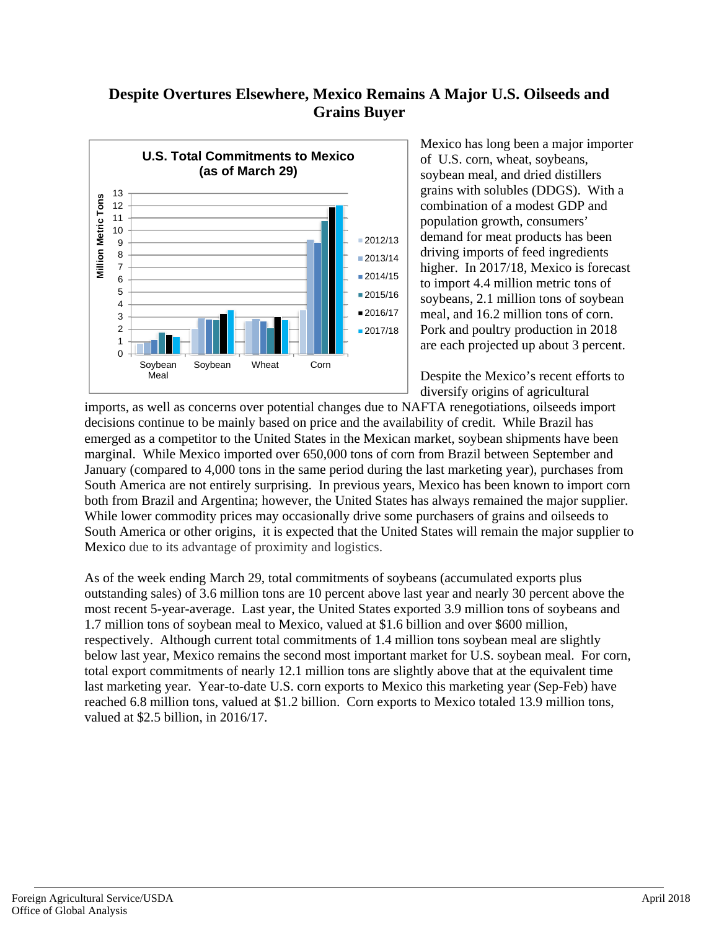## **Despite Overtures Elsewhere, Mexico Remains A Major U.S. Oilseeds and Grains Buyer**



Mexico has long been a major importer of U.S. corn, wheat, soybeans, soybean meal, and dried distillers grains with solubles (DDGS). With a combination of a modest GDP and population growth, consumers' demand for meat products has been driving imports of feed ingredients higher. In 2017/18, Mexico is forecast to import 4.4 million metric tons of soybeans, 2.1 million tons of soybean meal, and 16.2 million tons of corn. Pork and poultry production in 2018 are each projected up about 3 percent.

Despite the Mexico's recent efforts to diversify origins of agricultural

imports, as well as concerns over potential changes due to NAFTA renegotiations, oilseeds import decisions continue to be mainly based on price and the availability of credit. While Brazil has emerged as a competitor to the United States in the Mexican market, soybean shipments have been marginal. While Mexico imported over 650,000 tons of corn from Brazil between September and January (compared to 4,000 tons in the same period during the last marketing year), purchases from South America are not entirely surprising. In previous years, Mexico has been known to import corn both from Brazil and Argentina; however, the United States has always remained the major supplier. While lower commodity prices may occasionally drive some purchasers of grains and oilseeds to South America or other origins, it is expected that the United States will remain the major supplier to Mexico due to its advantage of proximity and logistics.

As of the week ending March 29, total commitments of soybeans (accumulated exports plus outstanding sales) of 3.6 million tons are 10 percent above last year and nearly 30 percent above the most recent 5-year-average. Last year, the United States exported 3.9 million tons of soybeans and 1.7 million tons of soybean meal to Mexico, valued at \$1.6 billion and over \$600 million, respectively. Although current total commitments of 1.4 million tons soybean meal are slightly below last year, Mexico remains the second most important market for U.S. soybean meal. For corn, total export commitments of nearly 12.1 million tons are slightly above that at the equivalent time last marketing year. Year-to-date U.S. corn exports to Mexico this marketing year (Sep-Feb) have reached 6.8 million tons, valued at \$1.2 billion. Corn exports to Mexico totaled 13.9 million tons, valued at \$2.5 billion, in 2016/17.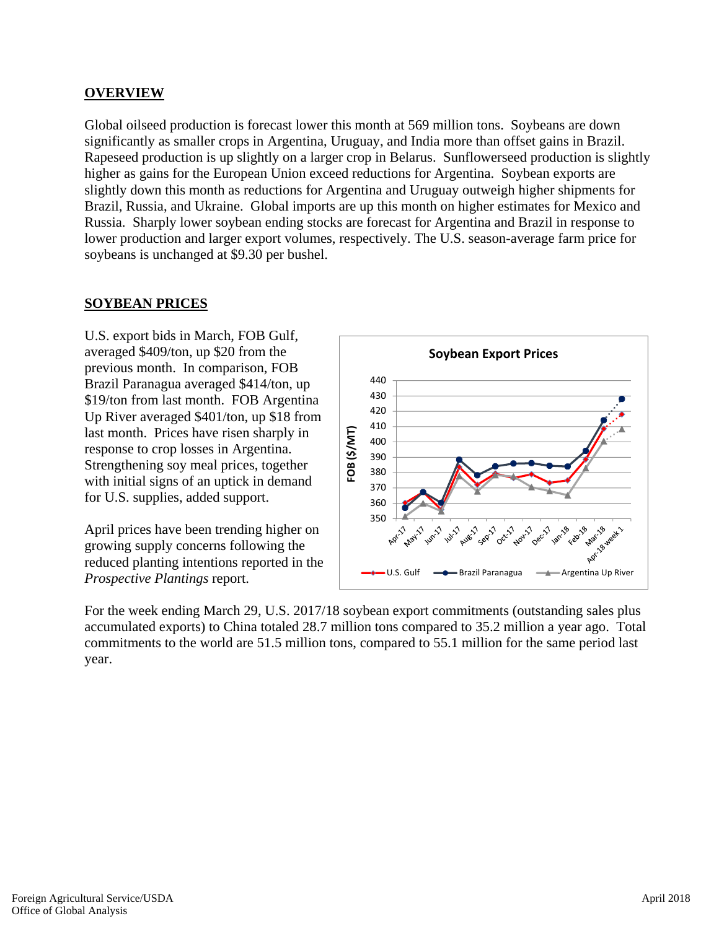## **OVERVIEW**

Global oilseed production is forecast lower this month at 569 million tons. Soybeans are down significantly as smaller crops in Argentina, Uruguay, and India more than offset gains in Brazil. Rapeseed production is up slightly on a larger crop in Belarus. Sunflowerseed production is slightly higher as gains for the European Union exceed reductions for Argentina. Soybean exports are slightly down this month as reductions for Argentina and Uruguay outweigh higher shipments for Brazil, Russia, and Ukraine. Global imports are up this month on higher estimates for Mexico and Russia. Sharply lower soybean ending stocks are forecast for Argentina and Brazil in response to lower production and larger export volumes, respectively. The U.S. season-average farm price for soybeans is unchanged at \$9.30 per bushel.

## **SOYBEAN PRICES**

U.S. export bids in March, FOB Gulf, averaged \$409/ton, up \$20 from the previous month. In comparison, FOB Brazil Paranagua averaged \$414/ton, up \$19/ton from last month. FOB Argentina Up River averaged \$401/ton, up \$18 from last month. Prices have risen sharply in response to crop losses in Argentina. Strengthening soy meal prices, together with initial signs of an uptick in demand for U.S. supplies, added support.

April prices have been trending higher on growing supply concerns following the reduced planting intentions reported in the *Prospective Plantings* report.



For the week ending March 29, U.S. 2017/18 soybean export commitments (outstanding sales plus accumulated exports) to China totaled 28.7 million tons compared to 35.2 million a year ago. Total commitments to the world are 51.5 million tons, compared to 55.1 million for the same period last year.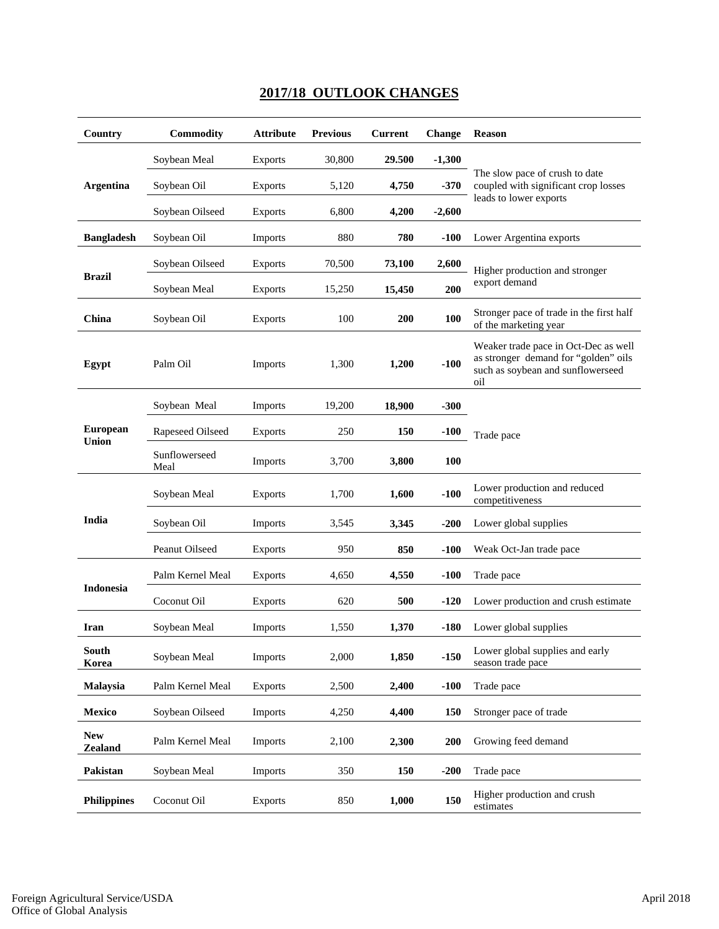## **2017/18 OUTLOOK CHANGES**

| Country                      | Commodity             | <b>Attribute</b> | <b>Previous</b> | <b>Current</b> | <b>Change</b> | <b>Reason</b>                                                                                                            |
|------------------------------|-----------------------|------------------|-----------------|----------------|---------------|--------------------------------------------------------------------------------------------------------------------------|
|                              | Soybean Meal          | <b>Exports</b>   | 30,800          | 29.500         | $-1,300$      |                                                                                                                          |
| <b>Argentina</b>             | Soybean Oil           | <b>Exports</b>   | 5,120           | 4,750          | $-370$        | The slow pace of crush to date<br>coupled with significant crop losses                                                   |
|                              | Soybean Oilseed       | <b>Exports</b>   | 6,800           | 4,200          | $-2,600$      | leads to lower exports                                                                                                   |
| <b>Bangladesh</b>            | Soybean Oil           | <b>Imports</b>   | 880             | 780            | $-100$        | Lower Argentina exports                                                                                                  |
|                              | Soybean Oilseed       | <b>Exports</b>   | 70,500          | 73,100         | 2,600         | Higher production and stronger                                                                                           |
| <b>Brazil</b>                | Soybean Meal          | <b>Exports</b>   | 15,250          | 15,450         | 200           | export demand                                                                                                            |
| China                        | Soybean Oil           | <b>Exports</b>   | 100             | 200            | 100           | Stronger pace of trade in the first half<br>of the marketing year                                                        |
| Egypt                        | Palm Oil              | <b>Imports</b>   | 1,300           | 1,200          | $-100$        | Weaker trade pace in Oct-Dec as well<br>as stronger demand for "golden" oils<br>such as soybean and sunflowerseed<br>oil |
|                              | Soybean Meal          | <b>Imports</b>   | 19,200          | 18,900         | $-300$        |                                                                                                                          |
| <b>European</b><br>Union     | Rapeseed Oilseed      | <b>Exports</b>   | 250             | 150            | $-100$        | Trade pace                                                                                                               |
|                              | Sunflowerseed<br>Meal | <b>Imports</b>   | 3,700           | 3,800          | 100           |                                                                                                                          |
|                              | Soybean Meal          | <b>Exports</b>   | 1,700           | 1,600          | $-100$        | Lower production and reduced<br>competitiveness                                                                          |
| India                        | Soybean Oil           | Imports          | 3,545           | 3,345          | $-200$        | Lower global supplies                                                                                                    |
|                              | Peanut Oilseed        | <b>Exports</b>   | 950             | 850            | $-100$        | Weak Oct-Jan trade pace                                                                                                  |
|                              | Palm Kernel Meal      | <b>Exports</b>   | 4,650           | 4,550          | $-100$        | Trade pace                                                                                                               |
| Indonesia                    | Coconut Oil           | <b>Exports</b>   | 620             | 500            | $-120$        | Lower production and crush estimate                                                                                      |
| Iran                         | Soybean Meal          | <b>Imports</b>   | 1,550           | 1,370          | $-180$        | Lower global supplies                                                                                                    |
| <b>South</b><br>Korea        | Soybean Meal          | Imports          | 2,000           | 1,850          | $-150$        | Lower global supplies and early<br>season trade pace                                                                     |
| Malaysia                     | Palm Kernel Meal      | <b>Exports</b>   | 2,500           | 2,400          | $-100$        | Trade pace                                                                                                               |
| Mexico                       | Soybean Oilseed       | Imports          | 4,250           | 4,400          | 150           | Stronger pace of trade                                                                                                   |
| <b>New</b><br><b>Zealand</b> | Palm Kernel Meal      | Imports          | 2,100           | 2,300          | 200           | Growing feed demand                                                                                                      |
| Pakistan                     | Soybean Meal          | <b>Imports</b>   | 350             | 150            | $-200$        | Trade pace                                                                                                               |
| <b>Philippines</b>           | Coconut Oil           | <b>Exports</b>   | 850             | 1,000          | 150           | Higher production and crush<br>estimates                                                                                 |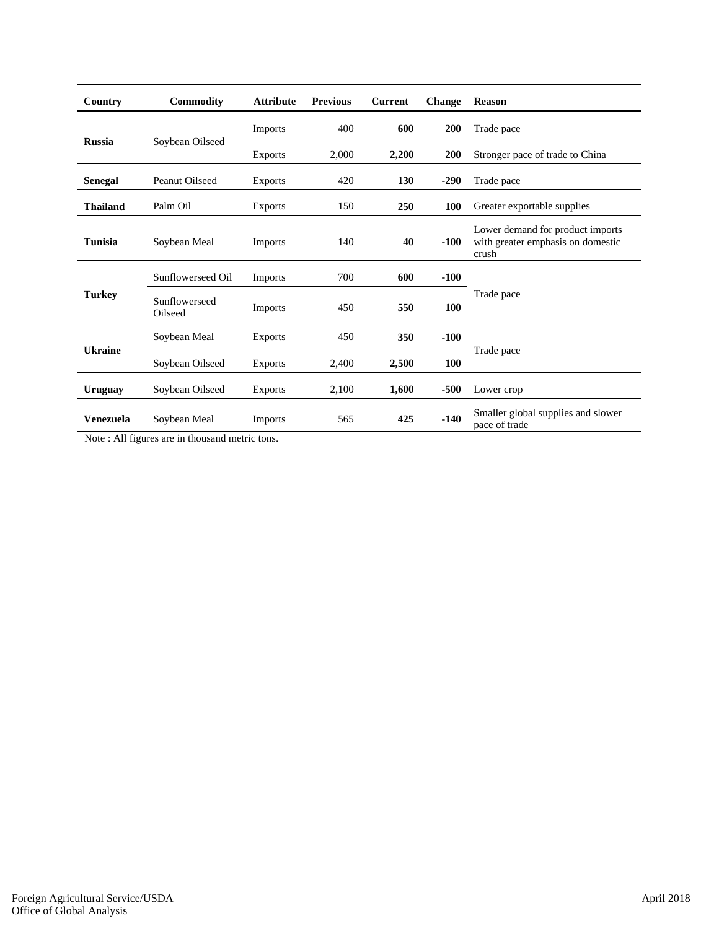| Country         | Commodity                | <b>Attribute</b> | <b>Previous</b> | <b>Current</b> | Change | <b>Reason</b>                                                                  |
|-----------------|--------------------------|------------------|-----------------|----------------|--------|--------------------------------------------------------------------------------|
|                 |                          | Imports          | 400             | 600            | 200    | Trade pace                                                                     |
| <b>Russia</b>   | Soybean Oilseed          | <b>Exports</b>   | 2,000           | 2,200          | 200    | Stronger pace of trade to China                                                |
| <b>Senegal</b>  | Peanut Oilseed           | <b>Exports</b>   | 420             | <b>130</b>     | $-290$ | Trade pace                                                                     |
| <b>Thailand</b> | Palm Oil                 | <b>Exports</b>   | 150             | 250            | 100    | Greater exportable supplies                                                    |
| <b>Tunisia</b>  | Soybean Meal             | <b>Imports</b>   | 140             | 40             | $-100$ | Lower demand for product imports<br>with greater emphasis on domestic<br>crush |
|                 | Sunflowerseed Oil        | Imports          | 700             | 600            | $-100$ |                                                                                |
| <b>Turkey</b>   | Sunflowerseed<br>Oilseed | Imports          | 450             | 550            | 100    | Trade pace                                                                     |
|                 | Soybean Meal             | <b>Exports</b>   | 450             | 350            | $-100$ |                                                                                |
| <b>Ukraine</b>  | Soybean Oilseed          | <b>Exports</b>   | 2,400           | 2,500          | 100    | Trade pace                                                                     |
| <b>Uruguay</b>  | Soybean Oilseed          | <b>Exports</b>   | 2,100           | 1,600          | $-500$ | Lower crop                                                                     |
| Venezuela       | Soybean Meal             | Imports          | 565             | 425            | $-140$ | Smaller global supplies and slower<br>pace of trade                            |

Note : All figures are in thousand metric tons.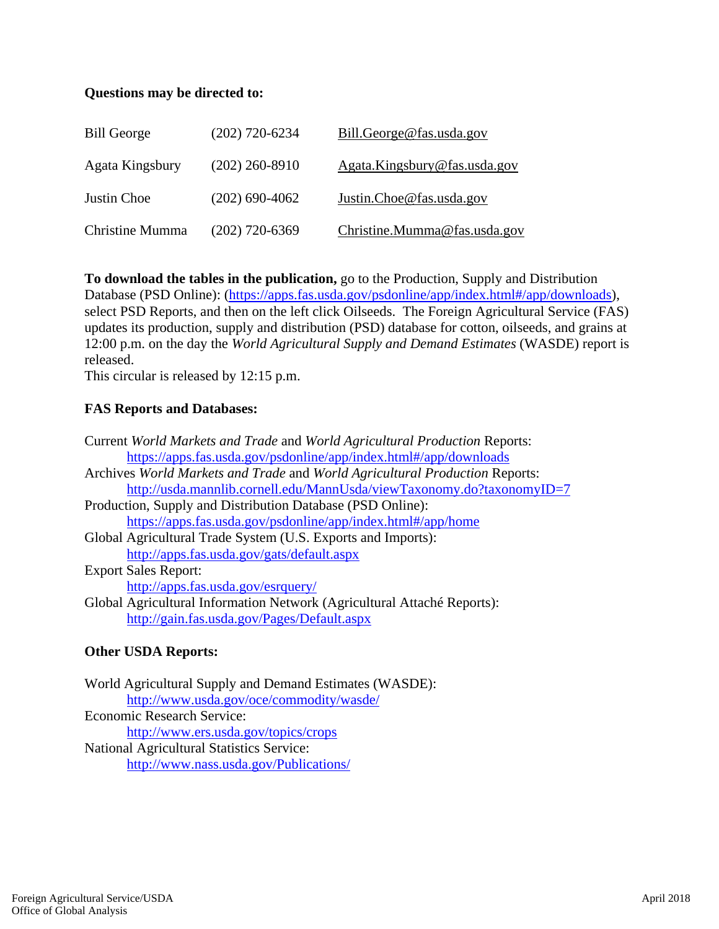## **Questions may be directed to:**

| <b>Bill George</b> | $(202)$ 720-6234 | Bill.George@fas.usda.gov     |
|--------------------|------------------|------------------------------|
| Agata Kingsbury    | $(202)$ 260-8910 | Agata.Kingsbury@fas.usda.gov |
| Justin Choe        | $(202)$ 690-4062 | Justin.Choe@fas.usda.gov     |
| Christine Mumma    | $(202)$ 720-6369 | Christine.Mumma@fas.usda.gov |

**To download the tables in the publication,** go to the Production, Supply and Distribution Database (PSD Online): (https://apps.fas.usda.gov/psdonline/app/index.html#/app/downloads), select PSD Reports, and then on the left click Oilseeds. The Foreign Agricultural Service (FAS) updates its production, supply and distribution (PSD) database for cotton, oilseeds, and grains at 12:00 p.m. on the day the *World Agricultural Supply and Demand Estimates* (WASDE) report is released.

This circular is released by 12:15 p.m.

## **FAS Reports and Databases:**

| Current World Markets and Trade and World Agricultural Production Reports:  |
|-----------------------------------------------------------------------------|
| https://apps.fas.usda.gov/psdonline/app/index.html#/app/downloads           |
| Archives World Markets and Trade and World Agricultural Production Reports: |
| http://usda.mannlib.cornell.edu/MannUsda/viewTaxonomy.do?taxonomyID=7       |
| Production, Supply and Distribution Database (PSD Online):                  |
| https://apps.fas.usda.gov/psdonline/app/index.html#/app/home                |
| Global Agricultural Trade System (U.S. Exports and Imports):                |
| http://apps.fas.usda.gov/gats/default.aspx                                  |
| <b>Export Sales Report:</b>                                                 |
| http://apps.fas.usda.gov/esrquery/                                          |
| Global Agricultural Information Network (Agricultural Attaché Reports):     |
| http://gain.fas.usda.gov/Pages/Default.aspx                                 |
|                                                                             |

### **Other USDA Reports:**

World Agricultural Supply and Demand Estimates (WASDE): http://www.usda.gov/oce/commodity/wasde/ Economic Research Service: http://www.ers.usda.gov/topics/crops National Agricultural Statistics Service: http://www.nass.usda.gov/Publications/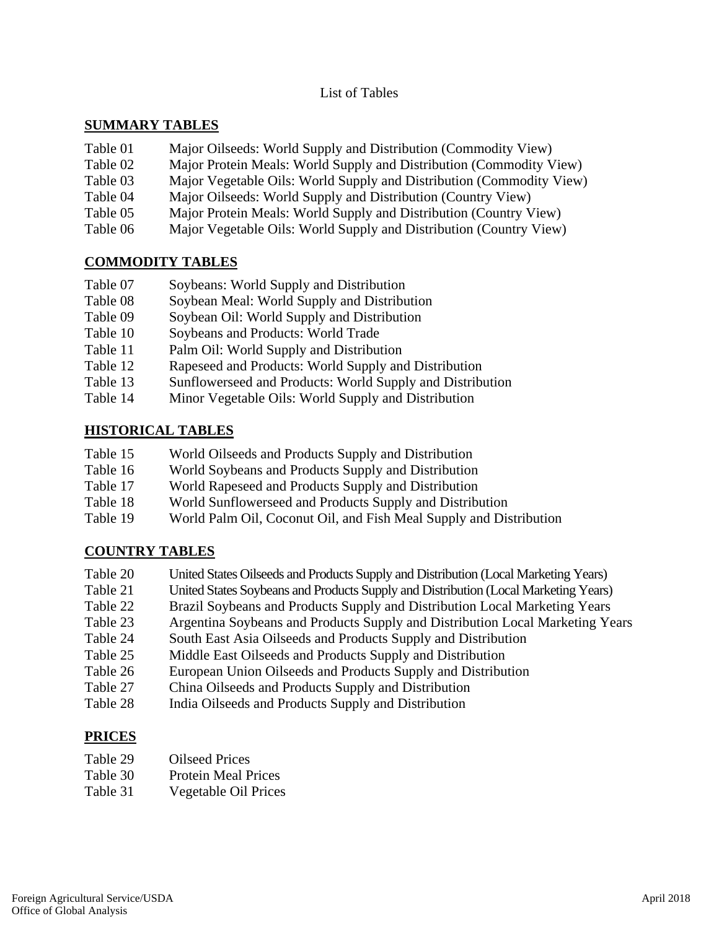List of Tables

## **SUMMARY TABLES**

| Table 01 | Major Oilseeds: World Supply and Distribution (Commodity View)       |
|----------|----------------------------------------------------------------------|
| Table 02 | Major Protein Meals: World Supply and Distribution (Commodity View)  |
| Table 03 | Major Vegetable Oils: World Supply and Distribution (Commodity View) |
| Table 04 | Major Oilseeds: World Supply and Distribution (Country View)         |
| Table 05 | Major Protein Meals: World Supply and Distribution (Country View)    |
| Table 06 | Major Vegetable Oils: World Supply and Distribution (Country View)   |

## **COMMODITY TABLES**

| Table 07<br>Soybeans: World Supply and Distribution |
|-----------------------------------------------------|
|-----------------------------------------------------|

- Table 08 Soybean Meal: World Supply and Distribution
- Table 09 Soybean Oil: World Supply and Distribution
- Table 10 Soybeans and Products: World Trade
- Table 11 Palm Oil: World Supply and Distribution
- Table 12 Rapeseed and Products: World Supply and Distribution
- Table 13 Sunflowerseed and Products: World Supply and Distribution
- Table 14 Minor Vegetable Oils: World Supply and Distribution

## **HISTORICAL TABLES**

| Table 15 | World Oilseeds and Products Supply and Distribution                |
|----------|--------------------------------------------------------------------|
| Table 16 | World Soybeans and Products Supply and Distribution                |
| Table 17 | World Rapeseed and Products Supply and Distribution                |
| Table 18 | World Sunflowerseed and Products Supply and Distribution           |
| Table 19 | World Palm Oil, Coconut Oil, and Fish Meal Supply and Distribution |
|          |                                                                    |

## **COUNTRY TABLES**

| Table 20 | United States Oilseeds and Products Supply and Distribution (Local Marketing Years) |
|----------|-------------------------------------------------------------------------------------|
| Table 21 | United States Soybeans and Products Supply and Distribution (Local Marketing Years) |
| Table 22 | Brazil Soybeans and Products Supply and Distribution Local Marketing Years          |
| Table 23 | Argentina Soybeans and Products Supply and Distribution Local Marketing Years       |
| Table 24 | South East Asia Oilseeds and Products Supply and Distribution                       |
| Table 25 | Middle East Oilseeds and Products Supply and Distribution                           |
| Table 26 | European Union Oilseeds and Products Supply and Distribution                        |
| Table 27 | China Oilseeds and Products Supply and Distribution                                 |
| Table 28 | India Oilseeds and Products Supply and Distribution                                 |

Table 28 India Oilseeds and Products Supply and Distribution

## **PRICES**

- Table 30 Protein Meal Prices
- Table 31 Vegetable Oil Prices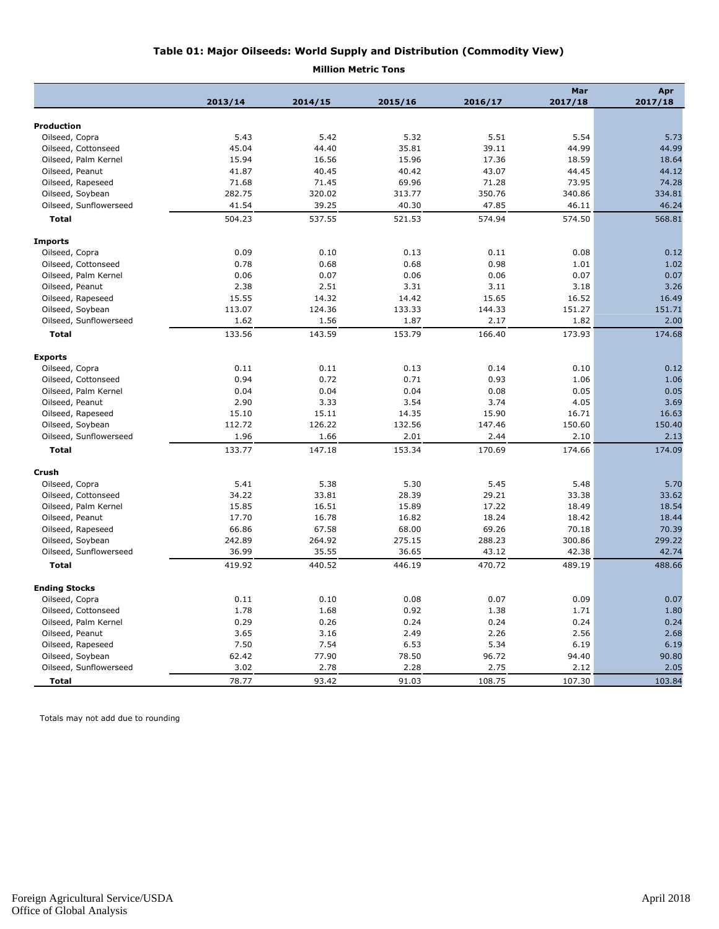#### **Table 01: Major Oilseeds: World Supply and Distribution (Commodity View)**

#### **Million Metric Tons**

|                        | 2013/14 | 2014/15 | 2015/16 | 2016/17 | Mar<br>2017/18 | Apr<br>2017/18 |
|------------------------|---------|---------|---------|---------|----------------|----------------|
|                        |         |         |         |         |                |                |
| <b>Production</b>      |         |         |         |         |                |                |
| Oilseed, Copra         | 5.43    | 5.42    | 5.32    | 5.51    | 5.54           | 5.73           |
| Oilseed, Cottonseed    | 45.04   | 44.40   | 35.81   | 39.11   | 44.99          | 44.99          |
| Oilseed, Palm Kernel   | 15.94   | 16.56   | 15.96   | 17.36   | 18.59          | 18.64          |
| Oilseed, Peanut        | 41.87   | 40.45   | 40.42   | 43.07   | 44.45          | 44.12          |
| Oilseed, Rapeseed      | 71.68   | 71.45   | 69.96   | 71.28   | 73.95          | 74.28          |
| Oilseed, Soybean       | 282.75  | 320.02  | 313.77  | 350.76  | 340.86         | 334.81         |
| Oilseed, Sunflowerseed | 41.54   | 39.25   | 40.30   | 47.85   | 46.11          | 46.24          |
| <b>Total</b>           | 504.23  | 537.55  | 521.53  | 574.94  | 574.50         | 568.81         |
| <b>Imports</b>         |         |         |         |         |                |                |
| Oilseed, Copra         | 0.09    | 0.10    | 0.13    | 0.11    | 0.08           | 0.12           |
| Oilseed, Cottonseed    | 0.78    | 0.68    | 0.68    | 0.98    | 1.01           | 1.02           |
| Oilseed, Palm Kernel   | 0.06    | 0.07    | 0.06    | 0.06    | 0.07           | 0.07           |
| Oilseed, Peanut        | 2.38    | 2.51    | 3.31    | 3.11    | 3.18           | 3.26           |
| Oilseed, Rapeseed      | 15.55   | 14.32   | 14.42   | 15.65   | 16.52          | 16.49          |
| Oilseed, Soybean       | 113.07  | 124.36  | 133.33  | 144.33  | 151.27         | 151.71         |
| Oilseed, Sunflowerseed | 1.62    | 1.56    | 1.87    | 2.17    | 1.82           | 2.00           |
| <b>Total</b>           | 133.56  | 143.59  | 153.79  | 166.40  | 173.93         | 174.68         |
|                        |         |         |         |         |                |                |
| <b>Exports</b>         |         |         |         |         |                |                |
| Oilseed, Copra         | 0.11    | 0.11    | 0.13    | 0.14    | 0.10           | 0.12           |
| Oilseed, Cottonseed    | 0.94    | 0.72    | 0.71    | 0.93    | 1.06           | 1.06           |
| Oilseed, Palm Kernel   | 0.04    | 0.04    | 0.04    | 0.08    | 0.05           | 0.05           |
| Oilseed, Peanut        | 2.90    | 3.33    | 3.54    | 3.74    | 4.05           | 3.69           |
| Oilseed, Rapeseed      | 15.10   | 15.11   | 14.35   | 15.90   | 16.71          | 16.63          |
| Oilseed, Soybean       | 112.72  | 126.22  | 132.56  | 147.46  | 150.60         | 150.40         |
| Oilseed, Sunflowerseed | 1.96    | 1.66    | 2.01    | 2.44    | 2.10           | 2.13           |
| <b>Total</b>           | 133.77  | 147.18  | 153.34  | 170.69  | 174.66         | 174.09         |
| Crush                  |         |         |         |         |                |                |
| Oilseed, Copra         | 5.41    | 5.38    | 5.30    | 5.45    | 5.48           | 5.70           |
| Oilseed, Cottonseed    | 34.22   | 33.81   | 28.39   | 29.21   | 33.38          | 33.62          |
| Oilseed, Palm Kernel   | 15.85   | 16.51   | 15.89   | 17.22   | 18.49          | 18.54          |
| Oilseed, Peanut        | 17.70   | 16.78   | 16.82   | 18.24   | 18.42          | 18.44          |
| Oilseed, Rapeseed      | 66.86   | 67.58   | 68.00   | 69.26   | 70.18          | 70.39          |
| Oilseed, Soybean       | 242.89  | 264.92  | 275.15  | 288.23  | 300.86         | 299.22         |
| Oilseed, Sunflowerseed | 36.99   | 35.55   | 36.65   | 43.12   | 42.38          | 42.74          |
| <b>Total</b>           | 419.92  | 440.52  | 446.19  | 470.72  | 489.19         | 488.66         |
|                        |         |         |         |         |                |                |
| <b>Ending Stocks</b>   |         |         |         |         |                |                |
| Oilseed, Copra         | 0.11    | 0.10    | 0.08    | 0.07    | 0.09           | 0.07           |
| Oilseed, Cottonseed    | 1.78    | 1.68    | 0.92    | 1.38    | 1.71           | 1.80           |
| Oilseed, Palm Kernel   | 0.29    | 0.26    | 0.24    | 0.24    | 0.24           | 0.24           |
| Oilseed, Peanut        | 3.65    | 3.16    | 2.49    | 2.26    | 2.56           | 2.68           |
| Oilseed, Rapeseed      | 7.50    | 7.54    | 6.53    | 5.34    | 6.19           | 6.19           |
| Oilseed, Soybean       | 62.42   | 77.90   | 78.50   | 96.72   | 94.40          | 90.80          |
| Oilseed, Sunflowerseed | 3.02    | 2.78    | 2.28    | 2.75    | 2.12           | 2.05           |
| <b>Total</b>           | 78.77   | 93.42   | 91.03   | 108.75  | 107.30         | 103.84         |

Totals may not add due to rounding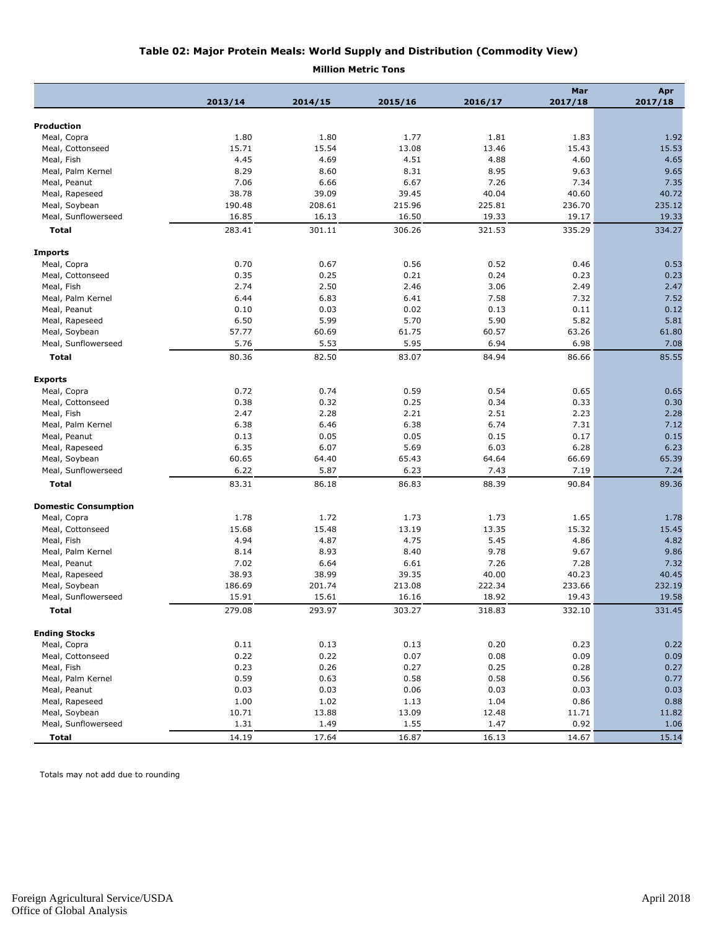#### **Table 02: Major Protein Meals: World Supply and Distribution (Commodity View)**

**Million Metric Tons**

|                             |         |         |         |         | Mar     | Apr     |
|-----------------------------|---------|---------|---------|---------|---------|---------|
|                             | 2013/14 | 2014/15 | 2015/16 | 2016/17 | 2017/18 | 2017/18 |
|                             |         |         |         |         |         |         |
| Production                  |         |         |         |         |         |         |
| Meal, Copra                 | 1.80    | 1.80    | 1.77    | 1.81    | 1.83    | 1.92    |
| Meal, Cottonseed            | 15.71   | 15.54   | 13.08   | 13.46   | 15.43   | 15.53   |
| Meal, Fish                  | 4.45    | 4.69    | 4.51    | 4.88    | 4.60    | 4.65    |
| Meal, Palm Kernel           | 8.29    | 8.60    | 8.31    | 8.95    | 9.63    | 9.65    |
| Meal, Peanut                | 7.06    | 6.66    | 6.67    | 7.26    | 7.34    | 7.35    |
| Meal, Rapeseed              | 38.78   | 39.09   | 39.45   | 40.04   | 40.60   | 40.72   |
| Meal, Soybean               | 190.48  | 208.61  | 215.96  | 225.81  | 236.70  | 235.12  |
| Meal, Sunflowerseed         | 16.85   | 16.13   | 16.50   | 19.33   | 19.17   | 19.33   |
| <b>Total</b>                | 283.41  | 301.11  | 306.26  | 321.53  | 335.29  | 334.27  |
| <b>Imports</b>              |         |         |         |         |         |         |
| Meal, Copra                 | 0.70    | 0.67    | 0.56    | 0.52    | 0.46    | 0.53    |
| Meal, Cottonseed            | 0.35    | 0.25    | 0.21    | 0.24    | 0.23    | 0.23    |
| Meal, Fish                  | 2.74    | 2.50    | 2.46    | 3.06    | 2.49    | 2.47    |
| Meal, Palm Kernel           | 6.44    | 6.83    | 6.41    | 7.58    | 7.32    | 7.52    |
| Meal, Peanut                | 0.10    | 0.03    | 0.02    | 0.13    | 0.11    | 0.12    |
| Meal, Rapeseed              | 6.50    | 5.99    | 5.70    | 5.90    | 5.82    | 5.81    |
| Meal, Soybean               | 57.77   | 60.69   | 61.75   | 60.57   | 63.26   | 61.80   |
| Meal, Sunflowerseed         | 5.76    | 5.53    | 5.95    | 6.94    | 6.98    | 7.08    |
| Total                       | 80.36   | 82.50   | 83.07   | 84.94   | 86.66   | 85.55   |
| <b>Exports</b>              |         |         |         |         |         |         |
| Meal, Copra                 | 0.72    | 0.74    | 0.59    | 0.54    | 0.65    | 0.65    |
| Meal, Cottonseed            | 0.38    | 0.32    | 0.25    | 0.34    | 0.33    | 0.30    |
| Meal, Fish                  | 2.47    | 2.28    | 2.21    | 2.51    | 2.23    | 2.28    |
| Meal, Palm Kernel           | 6.38    | 6.46    | 6.38    | 6.74    | 7.31    | 7.12    |
| Meal, Peanut                | 0.13    | 0.05    | 0.05    | 0.15    | 0.17    | 0.15    |
| Meal, Rapeseed              | 6.35    | 6.07    | 5.69    | 6.03    | 6.28    | 6.23    |
| Meal, Soybean               | 60.65   | 64.40   | 65.43   | 64.64   | 66.69   | 65.39   |
| Meal, Sunflowerseed         | 6.22    | 5.87    | 6.23    | 7.43    | 7.19    | 7.24    |
| <b>Total</b>                | 83.31   | 86.18   | 86.83   | 88.39   | 90.84   | 89.36   |
|                             |         |         |         |         |         |         |
| <b>Domestic Consumption</b> |         |         |         |         |         |         |
| Meal, Copra                 | 1.78    | 1.72    | 1.73    | 1.73    | 1.65    | 1.78    |
| Meal, Cottonseed            | 15.68   | 15.48   | 13.19   | 13.35   | 15.32   | 15.45   |
| Meal, Fish                  | 4.94    | 4.87    | 4.75    | 5.45    | 4.86    | 4.82    |
| Meal, Palm Kernel           | 8.14    | 8.93    | 8.40    | 9.78    | 9.67    | 9.86    |
| Meal, Peanut                | 7.02    | 6.64    | 6.61    | 7.26    | 7.28    | 7.32    |
| Meal, Rapeseed              | 38.93   | 38.99   | 39.35   | 40.00   | 40.23   | 40.45   |
| Meal, Soybean               | 186.69  | 201.74  | 213.08  | 222.34  | 233.66  | 232.19  |
| Meal, Sunflowerseed         | 15.91   | 15.61   | 16.16   | 18.92   | 19.43   | 19.58   |
| Total                       | 279.08  | 293.97  | 303.27  | 318.83  | 332.10  | 331.45  |
| <b>Ending Stocks</b>        |         |         |         |         |         |         |
| Meal, Copra                 | 0.11    | 0.13    | 0.13    | 0.20    | 0.23    | 0.22    |
| Meal, Cottonseed            | 0.22    | 0.22    | 0.07    | 0.08    | 0.09    | 0.09    |
| Meal, Fish                  | 0.23    | 0.26    | 0.27    | 0.25    | 0.28    | 0.27    |
| Meal, Palm Kernel           | 0.59    | 0.63    | 0.58    | 0.58    | 0.56    | 0.77    |
| Meal, Peanut                | 0.03    | 0.03    | 0.06    | 0.03    | 0.03    | 0.03    |
| Meal, Rapeseed              | 1.00    | 1.02    | 1.13    | 1.04    | 0.86    | 0.88    |
| Meal, Soybean               | 10.71   | 13.88   | 13.09   | 12.48   | 11.71   | 11.82   |
| Meal, Sunflowerseed         | 1.31    | 1.49    | 1.55    | 1.47    | 0.92    | 1.06    |
| Total                       | 14.19   | 17.64   | 16.87   | 16.13   | 14.67   | 15.14   |

Totals may not add due to rounding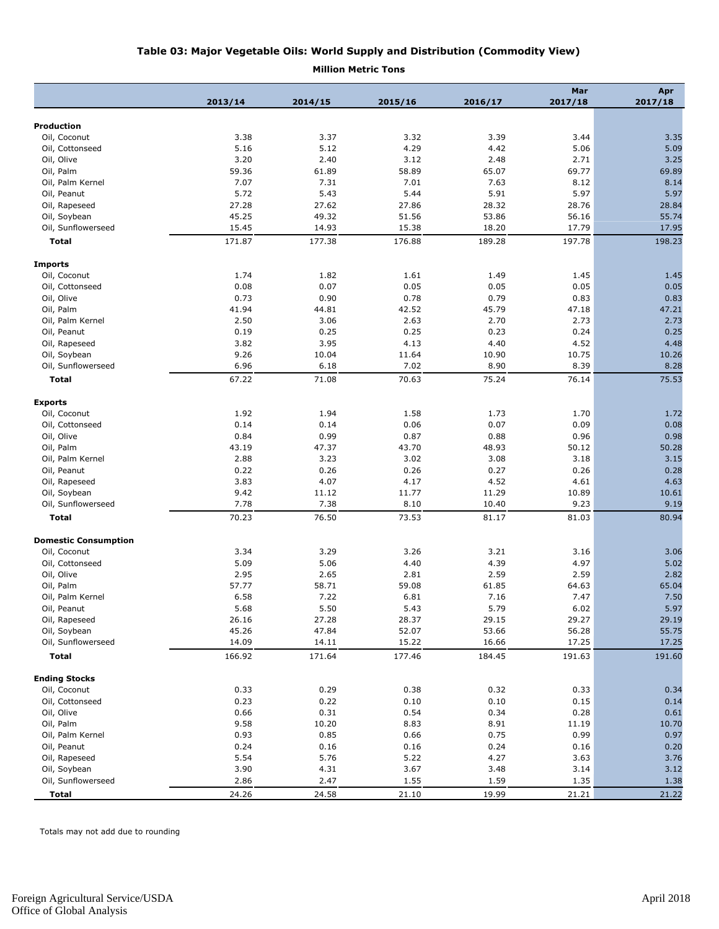#### **Table 03: Major Vegetable Oils: World Supply and Distribution (Commodity View)**

**Million Metric Tons**

|                                      |         |         |         |         | Mar     | Apr     |
|--------------------------------------|---------|---------|---------|---------|---------|---------|
|                                      | 2013/14 | 2014/15 | 2015/16 | 2016/17 | 2017/18 | 2017/18 |
| <b>Production</b>                    |         |         |         |         |         |         |
| Oil, Coconut                         | 3.38    | 3.37    | 3.32    | 3.39    | 3.44    | 3.35    |
|                                      | 5.16    | 5.12    | 4.29    | 4.42    | 5.06    | 5.09    |
| Oil, Cottonseed<br>Oil, Olive        |         |         |         |         |         | 3.25    |
|                                      | 3.20    | 2.40    | 3.12    | 2.48    | 2.71    |         |
| Oil, Palm                            | 59.36   | 61.89   | 58.89   | 65.07   | 69.77   | 69.89   |
| Oil, Palm Kernel                     | 7.07    | 7.31    | 7.01    | 7.63    | 8.12    | 8.14    |
| Oil, Peanut                          | 5.72    | 5.43    | 5.44    | 5.91    | 5.97    | 5.97    |
| Oil, Rapeseed                        | 27.28   | 27.62   | 27.86   | 28.32   | 28.76   | 28.84   |
| Oil, Soybean                         | 45.25   | 49.32   | 51.56   | 53.86   | 56.16   | 55.74   |
| Oil, Sunflowerseed                   | 15.45   | 14.93   | 15.38   | 18.20   | 17.79   | 17.95   |
| <b>Total</b>                         | 171.87  | 177.38  | 176.88  | 189.28  | 197.78  | 198.23  |
| <b>Imports</b>                       |         |         |         |         |         |         |
| Oil, Coconut                         | 1.74    | 1.82    | 1.61    | 1.49    | 1.45    | 1.45    |
| Oil, Cottonseed                      | 0.08    | 0.07    | 0.05    | 0.05    | 0.05    | 0.05    |
| Oil, Olive                           | 0.73    | 0.90    | 0.78    | 0.79    | 0.83    | 0.83    |
| Oil, Palm                            | 41.94   | 44.81   | 42.52   | 45.79   | 47.18   | 47.21   |
|                                      |         |         |         |         |         |         |
| Oil, Palm Kernel                     | 2.50    | 3.06    | 2.63    | 2.70    | 2.73    | 2.73    |
| Oil, Peanut                          | 0.19    | 0.25    | 0.25    | 0.23    | 0.24    | 0.25    |
| Oil, Rapeseed                        | 3.82    | 3.95    | 4.13    | 4.40    | 4.52    | 4.48    |
| Oil, Soybean                         | 9.26    | 10.04   | 11.64   | 10.90   | 10.75   | 10.26   |
| Oil, Sunflowerseed                   | 6.96    | 6.18    | 7.02    | 8.90    | 8.39    | 8.28    |
| <b>Total</b>                         | 67.22   | 71.08   | 70.63   | 75.24   | 76.14   | 75.53   |
| <b>Exports</b>                       |         |         |         |         |         |         |
| Oil, Coconut                         | 1.92    | 1.94    | 1.58    | 1.73    | 1.70    | 1.72    |
| Oil, Cottonseed                      | 0.14    | 0.14    | 0.06    | 0.07    | 0.09    | 0.08    |
| Oil, Olive                           | 0.84    | 0.99    | 0.87    | 0.88    | 0.96    | 0.98    |
| Oil, Palm                            | 43.19   | 47.37   | 43.70   | 48.93   | 50.12   | 50.28   |
| Oil, Palm Kernel                     | 2.88    | 3.23    | 3.02    | 3.08    | 3.18    | 3.15    |
| Oil, Peanut                          | 0.22    | 0.26    | 0.26    | 0.27    | 0.26    | 0.28    |
| Oil, Rapeseed                        | 3.83    | 4.07    | 4.17    | 4.52    | 4.61    | 4.63    |
|                                      | 9.42    |         |         |         |         | 10.61   |
| Oil, Soybean                         |         | 11.12   | 11.77   | 11.29   | 10.89   |         |
| Oil, Sunflowerseed                   | 7.78    | 7.38    | 8.10    | 10.40   | 9.23    | 9.19    |
| <b>Total</b>                         | 70.23   | 76.50   | 73.53   | 81.17   | 81.03   | 80.94   |
| <b>Domestic Consumption</b>          |         |         |         |         |         |         |
| Oil, Coconut                         | 3.34    | 3.29    | 3.26    | 3.21    | 3.16    | 3.06    |
| Oil, Cottonseed                      | 5.09    | 5.06    | 4.40    | 4.39    | 4.97    | 5.02    |
| Oil, Olive                           | 2.95    | 2.65    | 2.81    | 2.59    | 2.59    | 2.82    |
| Oil, Palm                            | 57.77   | 58.71   | 59.08   | 61.85   | 64.63   | 65.04   |
| Oil, Palm Kernel                     | 6.58    | 7.22    | 6.81    | 7.16    | 7.47    | 7.50    |
| Oil, Peanut                          | 5.68    | 5.50    | 5.43    | 5.79    | 6.02    | 5.97    |
| Oil, Rapeseed                        | 26.16   | 27.28   | 28.37   | 29.15   | 29.27   | 29.19   |
| Oil, Soybean                         | 45.26   | 47.84   | 52.07   | 53.66   | 56.28   | 55.75   |
| Oil, Sunflowerseed                   | 14.09   | 14.11   | 15.22   | 16.66   | 17.25   | 17.25   |
| Total                                | 166.92  | 171.64  | 177.46  | 184.45  | 191.63  | 191.60  |
|                                      |         |         |         |         |         |         |
| <b>Ending Stocks</b><br>Oil, Coconut | 0.33    | 0.29    | 0.38    | 0.32    | 0.33    | 0.34    |
|                                      |         |         |         |         |         |         |
| Oil, Cottonseed                      | 0.23    | 0.22    | 0.10    | 0.10    | 0.15    | 0.14    |
| Oil, Olive                           | 0.66    | 0.31    | 0.54    | 0.34    | 0.28    | 0.61    |
| Oil, Palm                            | 9.58    | 10.20   | 8.83    | 8.91    | 11.19   | 10.70   |
| Oil, Palm Kernel                     | 0.93    | 0.85    | 0.66    | 0.75    | 0.99    | 0.97    |
| Oil, Peanut                          | 0.24    | 0.16    | 0.16    | 0.24    | 0.16    | 0.20    |
| Oil, Rapeseed                        | 5.54    | 5.76    | 5.22    | 4.27    | 3.63    | 3.76    |
| Oil, Soybean                         | 3.90    | 4.31    | 3.67    | 3.48    | 3.14    | 3.12    |
| Oil, Sunflowerseed                   | 2.86    | 2.47    | 1.55    | 1.59    | 1.35    | 1.38    |
| Total                                | 24.26   | 24.58   | 21.10   | 19.99   | 21.21   | 21.22   |

Totals may not add due to rounding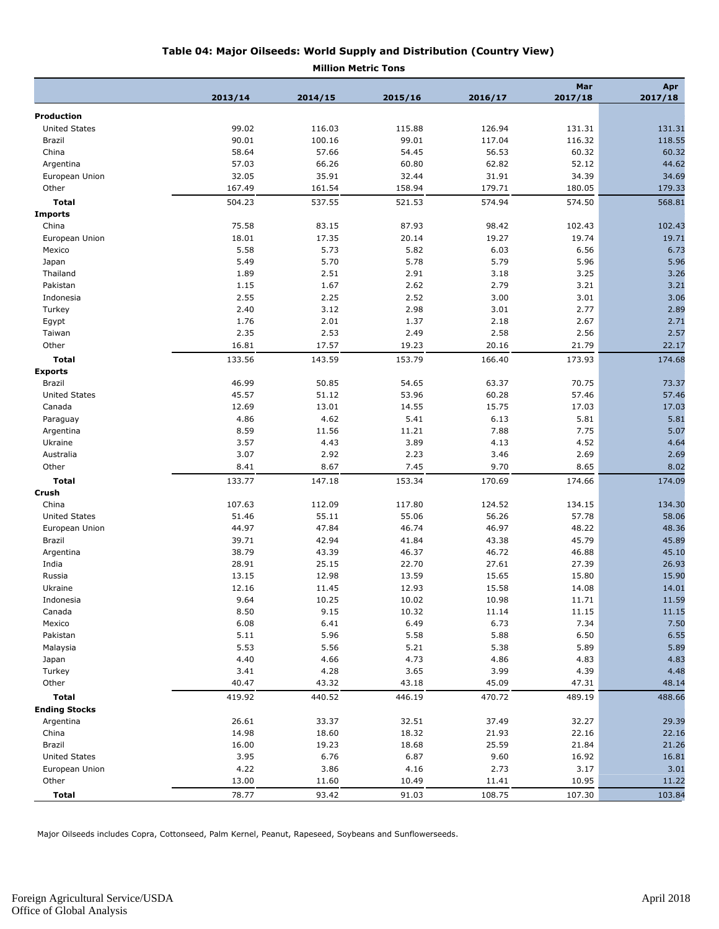|                                      |         | <b>Million Metric Tons</b> |         |         |                |                |
|--------------------------------------|---------|----------------------------|---------|---------|----------------|----------------|
|                                      | 2013/14 | 2014/15                    | 2015/16 | 2016/17 | Mar<br>2017/18 | Apr<br>2017/18 |
| <b>Production</b>                    |         |                            |         |         |                |                |
| <b>United States</b>                 | 99.02   | 116.03                     | 115.88  | 126.94  | 131.31         | 131.31         |
| Brazil                               | 90.01   | 100.16                     | 99.01   | 117.04  | 116.32         | 118.55         |
| China                                | 58.64   | 57.66                      | 54.45   | 56.53   | 60.32          | 60.32          |
|                                      |         | 66.26                      |         |         |                | 44.62          |
| Argentina                            | 57.03   |                            | 60.80   | 62.82   | 52.12          |                |
| European Union                       | 32.05   | 35.91                      | 32.44   | 31.91   | 34.39          | 34.69          |
| Other                                | 167.49  | 161.54                     | 158.94  | 179.71  | 180.05         | 179.33         |
| Total<br><b>Imports</b>              | 504.23  | 537.55                     | 521.53  | 574.94  | 574.50         | 568.81         |
| China                                | 75.58   | 83.15                      | 87.93   | 98.42   | 102.43         | 102.43         |
| European Union                       | 18.01   | 17.35                      | 20.14   | 19.27   | 19.74          | 19.71          |
|                                      | 5.58    | 5.73                       | 5.82    | 6.03    | 6.56           | 6.73           |
| Mexico                               |         | 5.70                       | 5.78    | 5.79    | 5.96           | 5.96           |
| Japan                                | 5.49    |                            |         |         |                |                |
| Thailand                             | 1.89    | 2.51                       | 2.91    | 3.18    | 3.25           | 3.26           |
| Pakistan                             | 1.15    | 1.67                       | 2.62    | 2.79    | 3.21           | 3.21           |
| Indonesia                            | 2.55    | 2.25                       | 2.52    | 3.00    | 3.01           | 3.06           |
| Turkey                               | 2.40    | 3.12                       | 2.98    | 3.01    | 2.77           | 2.89           |
| Egypt                                | 1.76    | 2.01                       | 1.37    | 2.18    | 2.67           | 2.71           |
| Taiwan                               | 2.35    | 2.53                       | 2.49    | 2.58    | 2.56           | 2.57           |
| Other                                | 16.81   | 17.57                      | 19.23   | 20.16   | 21.79          | 22.17          |
| <b>Total</b>                         | 133.56  | 143.59                     | 153.79  | 166.40  | 173.93         | 174.68         |
| <b>Exports</b>                       |         |                            |         |         |                |                |
| Brazil                               | 46.99   | 50.85                      | 54.65   | 63.37   | 70.75          | 73.37          |
| <b>United States</b>                 | 45.57   | 51.12                      | 53.96   | 60.28   | 57.46          | 57.46          |
| Canada                               | 12.69   | 13.01                      | 14.55   | 15.75   | 17.03          | 17.03          |
| Paraguay                             | 4.86    | 4.62                       | 5.41    | 6.13    | 5.81           | 5.81           |
| Argentina                            | 8.59    | 11.56                      | 11.21   | 7.88    | 7.75           | 5.07           |
| Ukraine                              | 3.57    | 4.43                       | 3.89    | 4.13    | 4.52           | 4.64           |
| Australia                            | 3.07    | 2.92                       | 2.23    | 3.46    | 2.69           | 2.69           |
| Other                                | 8.41    | 8.67                       | 7.45    | 9.70    | 8.65           | 8.02           |
| <b>Total</b>                         | 133.77  | 147.18                     | 153.34  | 170.69  | 174.66         | 174.09         |
| Crush                                |         |                            |         |         |                |                |
| China                                | 107.63  | 112.09                     | 117.80  | 124.52  | 134.15         | 134.30         |
| <b>United States</b>                 | 51.46   | 55.11                      | 55.06   | 56.26   | 57.78          | 58.06          |
| European Union                       | 44.97   | 47.84                      | 46.74   | 46.97   | 48.22          | 48.36          |
| Brazil                               | 39.71   | 42.94                      | 41.84   | 43.38   | 45.79          | 45.89          |
| Argentina                            | 38.79   | 43.39                      | 46.37   | 46.72   | 46.88          | 45.10          |
| India                                | 28.91   | 25.15                      | 22.70   | 27.61   | 27.39          | 26.93          |
| Russia                               | 13.15   | 12.98                      | 13.59   | 15.65   | 15.80          | 15.90          |
| Ukraine                              | 12.16   | 11.45                      | 12.93   | 15.58   | 14.08          | 14.01          |
| Indonesia                            | 9.64    | 10.25                      | 10.02   | 10.98   | 11.71          | 11.59          |
| Canada                               | 8.50    | 9.15                       | 10.32   | 11.14   | 11.15          | 11.15          |
| Mexico                               | 6.08    | 6.41                       | 6.49    | 6.73    | 7.34           | 7.50           |
| Pakistan                             | 5.11    | 5.96                       | 5.58    | 5.88    | 6.50           | 6.55           |
| Malaysia                             | 5.53    | 5.56                       | 5.21    | 5.38    | 5.89           | 5.89           |
| Japan                                | 4.40    | 4.66                       | 4.73    | 4.86    | 4.83           | 4.83           |
| Turkey                               | 3.41    | 4.28                       | 3.65    | 3.99    | 4.39           | 4.48           |
| Other                                | 40.47   | 43.32                      | 43.18   | 45.09   | 47.31          | 48.14          |
|                                      |         |                            |         |         |                |                |
| <b>Total</b><br><b>Ending Stocks</b> | 419.92  | 440.52                     | 446.19  | 470.72  | 489.19         | 488.66         |
|                                      |         |                            |         |         |                |                |
| Argentina                            | 26.61   | 33.37                      | 32.51   | 37.49   | 32.27          | 29.39          |
| China                                | 14.98   | 18.60                      | 18.32   | 21.93   | 22.16          | 22.16          |
| Brazil                               | 16.00   | 19.23                      | 18.68   | 25.59   | 21.84          | 21.26          |
| <b>United States</b>                 | 3.95    | 6.76                       | 6.87    | 9.60    | 16.92          | 16.81          |
| European Union                       | 4.22    | 3.86                       | 4.16    | 2.73    | 3.17           | 3.01           |
| Other                                | 13.00   | 11.60                      | 10.49   | 11.41   | 10.95          | 11.22          |
| <b>Total</b>                         | 78.77   | 93.42                      | 91.03   | 108.75  | 107.30         | 103.84         |

Major Oilseeds includes Copra, Cottonseed, Palm Kernel, Peanut, Rapeseed, Soybeans and Sunflowerseeds.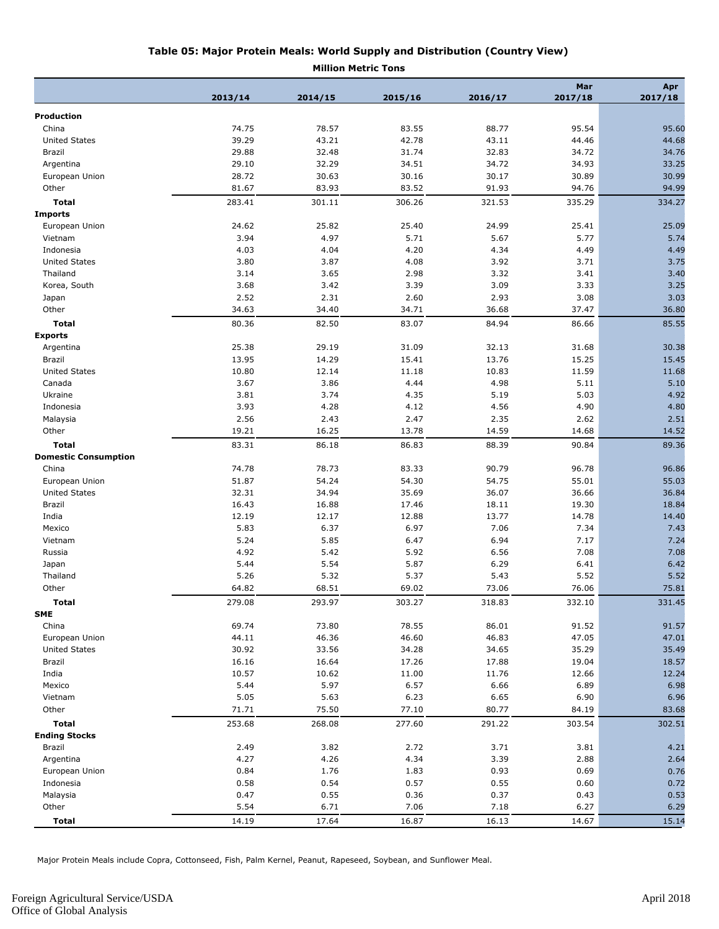| Table 05: Major Protein Meals: World Supply and Distribution (Country View) |
|-----------------------------------------------------------------------------|
|                                                                             |

**Million Metric Tons**

|                             |         |         |         |         | Mar     | Apr     |
|-----------------------------|---------|---------|---------|---------|---------|---------|
|                             | 2013/14 | 2014/15 | 2015/16 | 2016/17 | 2017/18 | 2017/18 |
| <b>Production</b>           |         |         |         |         |         |         |
| China                       | 74.75   | 78.57   | 83.55   | 88.77   | 95.54   | 95.60   |
| <b>United States</b>        | 39.29   | 43.21   | 42.78   | 43.11   | 44.46   | 44.68   |
| Brazil                      | 29.88   | 32.48   | 31.74   | 32.83   | 34.72   | 34.76   |
| Argentina                   | 29.10   | 32.29   | 34.51   | 34.72   | 34.93   | 33.25   |
| European Union              | 28.72   | 30.63   | 30.16   | 30.17   | 30.89   | 30.99   |
| Other                       | 81.67   | 83.93   | 83.52   | 91.93   | 94.76   | 94.99   |
| <b>Total</b>                | 283.41  | 301.11  | 306.26  | 321.53  | 335.29  | 334.27  |
| <b>Imports</b>              |         |         |         |         |         |         |
| European Union              | 24.62   | 25.82   | 25.40   | 24.99   | 25.41   | 25.09   |
| Vietnam                     | 3.94    | 4.97    | 5.71    | 5.67    | 5.77    | 5.74    |
| Indonesia                   | 4.03    | 4.04    | 4.20    | 4.34    | 4.49    | 4.49    |
| <b>United States</b>        | 3.80    | 3.87    | 4.08    | 3.92    | 3.71    | 3.75    |
| Thailand                    | 3.14    | 3.65    | 2.98    | 3.32    | 3.41    | 3.40    |
| Korea, South                | 3.68    | 3.42    | 3.39    | 3.09    | 3.33    | 3.25    |
| Japan                       | 2.52    | 2.31    | 2.60    | 2.93    | 3.08    | 3.03    |
| Other                       | 34.63   | 34.40   | 34.71   | 36.68   | 37.47   | 36.80   |
|                             |         |         |         |         |         |         |
| <b>Total</b>                | 80.36   | 82.50   | 83.07   | 84.94   | 86.66   | 85.55   |
| <b>Exports</b>              |         |         |         |         |         |         |
| Argentina                   | 25.38   | 29.19   | 31.09   | 32.13   | 31.68   | 30.38   |
| Brazil                      | 13.95   | 14.29   | 15.41   | 13.76   | 15.25   | 15.45   |
| <b>United States</b>        | 10.80   | 12.14   | 11.18   | 10.83   | 11.59   | 11.68   |
| Canada                      | 3.67    | 3.86    | 4.44    | 4.98    | 5.11    | 5.10    |
| Ukraine                     | 3.81    | 3.74    | 4.35    | 5.19    | 5.03    | 4.92    |
| Indonesia                   | 3.93    | 4.28    | 4.12    | 4.56    | 4.90    | 4.80    |
| Malaysia                    | 2.56    | 2.43    | 2.47    | 2.35    | 2.62    | 2.51    |
| Other                       | 19.21   | 16.25   | 13.78   | 14.59   | 14.68   | 14.52   |
| <b>Total</b>                | 83.31   | 86.18   | 86.83   | 88.39   | 90.84   | 89.36   |
| <b>Domestic Consumption</b> |         |         |         |         |         |         |
| China                       | 74.78   | 78.73   | 83.33   | 90.79   | 96.78   | 96.86   |
| European Union              | 51.87   | 54.24   | 54.30   | 54.75   | 55.01   | 55.03   |
| <b>United States</b>        | 32.31   | 34.94   | 35.69   | 36.07   | 36.66   | 36.84   |
| Brazil                      | 16.43   | 16.88   | 17.46   | 18.11   | 19.30   | 18.84   |
| India                       | 12.19   | 12.17   | 12.88   | 13.77   | 14.78   | 14.40   |
| Mexico                      | 5.83    | 6.37    | 6.97    | 7.06    | 7.34    | 7.43    |
| Vietnam                     | 5.24    | 5.85    | 6.47    | 6.94    | 7.17    | 7.24    |
| Russia                      | 4.92    | 5.42    | 5.92    | 6.56    | 7.08    | 7.08    |
| Japan                       | 5.44    | 5.54    | 5.87    | 6.29    | 6.41    | 6.42    |
| Thailand                    | 5.26    | 5.32    | 5.37    | 5.43    | 5.52    | 5.52    |
| Other                       | 64.82   | 68.51   | 69.02   | 73.06   | 76.06   | 75.81   |
| <b>Total</b>                | 279.08  | 293.97  | 303.27  | 318.83  | 332.10  | 331.45  |
| <b>SME</b>                  |         |         |         |         |         |         |
| China                       | 69.74   | 73.80   | 78.55   | 86.01   | 91.52   | 91.57   |
| European Union              | 44.11   | 46.36   | 46.60   | 46.83   | 47.05   | 47.01   |
| <b>United States</b>        | 30.92   | 33.56   | 34.28   | 34.65   | 35.29   | 35.49   |
| Brazil                      | 16.16   | 16.64   | 17.26   | 17.88   | 19.04   | 18.57   |
| India                       | 10.57   | 10.62   | 11.00   | 11.76   | 12.66   | 12.24   |
| Mexico                      | 5.44    | 5.97    | 6.57    | 6.66    | 6.89    | 6.98    |
| Vietnam                     | 5.05    | 5.63    | 6.23    | 6.65    | 6.90    | 6.96    |
| Other                       | 71.71   | 75.50   | 77.10   | 80.77   | 84.19   | 83.68   |
| <b>Total</b>                | 253.68  | 268.08  | 277.60  | 291.22  | 303.54  | 302.51  |
| <b>Ending Stocks</b>        |         |         |         |         |         |         |
| Brazil                      | 2.49    | 3.82    | 2.72    | 3.71    | 3.81    | 4.21    |
| Argentina                   | 4.27    | 4.26    | 4.34    | 3.39    | 2.88    | 2.64    |
| European Union              | 0.84    | 1.76    | 1.83    | 0.93    | 0.69    | 0.76    |
| Indonesia                   | 0.58    | 0.54    | 0.57    | 0.55    | 0.60    | 0.72    |
| Malaysia                    | 0.47    | 0.55    | 0.36    | 0.37    | 0.43    | 0.53    |
| Other                       | 5.54    | 6.71    | 7.06    | 7.18    | 6.27    | 6.29    |
| <b>Total</b>                | 14.19   | 17.64   | 16.87   | 16.13   | 14.67   | 15.14   |

Major Protein Meals include Copra, Cottonseed, Fish, Palm Kernel, Peanut, Rapeseed, Soybean, and Sunflower Meal.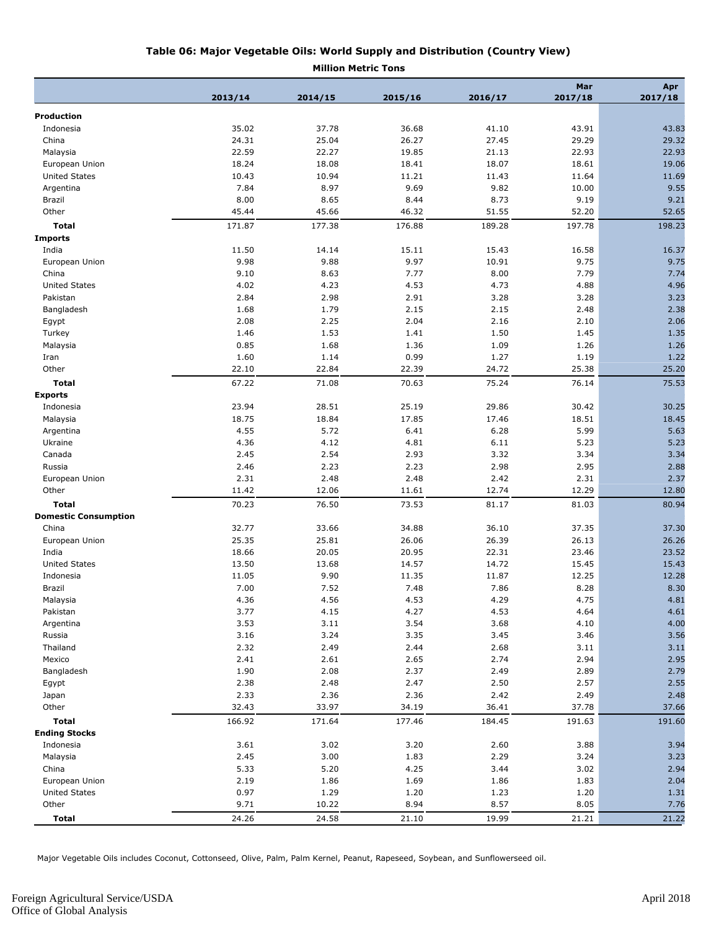| Table 06: Major Vegetable Oils: World Supply and Distribution (Country View) |  |
|------------------------------------------------------------------------------|--|
| <b>Million Metric Tons</b>                                                   |  |

|                             | 2013/14 | 2014/15 | 2015/16 | 2016/17 | Mar<br>2017/18 | Apr<br>2017/18 |
|-----------------------------|---------|---------|---------|---------|----------------|----------------|
|                             |         |         |         |         |                |                |
| <b>Production</b>           |         |         |         |         |                |                |
| Indonesia                   | 35.02   | 37.78   | 36.68   | 41.10   | 43.91          | 43.83          |
| China                       | 24.31   | 25.04   | 26.27   | 27.45   | 29.29          | 29.32          |
| Malaysia                    | 22.59   | 22.27   | 19.85   | 21.13   | 22.93          | 22.93          |
| European Union              | 18.24   | 18.08   | 18.41   | 18.07   | 18.61          | 19.06          |
| <b>United States</b>        | 10.43   | 10.94   | 11.21   | 11.43   | 11.64          | 11.69          |
| Argentina                   | 7.84    | 8.97    | 9.69    | 9.82    | 10.00          | 9.55           |
| Brazil                      | 8.00    | 8.65    | 8.44    | 8.73    | 9.19           | 9.21           |
| Other                       | 45.44   | 45.66   | 46.32   | 51.55   | 52.20          | 52.65          |
| <b>Total</b>                | 171.87  | 177.38  | 176.88  | 189.28  | 197.78         | 198.23         |
| <b>Imports</b>              |         |         |         |         |                |                |
| India                       | 11.50   | 14.14   | 15.11   | 15.43   | 16.58          | 16.37          |
| European Union              | 9.98    | 9.88    | 9.97    | 10.91   | 9.75           | 9.75           |
| China                       | 9.10    | 8.63    | 7.77    | 8.00    | 7.79           | 7.74           |
| <b>United States</b>        | 4.02    | 4.23    | 4.53    | 4.73    | 4.88           | 4.96           |
| Pakistan                    | 2.84    | 2.98    | 2.91    | 3.28    | 3.28           | 3.23           |
| Bangladesh                  | 1.68    | 1.79    | 2.15    | 2.15    | 2.48           | 2.38           |
| Egypt                       | 2.08    | 2.25    | 2.04    | 2.16    | 2.10           | 2.06           |
| Turkey                      | 1.46    | 1.53    | 1.41    | 1.50    | 1.45           | 1.35           |
| Malaysia                    | 0.85    | 1.68    | 1.36    | 1.09    | 1.26           | 1.26           |
| Iran                        | 1.60    | 1.14    | 0.99    | 1.27    | 1.19           | 1.22           |
| Other                       | 22.10   | 22.84   | 22.39   | 24.72   | 25.38          | 25.20          |
| <b>Total</b>                | 67.22   | 71.08   | 70.63   | 75.24   | 76.14          | 75.53          |
| <b>Exports</b>              |         |         |         |         |                |                |
| Indonesia                   | 23.94   | 28.51   | 25.19   | 29.86   | 30.42          | 30.25          |
| Malaysia                    | 18.75   | 18.84   | 17.85   | 17.46   | 18.51          | 18.45          |
| Argentina                   | 4.55    | 5.72    | 6.41    | 6.28    | 5.99           | 5.63           |
| Ukraine                     | 4.36    | 4.12    | 4.81    | 6.11    | 5.23           | 5.23           |
| Canada                      | 2.45    | 2.54    | 2.93    | 3.32    | 3.34           | 3.34           |
| Russia                      | 2.46    | 2.23    | 2.23    | 2.98    | 2.95           | 2.88           |
| European Union              | 2.31    | 2.48    | 2.48    | 2.42    | 2.31           | 2.37           |
| Other                       | 11.42   | 12.06   | 11.61   | 12.74   | 12.29          | 12.80          |
| <b>Total</b>                | 70.23   | 76.50   | 73.53   | 81.17   | 81.03          | 80.94          |
| <b>Domestic Consumption</b> |         |         |         |         |                |                |
| China                       | 32.77   | 33.66   | 34.88   | 36.10   | 37.35          | 37.30          |
| European Union              | 25.35   | 25.81   | 26.06   | 26.39   | 26.13          | 26.26          |
| India                       | 18.66   | 20.05   | 20.95   | 22.31   | 23.46          | 23.52          |
| <b>United States</b>        | 13.50   | 13.68   | 14.57   | 14.72   | 15.45          | 15.43          |
| Indonesia                   | 11.05   | 9.90    | 11.35   | 11.87   | 12.25          | 12.28          |
| Brazil                      | 7.00    | 7.52    | 7.48    | 7.86    | 8.28           | 8.30           |
| Malaysia                    | 4.36    | 4.56    | 4.53    | 4.29    | 4.75           | 4.81           |
| Pakistan                    | 3.77    | 4.15    | 4.27    | 4.53    | 4.64           | 4.61           |
| Argentina                   | 3.53    | 3.11    | 3.54    | 3.68    | 4.10           | 4.00           |
| Russia                      | 3.16    | 3.24    | 3.35    | 3.45    | 3.46           | 3.56           |
| Thailand                    | 2.32    | 2.49    | 2.44    | 2.68    | 3.11           | 3.11           |
| Mexico                      | 2.41    | 2.61    | 2.65    | 2.74    | 2.94           | 2.95           |
| Bangladesh                  | 1.90    | 2.08    | 2.37    | 2.49    | 2.89           | 2.79           |
| Egypt                       | 2.38    | 2.48    | 2.47    | 2.50    | 2.57           | 2.55           |
| Japan                       | 2.33    | 2.36    | 2.36    | 2.42    | 2.49           | 2.48           |
| Other                       | 32.43   | 33.97   | 34.19   | 36.41   | 37.78          | 37.66          |
| <b>Total</b>                | 166.92  | 171.64  | 177.46  | 184.45  | 191.63         | 191.60         |
| <b>Ending Stocks</b>        |         |         |         |         |                |                |
| Indonesia                   | 3.61    | 3.02    | 3.20    | 2.60    | 3.88           | 3.94           |
| Malaysia                    | 2.45    | 3.00    | 1.83    | 2.29    | 3.24           | 3.23           |
| China                       | 5.33    | 5.20    | 4.25    | 3.44    | 3.02           | 2.94           |
| European Union              | 2.19    | 1.86    | 1.69    | 1.86    | 1.83           | 2.04           |
| <b>United States</b>        | 0.97    | 1.29    | 1.20    | 1.23    | 1.20           | 1.31           |
| Other                       | 9.71    | 10.22   | 8.94    | 8.57    | 8.05           | 7.76           |
|                             |         |         |         |         |                |                |
| <b>Total</b>                | 24.26   | 24.58   | 21.10   | 19.99   | 21.21          | 21.22          |

Major Vegetable Oils includes Coconut, Cottonseed, Olive, Palm, Palm Kernel, Peanut, Rapeseed, Soybean, and Sunflowerseed oil.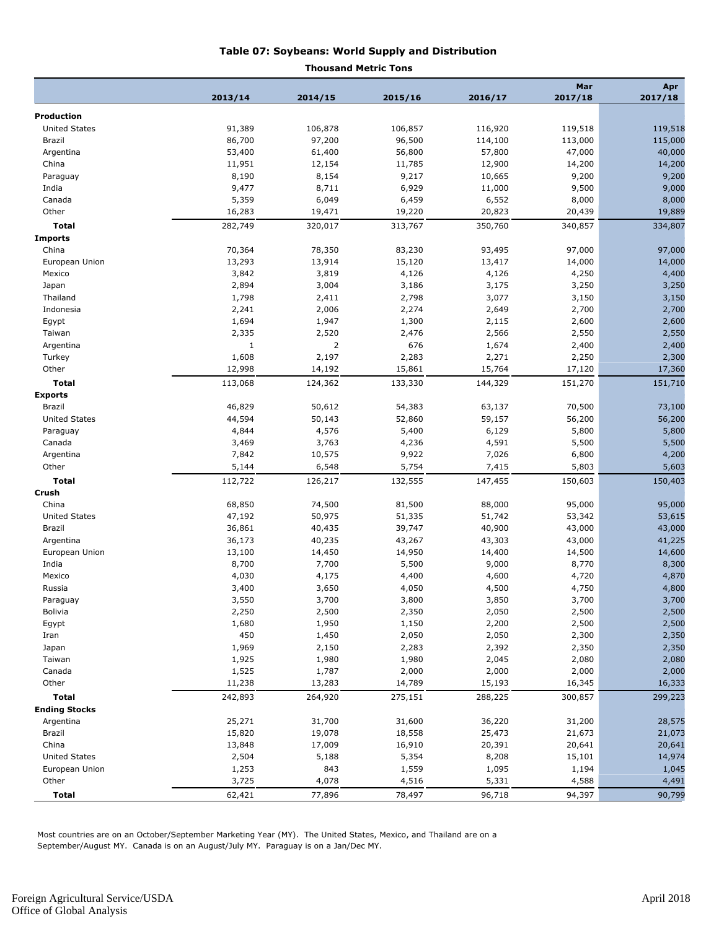#### **Table 07: Soybeans: World Supply and Distribution**

#### **Thousand Metric Tons**

|                      |                 |                 |                 |                 | Mar             | Apr             |
|----------------------|-----------------|-----------------|-----------------|-----------------|-----------------|-----------------|
|                      | 2013/14         | 2014/15         | 2015/16         | 2016/17         | 2017/18         | 2017/18         |
| Production           |                 |                 |                 |                 |                 |                 |
| <b>United States</b> | 91,389          | 106,878         | 106,857         | 116,920         | 119,518         | 119,518         |
| Brazil               | 86,700          | 97,200          | 96,500          | 114,100         | 113,000         | 115,000         |
| Argentina            | 53,400          | 61,400          | 56,800          | 57,800          | 47,000          | 40,000          |
| China                | 11,951          | 12,154          | 11,785          | 12,900          | 14,200          | 14,200          |
| Paraguay             | 8,190           | 8,154           | 9,217           | 10,665          | 9,200           | 9,200           |
| India                | 9,477           | 8,711           | 6,929           | 11,000          | 9,500           | 9,000           |
| Canada               | 5,359           | 6,049           | 6,459           | 6,552           | 8,000           | 8,000           |
| Other                | 16,283          | 19,471          | 19,220          | 20,823          | 20,439          | 19,889          |
| <b>Total</b>         | 282,749         | 320,017         | 313,767         | 350,760         | 340,857         | 334,807         |
| <b>Imports</b>       |                 |                 |                 |                 |                 |                 |
| China                | 70,364          | 78,350          | 83,230          | 93,495          | 97,000          | 97,000          |
| European Union       | 13,293          | 13,914          | 15,120          | 13,417          | 14,000          | 14,000          |
| Mexico               | 3,842           | 3,819           | 4,126           | 4,126           | 4,250           | 4,400           |
| Japan                | 2,894           | 3,004           | 3,186           | 3,175           | 3,250           | 3,250           |
| Thailand             | 1,798           | 2,411           | 2,798           | 3,077           | 3,150           | 3,150           |
| Indonesia            | 2,241           | 2,006           | 2,274           | 2,649           | 2,700           | 2,700           |
| Egypt                | 1,694           | 1,947           | 1,300           | 2,115           | 2,600           | 2,600           |
| Taiwan               | 2,335           | 2,520           | 2,476           | 2,566           | 2,550           | 2,550           |
| Argentina            | $\mathbf{1}$    | 2               | 676             | 1,674           | 2,400           | 2,400           |
| Turkey               | 1,608           | 2,197           | 2,283           | 2,271           | 2,250           | 2,300           |
| Other                | 12,998          | 14,192          | 15,861          | 15,764          | 17,120          | 17,360          |
| <b>Total</b>         | 113,068         | 124,362         | 133,330         | 144,329         | 151,270         | 151,710         |
| <b>Exports</b>       |                 |                 |                 |                 |                 |                 |
| Brazil               | 46,829          | 50,612          | 54,383          | 63,137          | 70,500          | 73,100          |
| <b>United States</b> | 44,594          | 50,143          | 52,860          | 59,157          | 56,200          | 56,200          |
| Paraguay             | 4,844           | 4,576           | 5,400           | 6,129           | 5,800           | 5,800           |
| Canada               | 3,469           | 3,763           | 4,236           | 4,591           | 5,500           | 5,500           |
| Argentina            | 7,842           | 10,575          | 9,922           | 7,026           | 6,800           | 4,200           |
| Other                | 5,144           | 6,548           | 5,754           | 7,415           | 5,803           | 5,603           |
| <b>Total</b>         | 112,722         | 126,217         | 132,555         | 147,455         | 150,603         | 150,403         |
| Crush                |                 |                 |                 |                 |                 |                 |
| China                | 68,850          | 74,500          | 81,500          | 88,000          | 95,000          | 95,000          |
| <b>United States</b> | 47,192          | 50,975          | 51,335          | 51,742          | 53,342          | 53,615          |
| Brazil               | 36,861          | 40,435          | 39,747          | 40,900          | 43,000          | 43,000          |
| Argentina            | 36,173          | 40,235          | 43,267          | 43,303          | 43,000          | 41,225          |
| European Union       | 13,100          | 14,450          | 14,950          | 14,400          | 14,500          | 14,600          |
| India                | 8,700           | 7,700           | 5,500           | 9,000           | 8,770           | 8,300           |
| Mexico               | 4,030           | 4,175           | 4,400           | 4,600           | 4,720           | 4,870           |
| Russia               | 3,400           | 3,650           | 4,050           | 4,500           | 4,750           | 4,800           |
| Paraguay             | 3,550           | 3,700           | 3,800           | 3,850           | 3,700           | 3,700           |
| <b>Bolivia</b>       | 2,250           | 2,500           | 2,350           | 2,050           | 2,500           | 2,500           |
| Egypt                | 1,680           | 1,950           | 1,150           | 2,200           | 2,500           | 2,500           |
| Iran                 | 450             | 1,450           | 2,050           | 2,050           | 2,300           | 2,350           |
|                      | 1,969           | 2,150           | 2,283           | 2,392           | 2,350           | 2,350           |
| Japan<br>Taiwan      | 1,925           | 1,980           | 1,980           | 2,045           | 2,080           | 2,080           |
| Canada               |                 |                 |                 |                 |                 |                 |
| Other                | 1,525<br>11,238 | 1,787<br>13,283 | 2,000<br>14,789 | 2,000<br>15,193 | 2,000<br>16,345 | 2,000<br>16,333 |
|                      |                 |                 |                 |                 |                 |                 |
| <b>Total</b>         | 242,893         | 264,920         | 275,151         | 288,225         | 300,857         | 299,223         |
| <b>Ending Stocks</b> |                 |                 |                 |                 |                 |                 |
| Argentina            | 25,271          | 31,700          | 31,600          | 36,220          | 31,200          | 28,575          |
| Brazil               | 15,820          | 19,078          | 18,558          | 25,473          | 21,673          | 21,073          |
| China                | 13,848          | 17,009          | 16,910          | 20,391          | 20,641          | 20,641          |
| United States        | 2,504           | 5,188           | 5,354           | 8,208           | 15,101          | 14,974          |
| European Union       | 1,253           | 843             | 1,559           | 1,095           | 1,194           | 1,045           |
| Other                | 3,725           | 4,078           | 4,516           | 5,331           | 4,588           | 4,491           |
| Total                | 62,421          | 77,896          | 78,497          | 96,718          | 94,397          | 90,799          |

Most countries are on an October/September Marketing Year (MY). The United States, Mexico, and Thailand are on a September/August MY. Canada is on an August/July MY. Paraguay is on a Jan/Dec MY.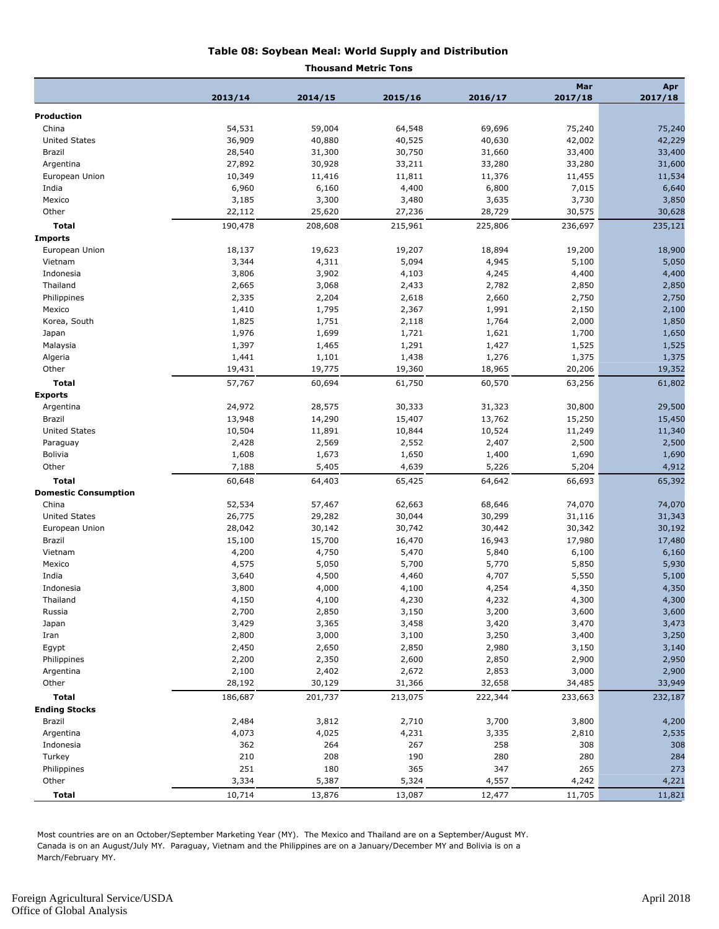#### **Table 08: Soybean Meal: World Supply and Distribution**

#### **Thousand Metric Tons**

|                                      |         |                 |                |         | Mar     | Apr     |
|--------------------------------------|---------|-----------------|----------------|---------|---------|---------|
|                                      | 2013/14 | 2014/15         | 2015/16        | 2016/17 | 2017/18 | 2017/18 |
| <b>Production</b>                    |         |                 |                |         |         |         |
| China                                | 54,531  | 59,004          | 64,548         | 69,696  | 75,240  | 75,240  |
| <b>United States</b>                 | 36,909  | 40,880          | 40,525         | 40,630  | 42,002  | 42,229  |
| Brazil                               | 28,540  | 31,300          | 30,750         | 31,660  | 33,400  | 33,400  |
| Argentina                            | 27,892  | 30,928          | 33,211         | 33,280  | 33,280  | 31,600  |
| European Union                       | 10,349  | 11,416          | 11,811         | 11,376  | 11,455  | 11,534  |
| India                                | 6,960   | 6,160           | 4,400          | 6,800   | 7,015   | 6,640   |
| Mexico                               | 3,185   | 3,300           | 3,480          | 3,635   | 3,730   | 3,850   |
| Other                                | 22,112  | 25,620          | 27,236         | 28,729  | 30,575  | 30,628  |
| <b>Total</b>                         | 190,478 | 208,608         | 215,961        | 225,806 | 236,697 | 235,121 |
| <b>Imports</b>                       |         |                 |                |         |         |         |
| European Union                       | 18,137  | 19,623          | 19,207         | 18,894  | 19,200  | 18,900  |
| Vietnam                              | 3,344   | 4,311           | 5,094          | 4,945   | 5,100   | 5,050   |
| Indonesia                            | 3,806   | 3,902           | 4,103          | 4,245   | 4,400   | 4,400   |
| Thailand                             | 2,665   | 3,068           | 2,433          | 2,782   | 2,850   | 2,850   |
| Philippines                          | 2,335   | 2,204           | 2,618          | 2,660   | 2,750   | 2,750   |
| Mexico                               | 1,410   | 1,795           | 2,367          | 1,991   | 2,150   | 2,100   |
| Korea, South                         | 1,825   | 1,751           | 2,118          | 1,764   | 2,000   | 1,850   |
| Japan                                | 1,976   | 1,699           | 1,721          | 1,621   | 1,700   | 1,650   |
| Malaysia                             | 1,397   | 1,465           | 1,291          | 1,427   | 1,525   | 1,525   |
| Algeria                              | 1,441   | 1,101           | 1,438          | 1,276   | 1,375   | 1,375   |
| Other                                | 19,431  | 19,775          | 19,360         | 18,965  | 20,206  | 19,352  |
| <b>Total</b>                         | 57,767  | 60,694          | 61,750         | 60,570  | 63,256  | 61,802  |
| <b>Exports</b>                       |         |                 |                |         |         |         |
| Argentina                            | 24,972  | 28,575          | 30,333         | 31,323  | 30,800  | 29,500  |
| Brazil                               | 13,948  | 14,290          | 15,407         | 13,762  | 15,250  | 15,450  |
| <b>United States</b>                 | 10,504  | 11,891          | 10,844         | 10,524  | 11,249  | 11,340  |
| Paraguay                             | 2,428   | 2,569           | 2,552          | 2,407   | 2,500   | 2,500   |
| <b>Bolivia</b>                       | 1,608   | 1,673           | 1,650          | 1,400   | 1,690   | 1,690   |
| Other                                | 7,188   | 5,405           | 4,639          | 5,226   | 5,204   | 4,912   |
| <b>Total</b>                         | 60,648  | 64,403          | 65,425         | 64,642  | 66,693  | 65,392  |
| <b>Domestic Consumption</b>          |         |                 |                |         |         |         |
| China                                | 52,534  | 57,467          | 62,663         | 68,646  | 74,070  | 74,070  |
| <b>United States</b>                 | 26,775  | 29,282          | 30,044         | 30,299  | 31,116  | 31,343  |
| European Union                       | 28,042  | 30,142          | 30,742         | 30,442  | 30,342  | 30,192  |
| Brazil                               | 15,100  | 15,700          | 16,470         | 16,943  | 17,980  | 17,480  |
| Vietnam                              | 4,200   | 4,750           | 5,470          | 5,840   | 6,100   | 6,160   |
| Mexico                               | 4,575   | 5,050           | 5,700          | 5,770   | 5,850   | 5,930   |
| India                                | 3,640   | 4,500           | 4,460          | 4,707   | 5,550   | 5,100   |
| Indonesia                            | 3,800   | 4,000           | 4,100          | 4,254   | 4,350   | 4,350   |
| Thailand                             | 4,150   | 4,100           | 4,230          | 4,232   | 4,300   | 4,300   |
| Russia                               | 2,700   | 2,850           | 3,150          | 3,200   | 3,600   | 3,600   |
|                                      | 3,429   | 3,365           | 3,458          |         | 3,470   |         |
| Japan                                | 2,800   | 3,000           |                | 3,420   |         | 3,473   |
| Iran                                 | 2,450   | 2,650           | 3,100<br>2,850 | 3,250   | 3,400   | 3,250   |
| Egypt                                |         |                 |                | 2,980   | 3,150   | 3,140   |
| Philippines                          | 2,200   | 2,350           | 2,600          | 2,850   | 2,900   | 2,950   |
| Argentina                            | 2,100   | 2,402<br>30,129 | 2,672          | 2,853   | 3,000   | 2,900   |
| Other                                | 28,192  |                 | 31,366         | 32,658  | 34,485  | 33,949  |
| <b>Total</b><br><b>Ending Stocks</b> | 186,687 | 201,737         | 213,075        | 222,344 | 233,663 | 232,187 |
|                                      |         |                 |                |         |         |         |
| Brazil                               | 2,484   | 3,812           | 2,710          | 3,700   | 3,800   | 4,200   |
| Argentina                            | 4,073   | 4,025           | 4,231          | 3,335   | 2,810   | 2,535   |
| Indonesia                            | 362     | 264             | 267            | 258     | 308     | 308     |
| Turkey                               | 210     | 208             | 190            | 280     | 280     | 284     |
| Philippines                          | 251     | 180             | 365            | 347     | 265     | 273     |
| Other                                | 3,334   | 5,387           | 5,324          | 4,557   | 4,242   | 4,221   |
| <b>Total</b>                         | 10,714  | 13,876          | 13,087         | 12,477  | 11,705  | 11,821  |

Most countries are on an October/September Marketing Year (MY). The Mexico and Thailand are on a September/August MY. Canada is on an August/July MY. Paraguay, Vietnam and the Philippines are on a January/December MY and Bolivia is on a March/February MY.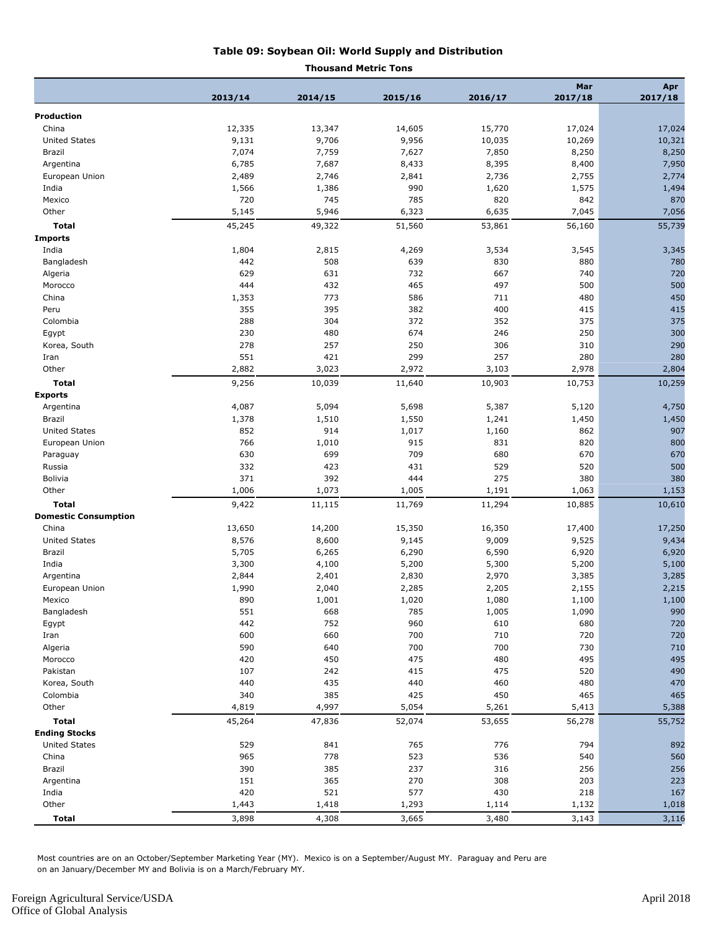#### **Table 09: Soybean Oil: World Supply and Distribution**

#### **Thousand Metric Tons**

|                             |         |         |         |         | Mar             | Apr     |
|-----------------------------|---------|---------|---------|---------|-----------------|---------|
|                             | 2013/14 | 2014/15 | 2015/16 | 2016/17 | 2017/18         | 2017/18 |
| <b>Production</b>           |         |         |         |         |                 |         |
| China                       | 12,335  | 13,347  | 14,605  | 15,770  | 17,024          | 17,024  |
| <b>United States</b>        | 9,131   | 9,706   | 9,956   | 10,035  |                 | 10,321  |
| Brazil                      | 7,074   | 7,759   | 7,627   | 7,850   | 10,269<br>8,250 | 8,250   |
| Argentina                   | 6,785   | 7,687   | 8,433   | 8,395   | 8,400           | 7,950   |
| European Union              | 2,489   | 2,746   | 2,841   | 2,736   | 2,755           | 2,774   |
| India                       | 1,566   | 1,386   | 990     | 1,620   | 1,575           | 1,494   |
| Mexico                      | 720     | 745     | 785     | 820     | 842             | 870     |
| Other                       | 5,145   | 5,946   | 6,323   | 6,635   | 7,045           | 7,056   |
| <b>Total</b>                | 45,245  | 49,322  | 51,560  | 53,861  | 56,160          | 55,739  |
| <b>Imports</b>              |         |         |         |         |                 |         |
| India                       | 1,804   | 2,815   | 4,269   | 3,534   | 3,545           | 3,345   |
| Bangladesh                  | 442     | 508     | 639     | 830     | 880             | 780     |
| Algeria                     | 629     | 631     | 732     | 667     | 740             | 720     |
| Morocco                     | 444     | 432     | 465     | 497     | 500             | 500     |
| China                       | 1,353   | 773     | 586     | 711     | 480             | 450     |
| Peru                        | 355     | 395     | 382     | 400     | 415             | 415     |
| Colombia                    | 288     | 304     | 372     | 352     | 375             | 375     |
| Egypt                       | 230     | 480     | 674     | 246     | 250             | 300     |
| Korea, South                | 278     | 257     | 250     | 306     | 310             | 290     |
| Iran                        | 551     | 421     | 299     | 257     | 280             | 280     |
| Other                       | 2,882   | 3,023   | 2,972   | 3,103   | 2,978           | 2,804   |
| <b>Total</b>                | 9,256   | 10,039  | 11,640  | 10,903  | 10,753          | 10,259  |
| <b>Exports</b>              |         |         |         |         |                 |         |
| Argentina                   | 4,087   | 5,094   | 5,698   | 5,387   | 5,120           | 4,750   |
| Brazil                      | 1,378   | 1,510   | 1,550   | 1,241   | 1,450           | 1,450   |
| <b>United States</b>        | 852     | 914     | 1,017   | 1,160   | 862             | 907     |
| European Union              | 766     | 1,010   | 915     | 831     | 820             | 800     |
| Paraguay                    | 630     | 699     | 709     | 680     | 670             | 670     |
| Russia                      | 332     | 423     | 431     | 529     | 520             | 500     |
| Bolivia                     | 371     | 392     | 444     | 275     | 380             | 380     |
| Other                       | 1,006   | 1,073   | 1,005   | 1,191   | 1,063           | 1,153   |
| Total                       | 9,422   | 11,115  | 11,769  | 11,294  | 10,885          | 10,610  |
| <b>Domestic Consumption</b> |         |         |         |         |                 |         |
| China                       | 13,650  | 14,200  | 15,350  | 16,350  | 17,400          | 17,250  |
| <b>United States</b>        | 8,576   | 8,600   | 9,145   | 9,009   | 9,525           | 9,434   |
| Brazil                      | 5,705   | 6,265   | 6,290   | 6,590   | 6,920           | 6,920   |
| India                       | 3,300   | 4,100   | 5,200   | 5,300   | 5,200           | 5,100   |
| Argentina                   | 2,844   | 2,401   | 2,830   | 2,970   | 3,385           | 3,285   |
| European Union              | 1,990   | 2,040   | 2,285   | 2,205   | 2,155           | 2,215   |
| Mexico                      | 890     | 1,001   | 1,020   | 1,080   | 1,100           | 1,100   |
| Bangladesh                  | 551     | 668     | 785     | 1,005   | 1,090           | 990     |
| Egypt                       | 442     | 752     | 960     | 610     | 680             | 720     |
| Iran                        | 600     | 660     | 700     | 710     | 720             | 720     |
| Algeria                     | 590     | 640     | 700     | 700     | 730             | 710     |
| Morocco                     | 420     | 450     | 475     | 480     | 495             | 495     |
| Pakistan                    | 107     | 242     | 415     | 475     | 520             | 490     |
| Korea, South                | 440     | 435     | 440     | 460     | 480             | 470     |
| Colombia                    | 340     | 385     | 425     | 450     | 465             | 465     |
| Other                       | 4,819   | 4,997   | 5,054   | 5,261   | 5,413           | 5,388   |
| <b>Total</b>                | 45,264  | 47,836  | 52,074  | 53,655  | 56,278          | 55,752  |
| <b>Ending Stocks</b>        |         |         |         |         |                 |         |
| <b>United States</b>        | 529     | 841     | 765     | 776     | 794             | 892     |
| China                       | 965     | 778     | 523     | 536     | 540             | 560     |
| Brazil                      | 390     | 385     | 237     | 316     | 256             | 256     |
| Argentina                   | 151     | 365     | 270     | 308     | 203             | 223     |
| India                       | 420     | 521     | 577     | 430     | 218             | 167     |
| Other                       | 1,443   | 1,418   | 1,293   | 1,114   | 1,132           | 1,018   |
| Total                       | 3,898   | 4,308   | 3,665   | 3,480   | 3,143           | 3,116   |

Most countries are on an October/September Marketing Year (MY). Mexico is on a September/August MY. Paraguay and Peru are on an January/December MY and Bolivia is on a March/February MY.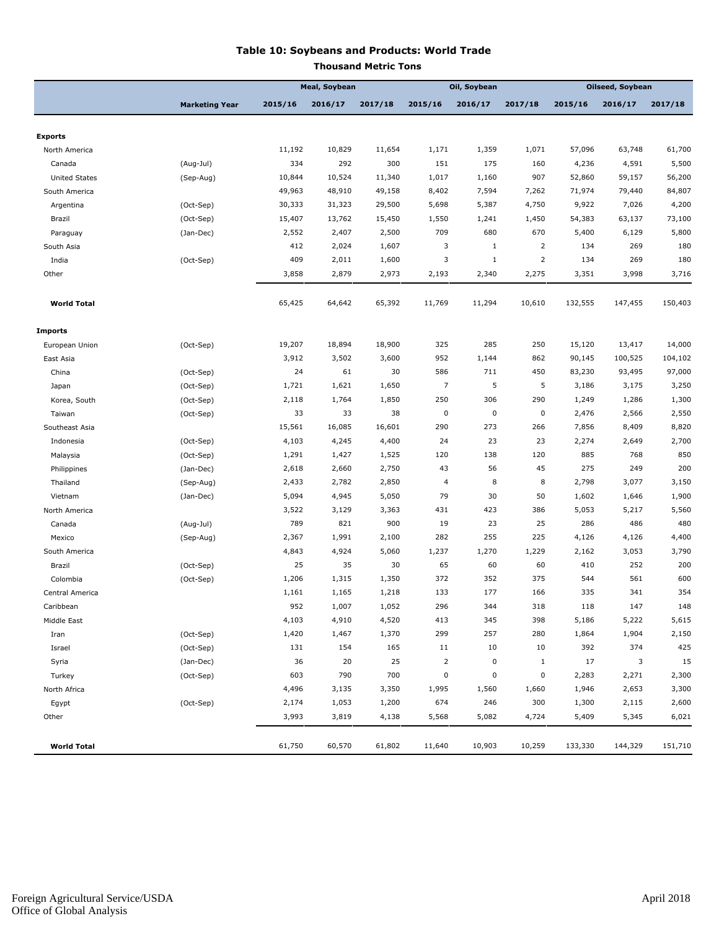#### **Table 10: Soybeans and Products: World Trade**

| Thousand Metric Tons |  |
|----------------------|--|
|                      |  |

|                      |                       |         | <b>Meal, Soybean</b> |         | Oil, Soybean   |              |                | Oilseed, Soybean |         |         |
|----------------------|-----------------------|---------|----------------------|---------|----------------|--------------|----------------|------------------|---------|---------|
|                      | <b>Marketing Year</b> | 2015/16 | 2016/17              | 2017/18 | 2015/16        | 2016/17      | 2017/18        | 2015/16          | 2016/17 | 2017/18 |
|                      |                       |         |                      |         |                |              |                |                  |         |         |
| <b>Exports</b>       |                       |         |                      |         |                |              |                |                  |         |         |
| North America        |                       | 11,192  | 10,829               | 11,654  | 1,171          | 1,359        | 1,071          | 57,096           | 63,748  | 61,700  |
| Canada               | (Aug-Jul)             | 334     | 292                  | 300     | 151            | 175          | 160            | 4,236            | 4,591   | 5,500   |
| <b>United States</b> | (Sep-Aug)             | 10,844  | 10,524               | 11,340  | 1,017          | 1,160        | 907            | 52,860           | 59,157  | 56,200  |
| South America        |                       | 49,963  | 48,910               | 49,158  | 8,402          | 7,594        | 7,262          | 71,974           | 79,440  | 84,807  |
| Argentina            | (Oct-Sep)             | 30,333  | 31,323               | 29,500  | 5,698          | 5,387        | 4,750          | 9,922            | 7,026   | 4,200   |
| Brazil               | (Oct-Sep)             | 15,407  | 13,762               | 15,450  | 1,550          | 1,241        | 1,450          | 54,383           | 63,137  | 73,100  |
| Paraguay             | (Jan-Dec)             | 2,552   | 2,407                | 2,500   | 709            | 680          | 670            | 5,400            | 6,129   | 5,800   |
| South Asia           |                       | 412     | 2,024                | 1,607   | 3              | $\mathbf{1}$ | 2              | 134              | 269     | 180     |
| India                | (Oct-Sep)             | 409     | 2,011                | 1,600   | 3              | $\mathbf 1$  | $\overline{2}$ | 134              | 269     | 180     |
| Other                |                       | 3,858   | 2,879                | 2,973   | 2,193          | 2,340        | 2,275          | 3,351            | 3,998   | 3,716   |
| <b>World Total</b>   |                       | 65,425  | 64,642               | 65,392  | 11,769         | 11,294       | 10,610         | 132,555          | 147,455 | 150,403 |
| <b>Imports</b>       |                       |         |                      |         |                |              |                |                  |         |         |
| European Union       | (Oct-Sep)             | 19,207  | 18,894               | 18,900  | 325            | 285          | 250            | 15,120           | 13,417  | 14,000  |
| East Asia            |                       | 3,912   | 3,502                | 3,600   | 952            | 1,144        | 862            | 90,145           | 100,525 | 104,102 |
| China                | (Oct-Sep)             | 24      | 61                   | 30      | 586            | 711          | 450            | 83,230           | 93,495  | 97,000  |
| Japan                | (Oct-Sep)             | 1,721   | 1,621                | 1,650   | $\overline{7}$ | 5            | 5              | 3,186            | 3,175   | 3,250   |
| Korea, South         | (Oct-Sep)             | 2,118   | 1,764                | 1,850   | 250            | 306          | 290            | 1,249            | 1,286   | 1,300   |
| Taiwan               | (Oct-Sep)             | 33      | 33                   | 38      | $\mathbf 0$    | $\pmb{0}$    | $\mathbf 0$    | 2,476            | 2,566   | 2,550   |
| Southeast Asia       |                       | 15,561  | 16,085               | 16,601  | 290            | 273          | 266            | 7,856            | 8,409   | 8,820   |
| Indonesia            | (Oct-Sep)             | 4,103   | 4,245                | 4,400   | 24             | 23           | 23             | 2,274            | 2,649   | 2,700   |
| Malaysia             | (Oct-Sep)             | 1,291   | 1,427                | 1,525   | 120            | 138          | 120            | 885              | 768     | 850     |
| Philippines          | (Jan-Dec)             | 2,618   | 2,660                | 2,750   | 43             | 56           | 45             | 275              | 249     | 200     |
| Thailand             | (Sep-Aug)             | 2,433   | 2,782                | 2,850   | 4              | 8            | 8              | 2,798            | 3,077   | 3,150   |
| Vietnam              | (Jan-Dec)             | 5,094   | 4,945                | 5,050   | 79             | 30           | 50             | 1,602            | 1,646   | 1,900   |
| North America        |                       | 3,522   | 3,129                | 3,363   | 431            | 423          | 386            | 5,053            | 5,217   | 5,560   |
| Canada               | (Aug-Jul)             | 789     | 821                  | 900     | 19             | 23           | 25             | 286              | 486     | 480     |
| Mexico               | (Sep-Aug)             | 2,367   | 1,991                | 2,100   | 282            | 255          | 225            | 4,126            | 4,126   | 4,400   |
| South America        |                       | 4,843   | 4,924                | 5,060   | 1,237          | 1,270        | 1,229          | 2,162            | 3,053   | 3,790   |
| Brazil               | (Oct-Sep)             | 25      | 35                   | 30      | 65             | 60           | 60             | 410              | 252     | 200     |
| Colombia             | (Oct-Sep)             | 1,206   | 1,315                | 1,350   | 372            | 352          | 375            | 544              | 561     | 600     |
| Central America      |                       | 1,161   | 1,165                | 1,218   | 133            | 177          | 166            | 335              | 341     | 354     |
| Caribbean            |                       | 952     | 1,007                | 1,052   | 296            | 344          | 318            | 118              | 147     | 148     |
| Middle East          |                       | 4,103   | 4,910                | 4,520   | 413            | 345          | 398            | 5,186            | 5,222   | 5,615   |
| Iran                 | (Oct-Sep)             | 1,420   | 1,467                | 1,370   | 299            | 257          | 280            | 1,864            | 1,904   | 2,150   |
| Israel               | (Oct-Sep)             | 131     | 154                  | 165     | 11             | 10           | 10             | 392              | 374     | 425     |
| Syria                | (Jan-Dec)             | 36      | 20                   | 25      | $\overline{2}$ | 0            | $\mathbf{1}$   | 17               | 3       | 15      |
| Turkey               | (Oct-Sep)             | 603     | 790                  | 700     | $\pmb{0}$      | $\pmb{0}$    | $\pmb{0}$      | 2,283            | 2,271   | 2,300   |
| North Africa         |                       | 4,496   | 3,135                | 3,350   | 1,995          | 1,560        | 1,660          | 1,946            | 2,653   | 3,300   |
| Egypt                | (Oct-Sep)             | 2,174   | 1,053                | 1,200   | 674            | 246          | 300            | 1,300            | 2,115   | 2,600   |
| Other                |                       | 3,993   | 3,819                | 4,138   | 5,568          | 5,082        | 4,724          | 5,409            | 5,345   | 6,021   |
| <b>World Total</b>   |                       | 61,750  | 60,570               | 61,802  | 11,640         | 10,903       | 10,259         | 133,330          | 144,329 | 151,710 |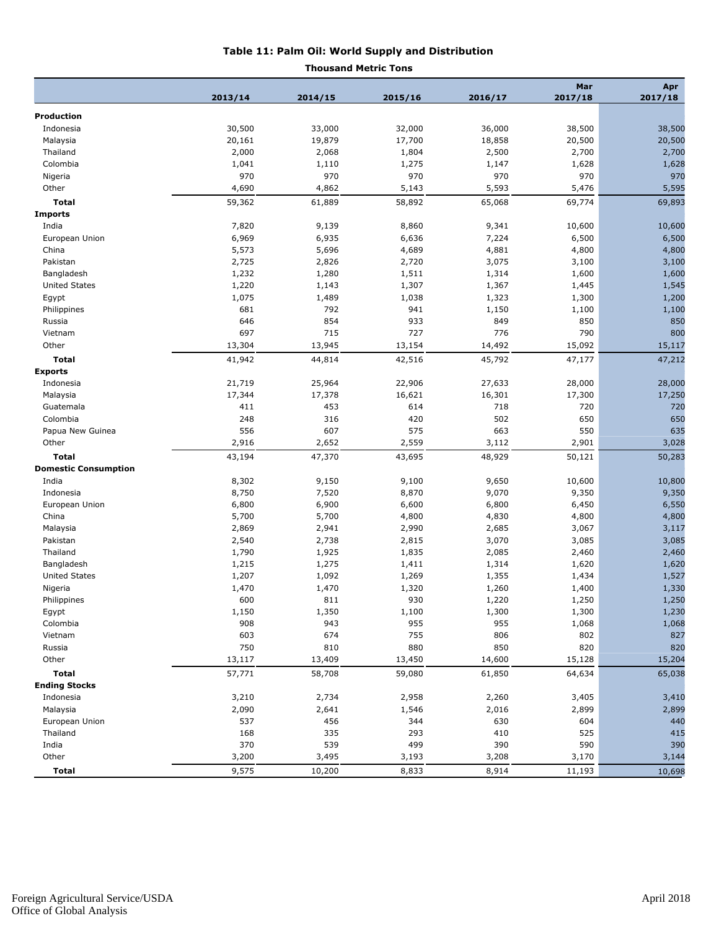#### **Table 11: Palm Oil: World Supply and Distribution**

#### **Thousand Metric Tons**

|                             |         |         |         |         | Mar     | Apr     |
|-----------------------------|---------|---------|---------|---------|---------|---------|
|                             | 2013/14 | 2014/15 | 2015/16 | 2016/17 | 2017/18 | 2017/18 |
| <b>Production</b>           |         |         |         |         |         |         |
| Indonesia                   | 30,500  | 33,000  | 32,000  | 36,000  | 38,500  | 38,500  |
| Malaysia                    | 20,161  | 19,879  | 17,700  | 18,858  | 20,500  | 20,500  |
| Thailand                    | 2,000   | 2,068   | 1,804   | 2,500   | 2,700   | 2,700   |
| Colombia                    | 1,041   | 1,110   | 1,275   | 1,147   | 1,628   | 1,628   |
| Nigeria                     | 970     | 970     | 970     | 970     | 970     | 970     |
| Other                       | 4,690   | 4,862   | 5,143   | 5,593   | 5,476   | 5,595   |
| <b>Total</b>                | 59,362  | 61,889  | 58,892  | 65,068  | 69,774  | 69,893  |
| <b>Imports</b>              |         |         |         |         |         |         |
| India                       | 7,820   | 9,139   | 8,860   | 9,341   | 10,600  | 10,600  |
| European Union              | 6,969   | 6,935   | 6,636   | 7,224   | 6,500   | 6,500   |
| China                       | 5,573   | 5,696   | 4,689   | 4,881   | 4,800   | 4,800   |
| Pakistan                    | 2,725   | 2,826   | 2,720   | 3,075   | 3,100   | 3,100   |
| Bangladesh                  | 1,232   | 1,280   | 1,511   | 1,314   | 1,600   | 1,600   |
| <b>United States</b>        | 1,220   | 1,143   | 1,307   | 1,367   | 1,445   | 1,545   |
| Egypt                       | 1,075   | 1,489   | 1,038   | 1,323   | 1,300   | 1,200   |
| Philippines                 | 681     | 792     | 941     | 1,150   | 1,100   | 1,100   |
| Russia                      | 646     | 854     | 933     | 849     | 850     | 850     |
| Vietnam                     | 697     | 715     | 727     | 776     | 790     | 800     |
| Other                       | 13,304  | 13,945  | 13,154  | 14,492  | 15,092  | 15,117  |
| <b>Total</b>                | 41,942  | 44,814  | 42,516  | 45,792  | 47,177  | 47,212  |
| <b>Exports</b>              |         |         |         |         |         |         |
| Indonesia                   | 21,719  | 25,964  | 22,906  | 27,633  | 28,000  | 28,000  |
| Malaysia                    | 17,344  | 17,378  | 16,621  | 16,301  | 17,300  | 17,250  |
| Guatemala                   | 411     | 453     | 614     | 718     | 720     | 720     |
| Colombia                    | 248     | 316     | 420     | 502     | 650     | 650     |
| Papua New Guinea            | 556     | 607     | 575     | 663     | 550     | 635     |
| Other                       | 2,916   | 2,652   | 2,559   | 3,112   | 2,901   | 3,028   |
| Total                       | 43,194  | 47,370  | 43,695  | 48,929  | 50,121  | 50,283  |
| <b>Domestic Consumption</b> |         |         |         |         |         |         |
| India                       | 8,302   | 9,150   | 9,100   | 9,650   | 10,600  | 10,800  |
| Indonesia                   | 8,750   | 7,520   | 8,870   | 9,070   | 9,350   | 9,350   |
| European Union              | 6,800   | 6,900   | 6,600   | 6,800   | 6,450   | 6,550   |
| China                       | 5,700   | 5,700   | 4,800   | 4,830   | 4,800   | 4,800   |
| Malaysia                    | 2,869   | 2,941   | 2,990   | 2,685   | 3,067   | 3,117   |
| Pakistan                    | 2,540   | 2,738   | 2,815   | 3,070   | 3,085   | 3,085   |
| Thailand                    | 1,790   | 1,925   | 1,835   | 2,085   | 2,460   | 2,460   |
| Bangladesh                  | 1,215   | 1,275   | 1,411   | 1,314   | 1,620   | 1,620   |
| <b>United States</b>        | 1,207   | 1,092   | 1,269   | 1,355   | 1,434   | 1,527   |
| Nigeria                     | 1,470   | 1,470   | 1,320   | 1,260   | 1,400   | 1,330   |
| Philippines                 | 600     | 811     | 930     | 1,220   | 1,250   | 1,250   |
| Egypt                       | 1,150   | 1,350   | 1,100   | 1,300   | 1,300   | 1,230   |
| Colombia                    | 908     | 943     | 955     | 955     | 1,068   | 1,068   |
| Vietnam                     | 603     | 674     | 755     | 806     | 802     | 827     |
| Russia                      | 750     | 810     | 880     | 850     | 820     | 820     |
| Other                       | 13,117  | 13,409  | 13,450  | 14,600  | 15,128  | 15,204  |
| <b>Total</b>                | 57,771  | 58,708  | 59,080  | 61,850  | 64,634  | 65,038  |
| <b>Ending Stocks</b>        |         |         |         |         |         |         |
| Indonesia                   | 3,210   | 2,734   | 2,958   | 2,260   | 3,405   | 3,410   |
| Malaysia                    | 2,090   | 2,641   | 1,546   | 2,016   | 2,899   | 2,899   |
| European Union              | 537     | 456     | 344     | 630     | 604     | 440     |
| Thailand                    | 168     | 335     | 293     | 410     | 525     | 415     |
| India                       | 370     | 539     | 499     | 390     | 590     | 390     |
| Other                       | 3,200   | 3,495   | 3,193   | 3,208   | 3,170   | 3,144   |
| <b>Total</b>                | 9,575   | 10,200  | 8,833   | 8,914   | 11,193  | 10,698  |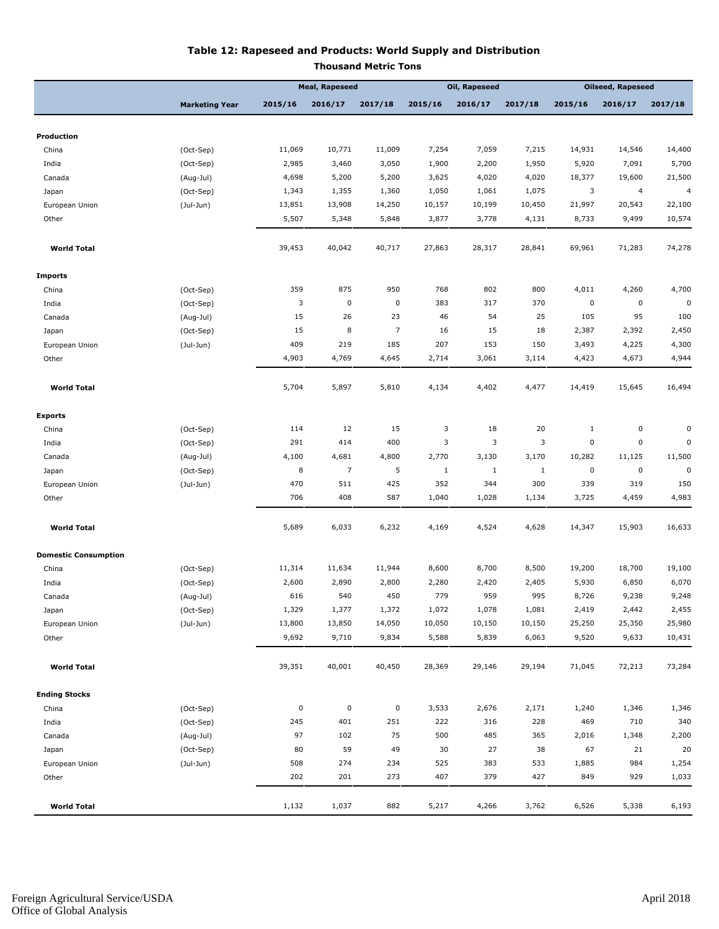#### **Table 12: Rapeseed and Products: World Supply and Distribution Thousand Metric Tons**

|                             |                       | <b>Meal, Rapeseed</b> |                |                | Oil, Rapeseed |              |             | <b>Oilseed, Rapeseed</b> |             |          |
|-----------------------------|-----------------------|-----------------------|----------------|----------------|---------------|--------------|-------------|--------------------------|-------------|----------|
|                             | <b>Marketing Year</b> | 2015/16               | 2016/17        | 2017/18        | 2015/16       | 2016/17      | 2017/18     | 2015/16                  | 2016/17     | 2017/18  |
| Production                  |                       |                       |                |                |               |              |             |                          |             |          |
| China                       | (Oct-Sep)             | 11,069                | 10,771         | 11,009         | 7,254         | 7,059        | 7,215       | 14,931                   | 14,546      | 14,400   |
| India                       | (Oct-Sep)             | 2,985                 | 3,460          | 3,050          | 1,900         | 2,200        | 1,950       | 5,920                    | 7,091       | 5,700    |
| Canada                      | (Aug-Jul)             | 4,698                 | 5,200          | 5,200          | 3,625         | 4,020        | 4,020       | 18,377                   | 19,600      | 21,500   |
| Japan                       | (Oct-Sep)             | 1,343                 | 1,355          | 1,360          | 1,050         | 1,061        | 1,075       | 3                        | 4           | 4        |
| European Union              | $($ Jul-Jun $)$       | 13,851                | 13,908         | 14,250         | 10,157        | 10,199       | 10,450      | 21,997                   | 20,543      | 22,100   |
| Other                       |                       | 5,507                 | 5,348          | 5,848          | 3,877         | 3,778        | 4,131       | 8,733                    | 9,499       | 10,574   |
| <b>World Total</b>          |                       | 39,453                | 40,042         | 40,717         | 27,863        | 28,317       | 28,841      | 69,961                   | 71,283      | 74,278   |
| <b>Imports</b>              |                       |                       |                |                |               |              |             |                          |             |          |
| China                       | (Oct-Sep)             | 359                   | 875            | 950            | 768           | 802          | 800         | 4,011                    | 4,260       | 4,700    |
| India                       | (Oct-Sep)             | 3                     | $\pmb{0}$      | $\pmb{0}$      | 383           | 317          | 370         | 0                        | 0           | 0        |
| Canada                      | (Aug-Jul)             | 15                    | 26             | 23             | 46            | 54           | 25          | 105                      | 95          | 100      |
| Japan                       | (Oct-Sep)             | 15                    | 8              | $\overline{7}$ | 16            | 15           | 18          | 2,387                    | 2,392       | 2,450    |
| European Union              | (Jul-Jun)             | 409                   | 219            | 185            | 207           | 153          | 150         | 3,493                    | 4,225       | 4,300    |
| Other                       |                       | 4,903                 | 4,769          | 4,645          | 2,714         | 3,061        | 3,114       | 4,423                    | 4,673       | 4,944    |
| <b>World Total</b>          |                       | 5,704                 | 5,897          | 5,810          | 4,134         | 4,402        | 4,477       | 14,419                   | 15,645      | 16,494   |
| <b>Exports</b>              |                       |                       |                |                |               |              |             |                          |             |          |
| China                       | (Oct-Sep)             | 114                   | 12             | 15             | 3             | 18           | 20          | $\mathbf{1}$             | 0           | 0        |
| India                       | (Oct-Sep)             | 291                   | 414            | 400            | 3             | 3            | 3           | 0                        | $\mathbf 0$ | $\Omega$ |
| Canada                      | (Aug-Jul)             | 4,100                 | 4,681          | 4,800          | 2,770         | 3,130        | 3,170       | 10,282                   | 11,125      | 11,500   |
| Japan                       | (Oct-Sep)             | 8                     | $\overline{7}$ | 5              | $\mathbf{1}$  | $\mathbf{1}$ | $\mathbf 1$ | $\pmb{0}$                | $\pmb{0}$   | 0        |
| European Union              | $($ Jul-Jun $)$       | 470                   | 511            | 425            | 352           | 344          | 300         | 339                      | 319         | 150      |
| Other                       |                       | 706                   | 408            | 587            | 1,040         | 1,028        | 1,134       | 3,725                    | 4,459       | 4,983    |
| <b>World Total</b>          |                       | 5,689                 | 6,033          | 6,232          | 4,169         | 4,524        | 4,628       | 14,347                   | 15,903      | 16,633   |
| <b>Domestic Consumption</b> |                       |                       |                |                |               |              |             |                          |             |          |
| China                       | (Oct-Sep)             | 11,314                | 11,634         | 11,944         | 8,600         | 8,700        | 8,500       | 19,200                   | 18,700      | 19,100   |
| India                       | (Oct-Sep)             | 2,600                 | 2,890          | 2,800          | 2,280         | 2,420        | 2,405       | 5,930                    | 6,850       | 6,070    |
| Canada                      | (Aug-Jul)             | 616                   | 540            | 450            | 779           | 959          | 995         | 8,726                    | 9,238       | 9,248    |
| Japan                       | (Oct-Sep)             | 1,329                 | 1,377          | 1,372          | 1,072         | 1,078        | 1,081       | 2,419                    | 2,442       | 2,455    |
| European Union              | $(Jul-Jun)$           | 13,800                | 13,850         | 14,050         | 10,050        | 10,150       | 10,150      | 25,250                   | 25,350      | 25,980   |
| Other                       |                       | 9,692                 | 9,710          | 9,834          | 5,588         | 5,839        | 6,063       | 9,520                    | 9,633       | 10,431   |
| <b>World Total</b>          |                       | 39,351                | 40,001         | 40,450         | 28,369        | 29,146       | 29,194      | 71,045                   | 72,213      | 73,284   |
| <b>Ending Stocks</b>        |                       |                       |                |                |               |              |             |                          |             |          |
| China                       | (Oct-Sep)             | $\pmb{0}$             | $\pmb{0}$      | $\pmb{0}$      | 3,533         | 2,676        | 2,171       | 1,240                    | 1,346       | 1,346    |
| India                       | (Oct-Sep)             | 245                   | 401            | 251            | 222           | 316          | 228         | 469                      | 710         | 340      |
| Canada                      | (Aug-Jul)             | 97                    | 102            | 75             | 500           | 485          | 365         | 2,016                    | 1,348       | 2,200    |
| Japan                       | (Oct-Sep)             | 80                    | 59             | 49             | 30            | 27           | 38          | 67                       | 21          | 20       |
| European Union              | $($ Jul-Jun $)$       | 508                   | 274            | 234            | 525           | 383          | 533         | 1,885                    | 984         | 1,254    |
| Other                       |                       | 202                   | 201            | 273            | 407           | 379          | 427         | 849                      | 929         | 1,033    |
| <b>World Total</b>          |                       | 1,132                 | 1,037          | 882            | 5,217         | 4,266        | 3,762       | 6,526                    | 5,338       | 6,193    |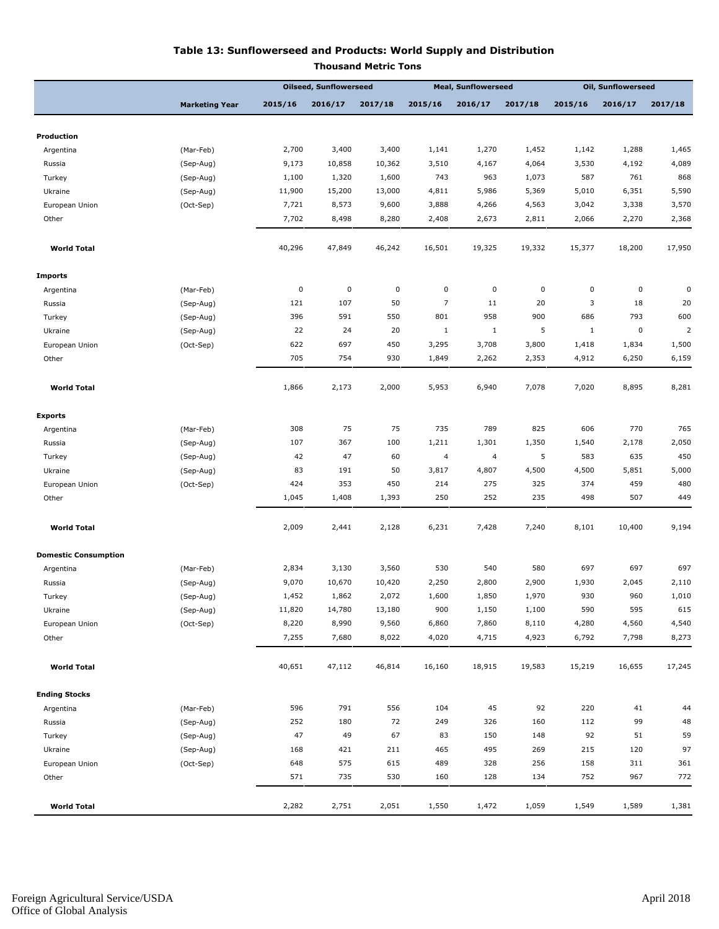#### **Table 13: Sunflowerseed and Products: World Supply and Distribution**

|                             |                       | <b>Oilseed, Sunflowerseed</b> |           | <b>Meal, Sunflowerseed</b> |                         |                | <b>Oil, Sunflowerseed</b> |              |         |                |
|-----------------------------|-----------------------|-------------------------------|-----------|----------------------------|-------------------------|----------------|---------------------------|--------------|---------|----------------|
|                             | <b>Marketing Year</b> | 2015/16                       | 2016/17   | 2017/18                    | 2015/16                 | 2016/17        | 2017/18                   | 2015/16      | 2016/17 | 2017/18        |
|                             |                       |                               |           |                            |                         |                |                           |              |         |                |
| Production                  |                       |                               |           |                            |                         |                |                           |              |         |                |
| Argentina                   | (Mar-Feb)             | 2,700                         | 3,400     | 3,400                      | 1,141                   | 1,270          | 1,452                     | 1,142        | 1,288   | 1,465<br>4,089 |
| Russia                      | (Sep-Aug)             | 9,173                         | 10,858    | 10,362                     | 3,510                   | 4,167          | 4,064                     | 3,530        | 4,192   |                |
| Turkey                      | (Sep-Aug)             | 1,100                         | 1,320     | 1,600                      | 743                     | 963            | 1,073                     | 587          | 761     | 868            |
| Ukraine                     | (Sep-Aug)             | 11,900                        | 15,200    | 13,000                     | 4,811                   | 5,986          | 5,369                     | 5,010        | 6,351   | 5,590          |
| European Union              | (Oct-Sep)             | 7,721                         | 8,573     | 9,600                      | 3,888                   | 4,266          | 4,563                     | 3,042        | 3,338   | 3,570          |
| Other                       |                       | 7,702                         | 8,498     | 8,280                      | 2,408                   | 2,673          | 2,811                     | 2,066        | 2,270   | 2,368          |
| <b>World Total</b>          |                       | 40,296                        | 47,849    | 46,242                     | 16,501                  | 19,325         | 19,332                    | 15,377       | 18,200  | 17,950         |
| <b>Imports</b>              |                       |                               |           |                            |                         |                |                           |              |         |                |
| Argentina                   | (Mar-Feb)             | $\pmb{0}$                     | $\pmb{0}$ | $\pmb{0}$                  | $\mathsf{O}\xspace$     | $\pmb{0}$      | 0                         | $\pmb{0}$    | 0       | 0              |
| Russia                      | (Sep-Aug)             | 121                           | 107       | 50                         | $\overline{7}$          | 11             | 20                        | 3            | 18      | 20             |
| Turkey                      | (Sep-Aug)             | 396                           | 591       | 550                        | 801                     | 958            | 900                       | 686          | 793     | 600            |
| Ukraine                     | (Sep-Aug)             | 22                            | 24        | 20                         | $\mathbf{1}$            | $\mathbf{1}$   | 5                         | $\mathbf{1}$ | 0       | 2              |
| European Union              | (Oct-Sep)             | 622                           | 697       | 450                        | 3,295                   | 3,708          | 3,800                     | 1,418        | 1,834   | 1,500          |
| Other                       |                       | 705                           | 754       | 930                        | 1,849                   | 2,262          | 2,353                     | 4,912        | 6,250   | 6,159          |
| <b>World Total</b>          |                       | 1,866                         | 2,173     | 2,000                      | 5,953                   | 6,940          | 7,078                     | 7,020        | 8,895   | 8,281          |
| <b>Exports</b>              |                       |                               |           |                            |                         |                |                           |              |         |                |
| Argentina                   | (Mar-Feb)             | 308                           | 75        | 75                         | 735                     | 789            | 825                       | 606          | 770     | 765            |
| Russia                      | (Sep-Aug)             | 107                           | 367       | 100                        | 1,211                   | 1,301          | 1,350                     | 1,540        | 2,178   | 2,050          |
| Turkey                      | (Sep-Aug)             | 42                            | 47        | 60                         | $\overline{\mathbf{4}}$ | $\overline{a}$ | 5                         | 583          | 635     | 450            |
| Ukraine                     | (Sep-Aug)             | 83                            | 191       | 50                         | 3,817                   | 4,807          | 4,500                     | 4,500        | 5,851   | 5,000          |
| European Union              | (Oct-Sep)             | 424                           | 353       | 450                        | 214                     | 275            | 325                       | 374          | 459     | 480            |
| Other                       |                       | 1,045                         | 1,408     | 1,393                      | 250                     | 252            | 235                       | 498          | 507     | 449            |
| <b>World Total</b>          |                       | 2,009                         | 2,441     | 2,128                      | 6,231                   | 7,428          | 7,240                     | 8,101        | 10,400  | 9,194          |
| <b>Domestic Consumption</b> |                       |                               |           |                            |                         |                |                           |              |         |                |
| Argentina                   | (Mar-Feb)             | 2,834                         | 3,130     | 3,560                      | 530                     | 540            | 580                       | 697          | 697     | 697            |
| Russia                      | (Sep-Aug)             | 9,070                         | 10,670    | 10,420                     | 2,250                   | 2,800          | 2,900                     | 1,930        | 2,045   | 2,110          |
| Turkey                      | (Sep-Aug)             | 1,452                         | 1,862     | 2,072                      | 1,600                   | 1,850          | 1,970                     | 930          | 960     | 1,010          |
| Ukraine                     | (Sep-Aug)             | 11,820                        | 14,780    | 13,180                     | 900                     | 1,150          | 1,100                     | 590          | 595     | 615            |
| European Union              | (Oct-Sep)             | 8,220                         | 8,990     | 9,560                      | 6,860                   | 7,860          | 8,110                     | 4,280        | 4,560   | 4,540          |
| Other                       |                       | 7,255                         | 7,680     | 8,022                      | 4,020                   | 4,715          | 4,923                     | 6,792        | 7,798   | 8,273          |
| <b>World Total</b>          |                       | 40,651                        | 47,112    | 46,814                     | 16,160                  | 18,915         | 19,583                    | 15,219       | 16,655  | 17,245         |
| <b>Ending Stocks</b>        |                       |                               |           |                            |                         |                |                           |              |         |                |
| Argentina                   | (Mar-Feb)             | 596                           | 791       | 556                        | 104                     | 45             | 92                        | 220          | 41      | 44             |
| Russia                      | (Sep-Aug)             | 252                           | 180       | 72                         | 249                     | 326            | 160                       | 112          | 99      | 48             |
| Turkey                      | (Sep-Aug)             | 47                            | 49        | 67                         | 83                      | 150            | 148                       | 92           | 51      | 59             |
| Ukraine                     | (Sep-Aug)             | 168                           | 421       | 211                        | 465                     | 495            | 269                       | 215          | 120     | 97             |
| European Union              | (Oct-Sep)             | 648                           | 575       | 615                        | 489                     | 328            | 256                       | 158          | 311     | 361            |
| Other                       |                       | 571                           | 735       | 530                        | 160                     | 128            | 134                       | 752          | 967     | 772            |
|                             |                       |                               |           |                            |                         |                |                           |              |         |                |

 **World Total** 2,282 2,751 2,051 1,550 1,472 1,059 1,549 1,589 1,381

**Thousand Metric Tons**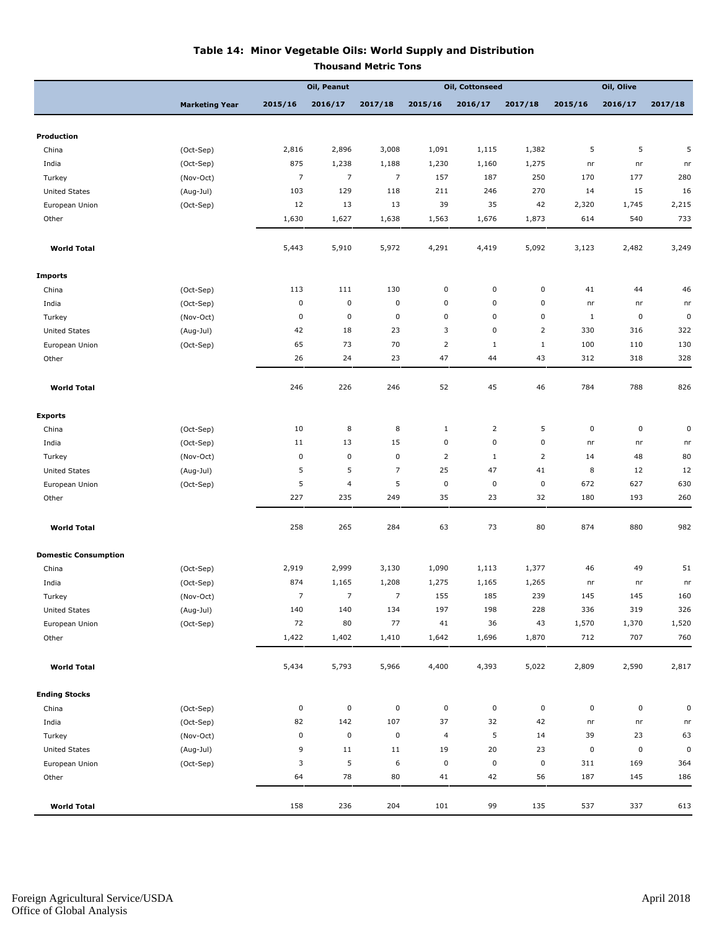#### **Table 14: Minor Vegetable Oils: World Supply and Distribution**

**Thousand Metric Tons**

|                             |                       | Oil, Peanut    |                          | Oil, Cottonseed |                         |                | Oil, Olive     |           |           |            |
|-----------------------------|-----------------------|----------------|--------------------------|-----------------|-------------------------|----------------|----------------|-----------|-----------|------------|
|                             | <b>Marketing Year</b> | 2015/16        | 2016/17                  | 2017/18         | 2015/16                 | 2016/17        | 2017/18        | 2015/16   | 2016/17   | 2017/18    |
|                             |                       |                |                          |                 |                         |                |                |           |           |            |
| Production                  |                       |                |                          |                 |                         |                |                |           |           |            |
| China                       | (Oct-Sep)             | 2,816          | 2,896                    | 3,008           | 1,091                   | 1,115          | 1,382          | 5         | 5         | 5          |
| India                       | (Oct-Sep)             | 875            | 1,238                    | 1,188           | 1,230                   | 1,160          | 1,275          | nr        | nr        | nr         |
| Turkey                      | (Nov-Oct)             | $\overline{7}$ | $\overline{7}$           | $\overline{7}$  | 157                     | 187            | 250            | 170       | 177       | 280        |
| <b>United States</b>        | (Aug-Jul)             | 103            | 129                      | 118             | 211                     | 246            | 270            | 14        | 15        | 16         |
| European Union              | (Oct-Sep)             | 12             | 13                       | 13              | 39                      | 35             | 42             | 2,320     | 1,745     | 2,215      |
| Other                       |                       | 1,630          | 1,627                    | 1,638           | 1,563                   | 1,676          | 1,873          | 614       | 540       | 733        |
| <b>World Total</b>          |                       | 5,443          | 5,910                    | 5,972           | 4,291                   | 4,419          | 5,092          | 3,123     | 2,482     | 3,249      |
| <b>Imports</b>              |                       |                |                          |                 |                         |                |                |           |           |            |
| China                       | (Oct-Sep)             | 113            | 111                      | 130             | 0                       | 0              | $\pmb{0}$      | 41        | 44        | 46         |
| India                       | (Oct-Sep)             | $\pmb{0}$      | $\pmb{0}$                | 0               | $\pmb{0}$               | $\pmb{0}$      | $\pmb{0}$      | nr        | nr        | nr         |
| Turkey                      | (Nov-Oct)             | $\pmb{0}$      | $\pmb{0}$                | $\pmb{0}$       | 0                       | 0              | 0              | $1\,$     | 0         | $\pmb{0}$  |
| <b>United States</b>        | (Aug-Jul)             | 42             | 18                       | 23              | 3                       | 0              | $\overline{2}$ | 330       | 316       | 322        |
| European Union              | (Oct-Sep)             | 65             | 73                       | 70              | $\overline{2}$          | $\mathbf{1}$   | $1\,$          | 100       | 110       | 130        |
| Other                       |                       | 26             | 24                       | 23              | 47                      | 44             | 43             | 312       | 318       | 328        |
| <b>World Total</b>          |                       | 246            | 226                      | 246             | 52                      | 45             | 46             | 784       | 788       | 826        |
| <b>Exports</b>              |                       |                |                          |                 |                         |                |                |           |           |            |
| China                       | (Oct-Sep)             | 10             | 8                        | 8               | $1\,$                   | $\overline{2}$ | 5              | 0         | 0         | $\pmb{0}$  |
| India                       | (Oct-Sep)             | 11             | 13                       | 15              | $\pmb{0}$               | $\pmb{0}$      | $\pmb{0}$      | nr        | nr        | n <b>r</b> |
| Turkey                      | (Nov-Oct)             | $\pmb{0}$      | $\mathbf 0$              | $\pmb{0}$       | $\overline{2}$          | $\mathbf{1}$   | $\overline{2}$ | 14        | 48        | 80         |
| <b>United States</b>        | (Aug-Jul)             | 5              | 5                        | $\overline{7}$  | 25                      | 47             | 41             | 8         | 12        | 12         |
| European Union              | (Oct-Sep)             | 5              | $\overline{\mathcal{L}}$ | 5               | $\pmb{0}$               | $\pmb{0}$      | $\pmb{0}$      | 672       | 627       | 630        |
| Other                       |                       | 227            | 235                      | 249             | 35                      | 23             | 32             | 180       | 193       | 260        |
| <b>World Total</b>          |                       | 258            | 265                      | 284             | 63                      | 73             | 80             | 874       | 880       | 982        |
| <b>Domestic Consumption</b> |                       |                |                          |                 |                         |                |                |           |           |            |
| China                       | (Oct-Sep)             | 2,919          | 2,999                    | 3,130           | 1,090                   | 1,113          | 1,377          | 46        | 49        | 51         |
| India                       | (Oct-Sep)             | 874            | 1,165                    | 1,208           | 1,275                   | 1,165          | 1,265          | nr        | nr        | nr         |
| Turkey                      | (Nov-Oct)             | $\overline{7}$ | $\overline{7}$           | 7               | 155                     | 185            | 239            | 145       | 145       | 160        |
| <b>United States</b>        | (Aug-Jul)             | 140            | 140                      | 134             | 197                     | 198            | 228            | 336       | 319       | 326        |
| European Union              | (Oct-Sep)             | 72             | 80                       | 77              | 41                      | 36             | 43             | 1,570     | 1,370     | 1,520      |
| Other                       |                       | 1,422          | 1,402                    | 1,410           | 1,642                   | 1,696          | 1,870          | 712       | 707       | 760        |
| <b>World Total</b>          |                       | 5,434          | 5,793                    | 5,966           | 4,400                   | 4,393          | 5,022          | 2,809     | 2,590     | 2,817      |
| <b>Ending Stocks</b>        |                       |                |                          |                 |                         |                |                |           |           |            |
| China                       | (Oct-Sep)             | $\pmb{0}$      | $\pmb{0}$                | 0               | $\pmb{0}$               | 0              | $\mathsf 0$    | $\pmb{0}$ | 0         | $\pmb{0}$  |
| India                       | (Oct-Sep)             | 82             | 142                      | 107             | 37                      | 32             | 42             | nr        | nr        | nr         |
| Turkey                      | (Nov-Oct)             | $\pmb{0}$      | $\pmb{0}$                | 0               | $\overline{\mathbf{4}}$ | 5              | 14             | 39        | 23        | 63         |
| <b>United States</b>        | (Aug-Jul)             | 9              | 11                       | 11              | 19                      | 20             | 23             | $\pmb{0}$ | $\pmb{0}$ | $\pmb{0}$  |
| European Union              | (Oct-Sep)             | 3              | 5                        | 6               | $\pmb{0}$               | 0              | $\pmb{0}$      | 311       | 169       | 364        |
| Other                       |                       | 64             | 78                       | 80              | 41                      | 42             | 56             | 187       | 145       | 186        |
| <b>World Total</b>          |                       | 158            | 236                      | 204             | 101                     | 99             | 135            | 537       | 337       | 613        |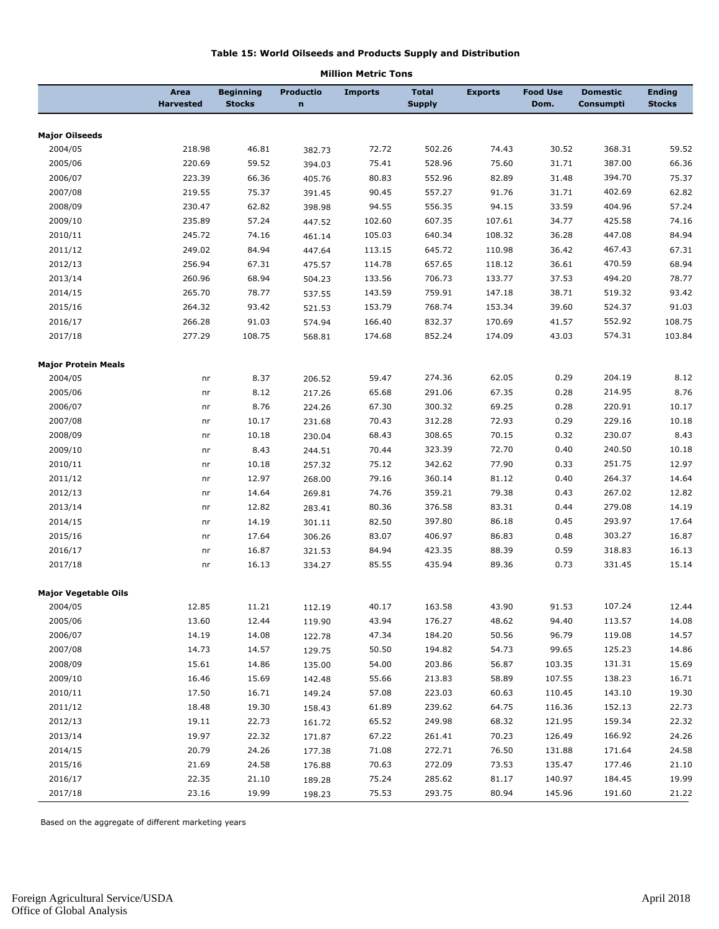#### **Table 15: World Oilseeds and Products Supply and Distribution**

|                             | Area<br><b>Harvested</b> | <b>Beginning</b><br><b>Stocks</b> | Productio<br>n | <b>Imports</b> | <b>Total</b><br><b>Supply</b> | <b>Exports</b> | <b>Food Use</b><br>Dom. | <b>Domestic</b><br>Consumpti | <b>Ending</b><br><b>Stocks</b> |
|-----------------------------|--------------------------|-----------------------------------|----------------|----------------|-------------------------------|----------------|-------------------------|------------------------------|--------------------------------|
|                             |                          |                                   |                |                |                               |                |                         |                              |                                |
| <b>Major Oilseeds</b>       |                          |                                   |                |                |                               |                |                         |                              |                                |
| 2004/05                     | 218.98                   | 46.81                             | 382.73         | 72.72          | 502.26                        | 74.43          | 30.52                   | 368.31                       | 59.52                          |
| 2005/06                     | 220.69                   | 59.52                             | 394.03         | 75.41          | 528.96                        | 75.60          | 31.71                   | 387.00                       | 66.36                          |
| 2006/07                     | 223.39                   | 66.36                             | 405.76         | 80.83          | 552.96                        | 82.89          | 31.48                   | 394.70                       | 75.37                          |
| 2007/08                     | 219.55                   | 75.37                             | 391.45         | 90.45          | 557.27                        | 91.76          | 31.71                   | 402.69                       | 62.82                          |
| 2008/09                     | 230.47                   | 62.82                             | 398.98         | 94.55          | 556.35                        | 94.15          | 33.59                   | 404.96                       | 57.24                          |
| 2009/10                     | 235.89                   | 57.24                             | 447.52         | 102.60         | 607.35                        | 107.61         | 34.77                   | 425.58                       | 74.16                          |
| 2010/11                     | 245.72                   | 74.16                             | 461.14         | 105.03         | 640.34                        | 108.32         | 36.28                   | 447.08                       | 84.94                          |
| 2011/12                     | 249.02                   | 84.94                             | 447.64         | 113.15         | 645.72                        | 110.98         | 36.42                   | 467.43                       | 67.31                          |
| 2012/13                     | 256.94                   | 67.31                             | 475.57         | 114.78         | 657.65                        | 118.12         | 36.61                   | 470.59                       | 68.94                          |
| 2013/14                     | 260.96                   | 68.94                             | 504.23         | 133.56         | 706.73                        | 133.77         | 37.53                   | 494.20                       | 78.77                          |
| 2014/15                     | 265.70                   | 78.77                             | 537.55         | 143.59         | 759.91                        | 147.18         | 38.71                   | 519.32                       | 93.42                          |
| 2015/16                     | 264.32                   | 93.42                             | 521.53         | 153.79         | 768.74                        | 153.34         | 39.60                   | 524.37                       | 91.03                          |
| 2016/17                     | 266.28                   | 91.03                             | 574.94         | 166.40         | 832.37                        | 170.69         | 41.57                   | 552.92                       | 108.75                         |
| 2017/18                     | 277.29                   | 108.75                            | 568.81         | 174.68         | 852.24                        | 174.09         | 43.03                   | 574.31                       | 103.84                         |
| <b>Major Protein Meals</b>  |                          |                                   |                |                |                               |                |                         |                              |                                |
| 2004/05                     | nr                       | 8.37                              | 206.52         | 59.47          | 274.36                        | 62.05          | 0.29                    | 204.19                       | 8.12                           |
| 2005/06                     | nr                       | 8.12                              | 217.26         | 65.68          | 291.06                        | 67.35          | 0.28                    | 214.95                       | 8.76                           |
| 2006/07                     | nr                       | 8.76                              | 224.26         | 67.30          | 300.32                        | 69.25          | 0.28                    | 220.91                       | 10.17                          |
| 2007/08                     | nr                       | 10.17                             | 231.68         | 70.43          | 312.28                        | 72.93          | 0.29                    | 229.16                       | 10.18                          |
| 2008/09                     | nr                       | 10.18                             | 230.04         | 68.43          | 308.65                        | 70.15          | 0.32                    | 230.07                       | 8.43                           |
| 2009/10                     | nr                       | 8.43                              | 244.51         | 70.44          | 323.39                        | 72.70          | 0.40                    | 240.50                       | 10.18                          |
| 2010/11                     | nr                       | 10.18                             | 257.32         | 75.12          | 342.62                        | 77.90          | 0.33                    | 251.75                       | 12.97                          |
| 2011/12                     | nr                       | 12.97                             | 268.00         | 79.16          | 360.14                        | 81.12          | 0.40                    | 264.37                       | 14.64                          |
| 2012/13                     | nr                       | 14.64                             | 269.81         | 74.76          | 359.21                        | 79.38          | 0.43                    | 267.02                       | 12.82                          |
| 2013/14                     | nr                       | 12.82                             | 283.41         | 80.36          | 376.58                        | 83.31          | 0.44                    | 279.08                       | 14.19                          |
| 2014/15                     | nr                       | 14.19                             | 301.11         | 82.50          | 397.80                        | 86.18          | 0.45                    | 293.97                       | 17.64                          |
| 2015/16                     | nr                       | 17.64                             | 306.26         | 83.07          | 406.97                        | 86.83          | 0.48                    | 303.27                       | 16.87                          |
| 2016/17                     | nr                       | 16.87                             | 321.53         | 84.94          | 423.35                        | 88.39          | 0.59                    | 318.83                       | 16.13                          |
| 2017/18                     | nr                       | 16.13                             | 334.27         | 85.55          | 435.94                        | 89.36          | 0.73                    | 331.45                       | 15.14                          |
| <b>Major Vegetable Oils</b> |                          |                                   |                |                |                               |                |                         |                              |                                |
| 2004/05                     | 12.85                    | 11.21                             | 112.19         | 40.17          | 163.58                        | 43.90          | 91.53                   | 107.24                       | 12.44                          |
| 2005/06                     | 13.60                    | 12.44                             | 119.90         | 43.94          | 176.27                        | 48.62          | 94.40                   | 113.57                       | 14.08                          |
| 2006/07                     | 14.19                    | 14.08                             | 122.78         | 47.34          | 184.20                        | 50.56          | 96.79                   | 119.08                       | 14.57                          |
| 2007/08                     | 14.73                    | 14.57                             | 129.75         | 50.50          | 194.82                        | 54.73          | 99.65                   | 125.23                       | 14.86                          |
| 2008/09                     | 15.61                    | 14.86                             | 135.00         | 54.00          | 203.86                        | 56.87          | 103.35                  | 131.31                       | 15.69                          |
| 2009/10                     | 16.46                    | 15.69                             | 142.48         | 55.66          | 213.83                        | 58.89          | 107.55                  | 138.23                       | 16.71                          |
| 2010/11                     | 17.50                    | 16.71                             | 149.24         | 57.08          | 223.03                        | 60.63          | 110.45                  | 143.10                       | 19.30                          |
| 2011/12                     | 18.48                    | 19.30                             | 158.43         | 61.89          | 239.62                        | 64.75          | 116.36                  | 152.13                       | 22.73                          |
| 2012/13                     | 19.11                    | 22.73                             | 161.72         | 65.52          | 249.98                        | 68.32          | 121.95                  | 159.34                       | 22.32                          |
| 2013/14                     | 19.97                    | 22.32                             | 171.87         | 67.22          | 261.41                        | 70.23          | 126.49                  | 166.92                       | 24.26                          |
| 2014/15                     | 20.79                    | 24.26                             | 177.38         | 71.08          | 272.71                        | 76.50          | 131.88                  | 171.64                       | 24.58                          |
| 2015/16                     | 21.69                    | 24.58                             | 176.88         | 70.63          | 272.09                        | 73.53          | 135.47                  | 177.46                       | 21.10                          |
| 2016/17                     | 22.35                    | 21.10                             | 189.28         | 75.24          | 285.62                        | 81.17          | 140.97                  | 184.45                       | 19.99                          |
| 2017/18                     | 23.16                    | 19.99                             | 198.23         | 75.53          | 293.75                        | 80.94          | 145.96                  | 191.60                       | 21.22                          |

**Million Metric Tons**

Based on the aggregate of different marketing years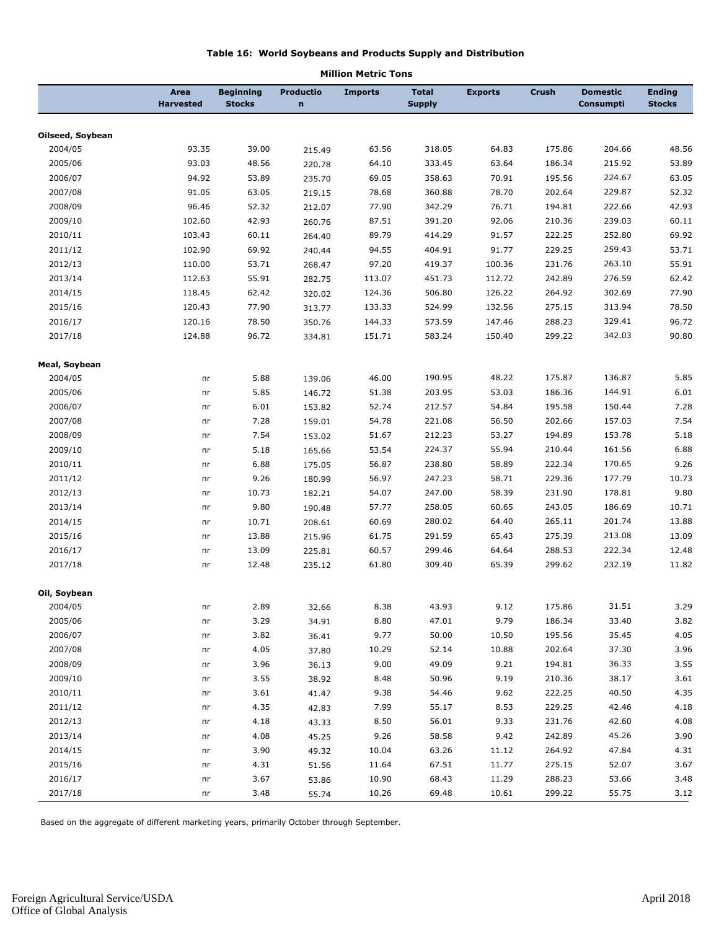#### **Table 16: World Soybeans and Products Supply and Distribution**

|                  | Area<br><b>Harvested</b> | <b>Beginning</b><br><b>Stocks</b> | <b>Productio</b><br>$\mathbf n$ | <b>Imports</b> | <b>Total</b><br><b>Supply</b> | <b>Exports</b> | <b>Crush</b> | <b>Domestic</b><br>Consumpti | <b>Ending</b><br><b>Stocks</b> |
|------------------|--------------------------|-----------------------------------|---------------------------------|----------------|-------------------------------|----------------|--------------|------------------------------|--------------------------------|
| Oilseed, Soybean |                          |                                   |                                 |                |                               |                |              |                              |                                |
| 2004/05          | 93.35                    | 39.00                             | 215.49                          | 63.56          | 318.05                        | 64.83          | 175.86       | 204.66                       | 48.56                          |
| 2005/06          | 93.03                    | 48.56                             | 220.78                          | 64.10          | 333.45                        | 63.64          | 186.34       | 215.92                       | 53.89                          |
| 2006/07          | 94.92                    | 53.89                             | 235.70                          | 69.05          | 358.63                        | 70.91          | 195.56       | 224.67                       | 63.05                          |
| 2007/08          | 91.05                    | 63.05                             | 219.15                          | 78.68          | 360.88                        | 78.70          | 202.64       | 229.87                       | 52.32                          |
| 2008/09          | 96.46                    | 52.32                             | 212.07                          | 77.90          | 342.29                        | 76.71          | 194.81       | 222.66                       | 42.93                          |
| 2009/10          | 102.60                   | 42.93                             | 260.76                          | 87.51          | 391.20                        | 92.06          | 210.36       | 239.03                       | 60.11                          |
| 2010/11          | 103.43                   | 60.11                             | 264.40                          | 89.79          | 414.29                        | 91.57          | 222.25       | 252.80                       | 69.92                          |
| 2011/12          | 102.90                   | 69.92                             | 240.44                          | 94.55          | 404.91                        | 91.77          | 229.25       | 259.43                       | 53.71                          |
| 2012/13          | 110.00                   | 53.71                             | 268.47                          | 97.20          | 419.37                        | 100.36         | 231.76       | 263.10                       | 55.91                          |
| 2013/14          | 112.63                   | 55.91                             | 282.75                          | 113.07         | 451.73                        | 112.72         | 242.89       | 276.59                       | 62.42                          |
| 2014/15          | 118.45                   | 62.42                             | 320.02                          | 124.36         | 506.80                        | 126.22         | 264.92       | 302.69                       | 77.90                          |
| 2015/16          | 120.43                   | 77.90                             | 313.77                          | 133.33         | 524.99                        | 132.56         | 275.15       | 313.94                       | 78.50                          |
| 2016/17          | 120.16                   | 78.50                             | 350.76                          | 144.33         | 573.59                        | 147.46         | 288.23       | 329.41                       | 96.72                          |
| 2017/18          | 124.88                   | 96.72                             | 334.81                          | 151.71         | 583.24                        | 150.40         | 299.22       | 342.03                       | 90.80                          |
| Meal, Soybean    |                          |                                   |                                 |                |                               |                |              |                              |                                |
| 2004/05          | nr                       | 5.88                              | 139.06                          | 46.00          | 190.95                        | 48.22          | 175.87       | 136.87                       | 5.85                           |
| 2005/06          | nr                       | 5.85                              | 146.72                          | 51.38          | 203.95                        | 53.03          | 186.36       | 144.91                       | 6.01                           |
| 2006/07          | nr                       | 6.01                              | 153.82                          | 52.74          | 212.57                        | 54.84          | 195.58       | 150.44                       | 7.28                           |
| 2007/08          | nr                       | 7.28                              | 159.01                          | 54.78          | 221.08                        | 56.50          | 202.66       | 157.03                       | 7.54                           |
| 2008/09          | nr                       | 7.54                              | 153.02                          | 51.67          | 212.23                        | 53.27          | 194.89       | 153.78                       | 5.18                           |
| 2009/10          | nr                       | 5.18                              | 165.66                          | 53.54          | 224.37                        | 55.94          | 210.44       | 161.56                       | 6.88                           |
| 2010/11          | nr                       | 6.88                              | 175.05                          | 56.87          | 238.80                        | 58.89          | 222.34       | 170.65                       | 9.26                           |
| 2011/12          | nr                       | 9.26                              | 180.99                          | 56.97          | 247.23                        | 58.71          | 229.36       | 177.79                       | 10.73                          |
| 2012/13          | nr                       | 10.73                             | 182.21                          | 54.07          | 247.00                        | 58.39          | 231.90       | 178.81                       | 9.80                           |
| 2013/14          | nr                       | 9.80                              | 190.48                          | 57.77          | 258.05                        | 60.65          | 243.05       | 186.69                       | 10.71                          |
| 2014/15          | nr                       | 10.71                             | 208.61                          | 60.69          | 280.02                        | 64.40          | 265.11       | 201.74                       | 13.88                          |
| 2015/16          | nr                       | 13.88                             | 215.96                          | 61.75          | 291.59                        | 65.43          | 275.39       | 213.08                       | 13.09                          |
| 2016/17          | nr                       | 13.09                             | 225.81                          | 60.57          | 299.46                        | 64.64          | 288.53       | 222.34                       | 12.48                          |
| 2017/18          | nr                       | 12.48                             | 235.12                          | 61.80          | 309.40                        | 65.39          | 299.62       | 232.19                       | 11.82                          |
| Oil, Soybean     |                          |                                   |                                 |                |                               |                |              |                              |                                |
| 2004/05          | nr                       | 2.89                              | 32.66                           | 8.38           | 43.93                         | 9.12           | 175.86       | 31.51                        | 3.29                           |
| 2005/06          | nr                       | 3.29                              | 34.91                           | 8.80           | 47.01                         | 9.79           | 186.34       | 33.40                        | 3.82                           |
| 2006/07          | nr                       | 3.82                              | 36.41                           | 9.77           | 50.00                         | 10.50          | 195.56       | 35.45                        | 4.05                           |
| 2007/08          | nr                       | 4.05                              | 37.80                           | 10.29          | 52.14                         | 10.88          | 202.64       | 37.30                        | 3.96                           |
| 2008/09          | nr                       | 3.96                              | 36.13                           | 9.00           | 49.09                         | 9.21           | 194.81       | 36.33                        | 3.55                           |
| 2009/10          | nr                       | 3.55                              | 38.92                           | 8.48           | 50.96                         | 9.19           | 210.36       | 38.17                        | 3.61                           |
| 2010/11          | nr                       | 3.61                              | 41.47                           | 9.38           | 54.46                         | 9.62           | 222.25       | 40.50                        | 4.35                           |
| 2011/12          | nr                       | 4.35                              | 42.83                           | 7.99           | 55.17                         | 8.53           | 229.25       | 42.46                        | 4.18                           |
| 2012/13          | nr                       | 4.18                              | 43.33                           | 8.50           | 56.01                         | 9.33           | 231.76       | 42.60                        | 4.08                           |
| 2013/14          | nr                       | 4.08                              | 45.25                           | 9.26           | 58.58                         | 9.42           | 242.89       | 45.26                        | 3.90                           |
| 2014/15          | nr                       | 3.90                              | 49.32                           | 10.04          | 63.26                         | 11.12          | 264.92       | 47.84                        | 4.31                           |
| 2015/16          | nr                       | 4.31                              | 51.56                           | 11.64          | 67.51                         | 11.77          | 275.15       | 52.07                        | 3.67                           |
| 2016/17          | nr                       | 3.67                              | 53.86                           | 10.90          | 68.43                         | 11.29          | 288.23       | 53.66                        | 3.48                           |
| 2017/18          | nr                       | 3.48                              | 55.74                           | 10.26          | 69.48                         | 10.61          | 299.22       | 55.75                        | 3.12                           |

#### **Million Metric Tons**

Based on the aggregate of different marketing years, primarily October through September.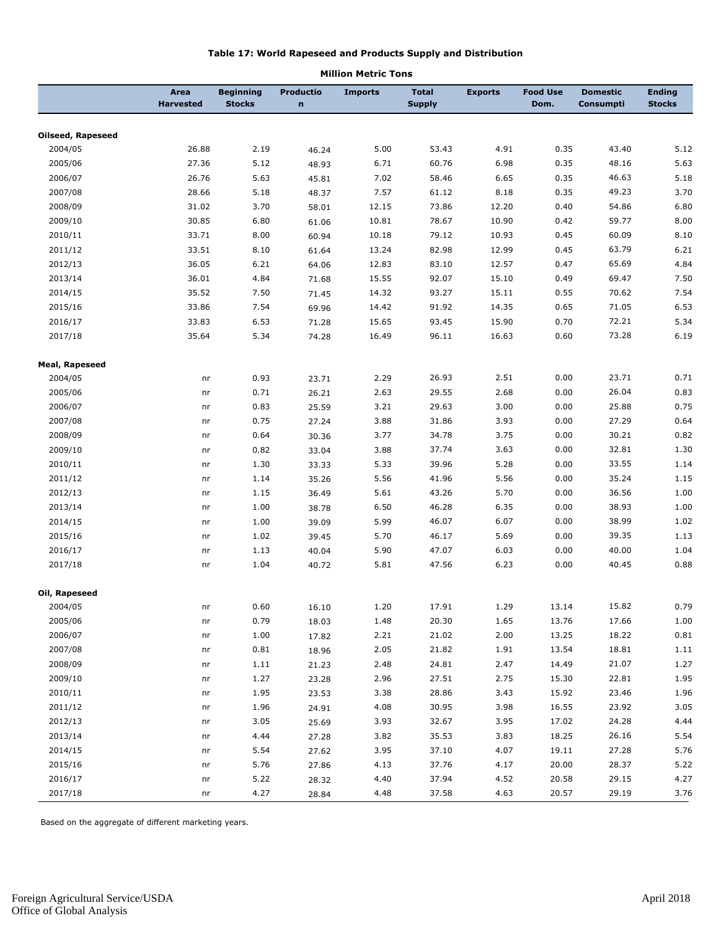#### **Table 17: World Rapeseed and Products Supply and Distribution**

|                          | Area<br><b>Harvested</b> | <b>Beginning</b><br><b>Stocks</b> | <b>Productio</b><br>$\mathbf n$ | <b>Imports</b> | <b>Total</b><br><b>Supply</b> | <b>Exports</b> | <b>Food Use</b><br>Dom. | <b>Domestic</b><br>Consumpti | <b>Ending</b><br><b>Stocks</b> |
|--------------------------|--------------------------|-----------------------------------|---------------------------------|----------------|-------------------------------|----------------|-------------------------|------------------------------|--------------------------------|
| <b>Oilseed, Rapeseed</b> |                          |                                   |                                 |                |                               |                |                         |                              |                                |
| 2004/05                  | 26.88                    | 2.19                              | 46.24                           | 5.00           | 53.43                         | 4.91           | 0.35                    | 43.40                        | 5.12                           |
| 2005/06                  | 27.36                    | 5.12                              | 48.93                           | 6.71           | 60.76                         | 6.98           | 0.35                    | 48.16                        | 5.63                           |
| 2006/07                  | 26.76                    | 5.63                              | 45.81                           | 7.02           | 58.46                         | 6.65           | 0.35                    | 46.63                        | 5.18                           |
| 2007/08                  | 28.66                    | 5.18                              | 48.37                           | 7.57           | 61.12                         | 8.18           | 0.35                    | 49.23                        | 3.70                           |
| 2008/09                  | 31.02                    | 3.70                              | 58.01                           | 12.15          | 73.86                         | 12.20          | 0.40                    | 54.86                        | 6.80                           |
| 2009/10                  | 30.85                    | 6.80                              | 61.06                           | 10.81          | 78.67                         | 10.90          | 0.42                    | 59.77                        | 8.00                           |
| 2010/11                  | 33.71                    | 8.00                              | 60.94                           | 10.18          | 79.12                         | 10.93          | 0.45                    | 60.09                        | 8.10                           |
| 2011/12                  | 33.51                    | 8.10                              | 61.64                           | 13.24          | 82.98                         | 12.99          | 0.45                    | 63.79                        | 6.21                           |
| 2012/13                  | 36.05                    | 6.21                              | 64.06                           | 12.83          | 83.10                         | 12.57          | 0.47                    | 65.69                        | 4.84                           |
| 2013/14                  | 36.01                    | 4.84                              | 71.68                           | 15.55          | 92.07                         | 15.10          | 0.49                    | 69.47                        | 7.50                           |
| 2014/15                  | 35.52                    | 7.50                              | 71.45                           | 14.32          | 93.27                         | 15.11          | 0.55                    | 70.62                        | 7.54                           |
| 2015/16                  | 33.86                    | 7.54                              | 69.96                           | 14.42          | 91.92                         | 14.35          | 0.65                    | 71.05                        | 6.53                           |
| 2016/17                  | 33.83                    | 6.53                              | 71.28                           | 15.65          | 93.45                         | 15.90          | 0.70                    | 72.21                        | 5.34                           |
| 2017/18                  | 35.64                    | 5.34                              | 74.28                           | 16.49          | 96.11                         | 16.63          | 0.60                    | 73.28                        | 6.19                           |
| <b>Meal, Rapeseed</b>    |                          |                                   |                                 |                |                               |                |                         |                              |                                |
| 2004/05                  | nr                       | 0.93                              | 23.71                           | 2.29           | 26.93                         | 2.51           | 0.00                    | 23.71                        | 0.71                           |
| 2005/06                  | nr                       | 0.71                              | 26.21                           | 2.63           | 29.55                         | 2.68           | 0.00                    | 26.04                        | 0.83                           |
| 2006/07                  | nr                       | 0.83                              | 25.59                           | 3.21           | 29.63                         | 3.00           | 0.00                    | 25.88                        | 0.75                           |
| 2007/08                  | nr                       | 0.75                              | 27.24                           | 3.88           | 31.86                         | 3.93           | 0.00                    | 27.29                        | 0.64                           |
| 2008/09                  | nr                       | 0.64                              | 30.36                           | 3.77           | 34.78                         | 3.75           | 0.00                    | 30.21                        | 0.82                           |
| 2009/10                  | nr                       | 0.82                              | 33.04                           | 3.88           | 37.74                         | 3.63           | 0.00                    | 32.81                        | 1.30                           |
| 2010/11                  | nr                       | 1.30                              | 33.33                           | 5.33           | 39.96                         | 5.28           | 0.00                    | 33.55                        | 1.14                           |
| 2011/12                  | nr                       | 1.14                              | 35.26                           | 5.56           | 41.96                         | 5.56           | 0.00                    | 35.24                        | 1.15                           |
| 2012/13                  | nr                       | 1.15                              | 36.49                           | 5.61           | 43.26                         | 5.70           | 0.00                    | 36.56                        | 1.00                           |
| 2013/14                  | nr                       | 1.00                              | 38.78                           | 6.50           | 46.28                         | 6.35           | 0.00                    | 38.93                        | 1.00                           |
| 2014/15                  | nr                       | 1.00                              | 39.09                           | 5.99           | 46.07                         | 6.07           | 0.00                    | 38.99                        | 1.02                           |
| 2015/16                  | nr                       | 1.02                              | 39.45                           | 5.70           | 46.17                         | 5.69           | 0.00                    | 39.35                        | 1.13                           |
| 2016/17                  | nr                       | 1.13                              | 40.04                           | 5.90           | 47.07                         | 6.03           | 0.00                    | 40.00                        | 1.04                           |
| 2017/18                  | nr                       | 1.04                              | 40.72                           | 5.81           | 47.56                         | 6.23           | 0.00                    | 40.45                        | 0.88                           |
| Oil, Rapeseed            |                          |                                   |                                 |                |                               |                |                         |                              |                                |
| 2004/05                  | nr                       | 0.60                              | 16.10                           | 1.20           | 17.91                         | 1.29           | 13.14                   | 15.82                        | 0.79                           |
| 2005/06                  | nr                       | 0.79                              | 18.03                           | 1.48           | 20.30                         | 1.65           | 13.76                   | 17.66                        | 1.00                           |
| 2006/07                  | nr                       | 1.00                              | 17.82                           | 2.21           | 21.02                         | 2.00           | 13.25                   | 18.22                        | 0.81                           |
| 2007/08                  | nr                       | 0.81                              | 18.96                           | 2.05           | 21.82                         | 1.91           | 13.54                   | 18.81                        | 1.11                           |
| 2008/09                  | nr                       | 1.11                              | 21.23                           | 2.48           | 24.81                         | 2.47           | 14.49                   | 21.07                        | 1.27                           |
| 2009/10                  | nr                       | 1.27                              | 23.28                           | 2.96           | 27.51                         | 2.75           | 15.30                   | 22.81                        | 1.95                           |
| 2010/11                  | nr                       | 1.95                              | 23.53                           | 3.38           | 28.86                         | 3.43           | 15.92                   | 23.46                        | 1.96                           |
| 2011/12                  | nr                       | 1.96                              | 24.91                           | 4.08           | 30.95                         | 3.98           | 16.55                   | 23.92                        | 3.05                           |
| 2012/13                  | nr                       | 3.05                              | 25.69                           | 3.93           | 32.67                         | 3.95           | 17.02                   | 24.28                        | 4.44                           |
| 2013/14                  | nr                       | 4.44                              | 27.28                           | 3.82           | 35.53                         | 3.83           | 18.25                   | 26.16                        | 5.54                           |
| 2014/15                  | nr                       | 5.54                              | 27.62                           | 3.95           | 37.10                         | 4.07           | 19.11                   | 27.28                        | 5.76                           |
| 2015/16                  | nr                       | 5.76                              | 27.86                           | 4.13           | 37.76                         | 4.17           | 20.00                   | 28.37                        | 5.22                           |
| 2016/17                  | nr                       | 5.22                              | 28.32                           | 4.40           | 37.94                         | 4.52           | 20.58                   | 29.15                        | 4.27                           |
| 2017/18                  | nr                       | 4.27                              | 28.84                           | 4.48           | 37.58                         | 4.63           | 20.57                   | 29.19                        | 3.76                           |

#### **Million Metric Tons**

Based on the aggregate of different marketing years.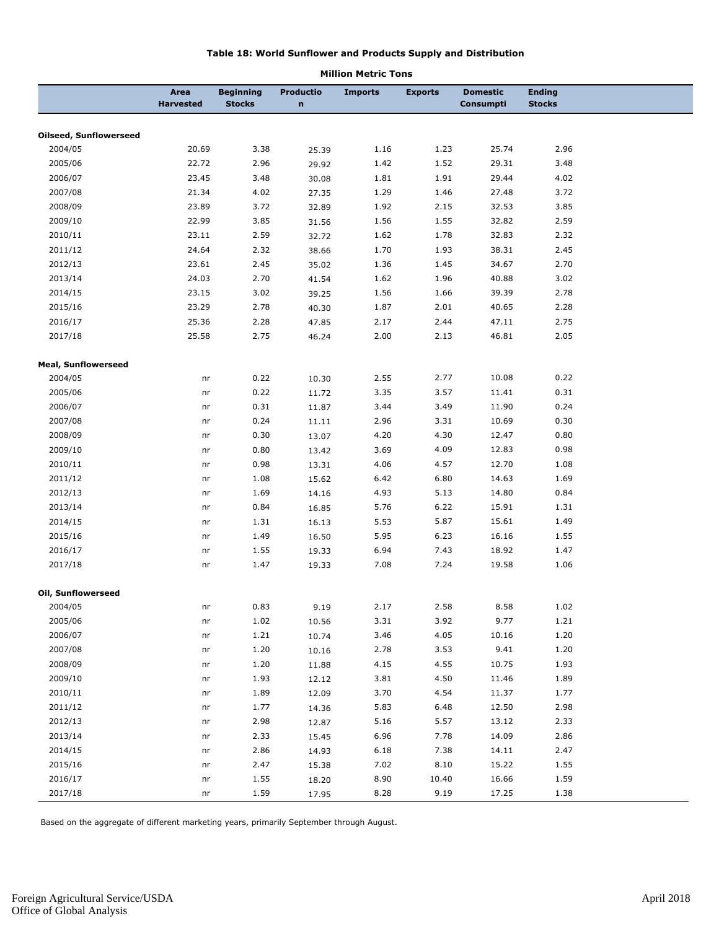#### **Table 18: World Sunflower and Products Supply and Distribution**

|                               |                          |                                   |                                 | בווטו טופטוע וטווא |                |                              |                                |  |
|-------------------------------|--------------------------|-----------------------------------|---------------------------------|--------------------|----------------|------------------------------|--------------------------------|--|
|                               | Area<br><b>Harvested</b> | <b>Beginning</b><br><b>Stocks</b> | <b>Productio</b><br>$\mathbf n$ | <b>Imports</b>     | <b>Exports</b> | <b>Domestic</b><br>Consumpti | <b>Ending</b><br><b>Stocks</b> |  |
| <b>Oilseed, Sunflowerseed</b> |                          |                                   |                                 |                    |                |                              |                                |  |
| 2004/05                       | 20.69                    | 3.38                              | 25.39                           | 1.16               | 1.23           | 25.74                        | 2.96                           |  |
| 2005/06                       | 22.72                    | 2.96                              | 29.92                           | 1.42               | 1.52           | 29.31                        | 3.48                           |  |
| 2006/07                       | 23.45                    | 3.48                              | 30.08                           | 1.81               | 1.91           | 29.44                        | 4.02                           |  |
| 2007/08                       | 21.34                    | 4.02                              | 27.35                           | 1.29               | 1.46           | 27.48                        | 3.72                           |  |
| 2008/09                       | 23.89                    | 3.72                              | 32.89                           | 1.92               | 2.15           | 32.53                        | 3.85                           |  |
| 2009/10                       | 22.99                    | 3.85                              | 31.56                           | 1.56               | 1.55           | 32.82                        | 2.59                           |  |
| 2010/11                       | 23.11                    | 2.59                              | 32.72                           | 1.62               | 1.78           | 32.83                        | 2.32                           |  |
| 2011/12                       | 24.64                    | 2.32                              | 38.66                           | 1.70               | 1.93           | 38.31                        | 2.45                           |  |
| 2012/13                       | 23.61                    | 2.45                              | 35.02                           | 1.36               | 1.45           | 34.67                        | 2.70                           |  |
| 2013/14                       | 24.03                    | 2.70                              | 41.54                           | 1.62               | 1.96           | 40.88                        | 3.02                           |  |
| 2014/15                       | 23.15                    | 3.02                              |                                 | 1.56               | 1.66           | 39.39                        | 2.78                           |  |
| 2015/16                       | 23.29                    | 2.78                              | 39.25                           | 1.87               | 2.01           | 40.65                        | 2.28                           |  |
|                               |                          |                                   | 40.30                           |                    |                |                              |                                |  |
| 2016/17                       | 25.36                    | 2.28                              | 47.85                           | 2.17               | 2.44           | 47.11                        | 2.75                           |  |
| 2017/18                       | 25.58                    | 2.75                              | 46.24                           | 2.00               | 2.13           | 46.81                        | 2.05                           |  |
| <b>Meal, Sunflowerseed</b>    |                          |                                   |                                 |                    |                |                              |                                |  |
| 2004/05                       | nr                       | 0.22                              | 10.30                           | 2.55               | 2.77           | 10.08                        | 0.22                           |  |
| 2005/06                       | nr                       | 0.22                              | 11.72                           | 3.35               | 3.57           | 11.41                        | 0.31                           |  |
| 2006/07                       | nr                       | 0.31                              | 11.87                           | 3.44               | 3.49           | 11.90                        | 0.24                           |  |
| 2007/08                       | nr                       | 0.24                              | 11.11                           | 2.96               | 3.31           | 10.69                        | 0.30                           |  |
| 2008/09                       | nr                       | 0.30                              | 13.07                           | 4.20               | 4.30           | 12.47                        | 0.80                           |  |
| 2009/10                       | nr                       | 0.80                              | 13.42                           | 3.69               | 4.09           | 12.83                        | 0.98                           |  |
| 2010/11                       | nr                       | 0.98                              | 13.31                           | 4.06               | 4.57           | 12.70                        | 1.08                           |  |
| 2011/12                       | nr                       | 1.08                              | 15.62                           | 6.42               | 6.80           | 14.63                        | 1.69                           |  |
| 2012/13                       | nr                       | 1.69                              | 14.16                           | 4.93               | 5.13           | 14.80                        | 0.84                           |  |
| 2013/14                       | nr                       | 0.84                              | 16.85                           | 5.76               | 6.22           | 15.91                        | 1.31                           |  |
| 2014/15                       | nr                       | 1.31                              | 16.13                           | 5.53               | 5.87           | 15.61                        | 1.49                           |  |
| 2015/16                       | nr                       | 1.49                              | 16.50                           | 5.95               | 6.23           | 16.16                        | 1.55                           |  |
| 2016/17                       | nr                       | 1.55                              | 19.33                           | 6.94               | 7.43           | 18.92                        | 1.47                           |  |
| 2017/18                       | nr                       | 1.47                              | 19.33                           | 7.08               | 7.24           | 19.58                        | 1.06                           |  |
| Oil, Sunflowerseed            |                          |                                   |                                 |                    |                |                              |                                |  |
| 2004/05                       | nr                       | 0.83                              | 9.19                            | 2.17               | 2.58           | 8.58                         | 1.02                           |  |
| 2005/06                       | nr                       | 1.02                              | 10.56                           | 3.31               | 3.92           | 9.77                         | 1.21                           |  |
| 2006/07                       | nr                       | 1.21                              | 10.74                           | 3.46               | 4.05           | 10.16                        | 1.20                           |  |
| 2007/08                       | nr                       | 1.20                              | 10.16                           | 2.78               | 3.53           | 9.41                         | 1.20                           |  |
| 2008/09                       | nr                       | 1.20                              | 11.88                           | 4.15               | 4.55           | 10.75                        | 1.93                           |  |
| 2009/10                       | nr                       | 1.93                              | 12.12                           | 3.81               | 4.50           | 11.46                        | 1.89                           |  |
| 2010/11                       | nr                       | 1.89                              | 12.09                           | 3.70               | 4.54           | 11.37                        | 1.77                           |  |
| 2011/12                       | nr                       | 1.77                              | 14.36                           | 5.83               | 6.48           | 12.50                        | 2.98                           |  |
| 2012/13                       | nr                       | 2.98                              |                                 | 5.16               | 5.57           | 13.12                        | 2.33                           |  |
| 2013/14                       |                          | 2.33                              | 12.87                           |                    | 7.78           | 14.09                        | 2.86                           |  |
|                               | nr                       |                                   | 15.45                           | 6.96               |                |                              |                                |  |
| 2014/15                       | nr                       | 2.86                              | 14.93                           | 6.18               | 7.38           | 14.11                        | 2.47                           |  |
| 2015/16                       | nr                       | 2.47                              | 15.38                           | 7.02               | 8.10           | 15.22                        | 1.55                           |  |
| 2016/17                       | nr                       | 1.55                              | 18.20                           | 8.90               | 10.40          | 16.66                        | 1.59                           |  |
| 2017/18                       | nr                       | 1.59                              | 17.95                           | 8.28               | 9.19           | 17.25                        | 1.38                           |  |

#### **Million Metric Tons**

Based on the aggregate of different marketing years, primarily September through August.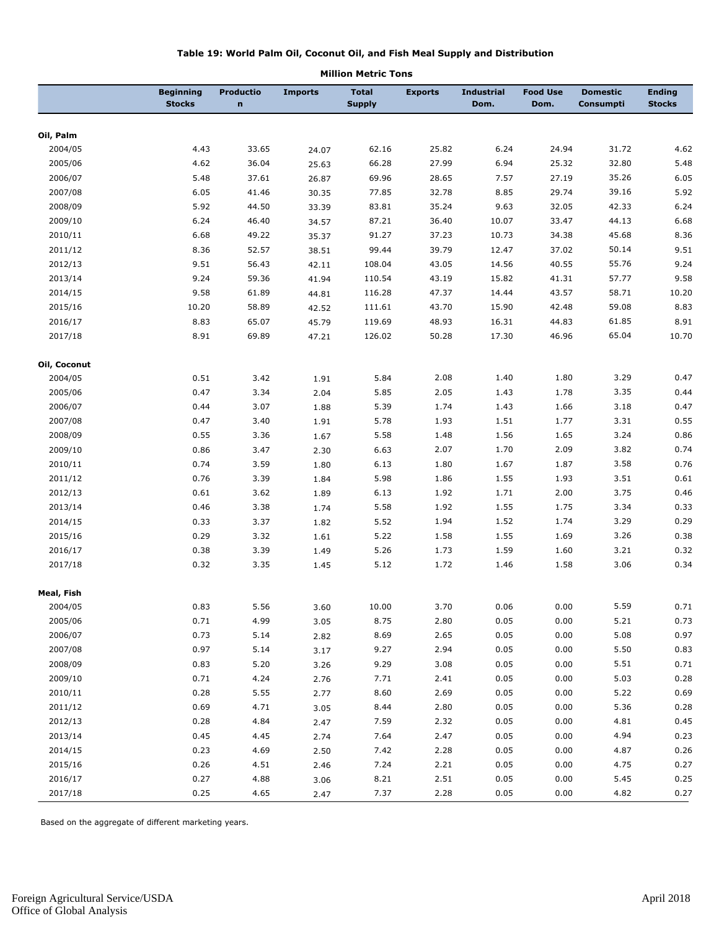#### **Table 19: World Palm Oil, Coconut Oil, and Fish Meal Supply and Distribution**

|              | <b>Beginning</b><br><b>Stocks</b> | <b>Productio</b><br>n | <b>Imports</b> | <b>Total</b><br><b>Supply</b> | <b>Exports</b> | <b>Industrial</b><br>Dom. | <b>Food Use</b><br>Dom. | <b>Domestic</b><br>Consumpti | <b>Ending</b><br><b>Stocks</b> |
|--------------|-----------------------------------|-----------------------|----------------|-------------------------------|----------------|---------------------------|-------------------------|------------------------------|--------------------------------|
|              |                                   |                       |                |                               |                |                           |                         |                              |                                |
| Oil, Palm    |                                   |                       |                |                               |                |                           |                         |                              |                                |
| 2004/05      | 4.43                              | 33.65                 | 24.07          | 62.16                         | 25.82          | 6.24                      | 24.94                   | 31.72                        | 4.62                           |
| 2005/06      | 4.62                              | 36.04                 | 25.63          | 66.28                         | 27.99          | 6.94                      | 25.32                   | 32.80                        | 5.48                           |
| 2006/07      | 5.48                              | 37.61                 | 26.87          | 69.96                         | 28.65          | 7.57                      | 27.19                   | 35.26                        | 6.05                           |
| 2007/08      | 6.05                              | 41.46                 | 30.35          | 77.85                         | 32.78          | 8.85                      | 29.74                   | 39.16                        | 5.92                           |
| 2008/09      | 5.92                              | 44.50                 | 33.39          | 83.81                         | 35.24          | 9.63                      | 32.05                   | 42.33                        | 6.24                           |
| 2009/10      | 6.24                              | 46.40                 | 34.57          | 87.21                         | 36.40          | 10.07                     | 33.47                   | 44.13                        | 6.68                           |
| 2010/11      | 6.68                              | 49.22                 | 35.37          | 91.27                         | 37.23          | 10.73                     | 34.38                   | 45.68                        | 8.36                           |
| 2011/12      | 8.36                              | 52.57                 | 38.51          | 99.44                         | 39.79          | 12.47                     | 37.02                   | 50.14                        | 9.51                           |
| 2012/13      | 9.51                              | 56.43                 | 42.11          | 108.04                        | 43.05          | 14.56                     | 40.55                   | 55.76                        | 9.24                           |
| 2013/14      | 9.24                              | 59.36                 | 41.94          | 110.54                        | 43.19          | 15.82                     | 41.31                   | 57.77                        | 9.58                           |
| 2014/15      | 9.58                              | 61.89                 | 44.81          | 116.28                        | 47.37          | 14.44                     | 43.57                   | 58.71                        | 10.20                          |
| 2015/16      | 10.20                             | 58.89                 | 42.52          | 111.61                        | 43.70          | 15.90                     | 42.48                   | 59.08                        | 8.83                           |
| 2016/17      | 8.83                              | 65.07                 | 45.79          | 119.69                        | 48.93          | 16.31                     | 44.83                   | 61.85                        | 8.91                           |
| 2017/18      | 8.91                              | 69.89                 | 47.21          | 126.02                        | 50.28          | 17.30                     | 46.96                   | 65.04                        | 10.70                          |
| Oil, Coconut |                                   |                       |                |                               |                |                           |                         |                              |                                |
| 2004/05      | 0.51                              | 3.42                  | 1.91           | 5.84                          | 2.08           | 1.40                      | 1.80                    | 3.29                         | 0.47                           |
| 2005/06      | 0.47                              | 3.34                  | 2.04           | 5.85                          | 2.05           | 1.43                      | 1.78                    | 3.35                         | 0.44                           |
| 2006/07      | 0.44                              | 3.07                  | 1.88           | 5.39                          | 1.74           | 1.43                      | 1.66                    | 3.18                         | 0.47                           |
| 2007/08      | 0.47                              | 3.40                  | 1.91           | 5.78                          | 1.93           | 1.51                      | 1.77                    | 3.31                         | 0.55                           |
| 2008/09      | 0.55                              | 3.36                  | 1.67           | 5.58                          | 1.48           | 1.56                      | 1.65                    | 3.24                         | 0.86                           |
| 2009/10      | 0.86                              | 3.47                  | 2.30           | 6.63                          | 2.07           | 1.70                      | 2.09                    | 3.82                         | 0.74                           |
| 2010/11      | 0.74                              | 3.59                  | 1.80           | 6.13                          | 1.80           | 1.67                      | 1.87                    | 3.58                         | 0.76                           |
| 2011/12      | 0.76                              | 3.39                  | 1.84           | 5.98                          | 1.86           | 1.55                      | 1.93                    | 3.51                         | 0.61                           |
| 2012/13      | 0.61                              | 3.62                  | 1.89           | 6.13                          | 1.92           | 1.71                      | 2.00                    | 3.75                         | 0.46                           |
| 2013/14      | 0.46                              | 3.38                  | 1.74           | 5.58                          | 1.92           | 1.55                      | 1.75                    | 3.34                         | 0.33                           |
| 2014/15      | 0.33                              | 3.37                  | 1.82           | 5.52                          | 1.94           | 1.52                      | 1.74                    | 3.29                         | 0.29                           |
| 2015/16      | 0.29                              | 3.32                  | 1.61           | 5.22                          | 1.58           | 1.55                      | 1.69                    | 3.26                         | 0.38                           |
| 2016/17      | 0.38                              | 3.39                  | 1.49           | 5.26                          | 1.73           | 1.59                      | 1.60                    | 3.21                         | 0.32                           |
| 2017/18      | 0.32                              | 3.35                  | 1.45           | 5.12                          | 1.72           | 1.46                      | 1.58                    | 3.06                         | 0.34                           |
| Meal, Fish   |                                   |                       |                |                               |                |                           |                         |                              |                                |
| 2004/05      | 0.83                              | 5.56                  | 3.60           | 10.00                         | 3.70           | 0.06                      | 0.00                    | 5.59                         | 0.71                           |
| 2005/06      | 0.71                              | 4.99                  | 3.05           | 8.75                          | 2.80           | 0.05                      | 0.00                    | 5.21                         | 0.73                           |
| 2006/07      | 0.73                              | 5.14                  | 2.82           | 8.69                          | 2.65           | 0.05                      | 0.00                    | 5.08                         | 0.97                           |
| 2007/08      | 0.97                              | 5.14                  | 3.17           | 9.27                          | 2.94           | 0.05                      | 0.00                    | 5.50                         | 0.83                           |
| 2008/09      | 0.83                              | 5.20                  | 3.26           | 9.29                          | 3.08           | 0.05                      | 0.00                    | 5.51                         | 0.71                           |
| 2009/10      | 0.71                              | 4.24                  | 2.76           | 7.71                          | 2.41           | 0.05                      | 0.00                    | 5.03                         | 0.28                           |
| 2010/11      | 0.28                              | 5.55                  | 2.77           | 8.60                          | 2.69           | 0.05                      | 0.00                    | 5.22                         | 0.69                           |
| 2011/12      | 0.69                              | 4.71                  | 3.05           | 8.44                          | 2.80           | 0.05                      | 0.00                    | 5.36                         | 0.28                           |
| 2012/13      | 0.28                              | 4.84                  | 2.47           | 7.59                          | 2.32           | 0.05                      | 0.00                    | 4.81                         | 0.45                           |
| 2013/14      | 0.45                              | 4.45                  | 2.74           | 7.64                          | 2.47           | 0.05                      | 0.00                    | 4.94                         | 0.23                           |
| 2014/15      | 0.23                              | 4.69                  | 2.50           | 7.42                          | 2.28           | 0.05                      | 0.00                    | 4.87                         | 0.26                           |
| 2015/16      | 0.26                              | 4.51                  | 2.46           | 7.24                          | 2.21           | 0.05                      | 0.00                    | 4.75                         | 0.27                           |
| 2016/17      | 0.27                              | 4.88                  | 3.06           | 8.21                          | 2.51           | 0.05                      | 0.00                    | 5.45                         | 0.25                           |
| 2017/18      | 0.25                              | 4.65                  | 2.47           | 7.37                          | 2.28           | 0.05                      | 0.00                    | 4.82                         | 0.27                           |

#### **Million Metric Tons**

Based on the aggregate of different marketing years.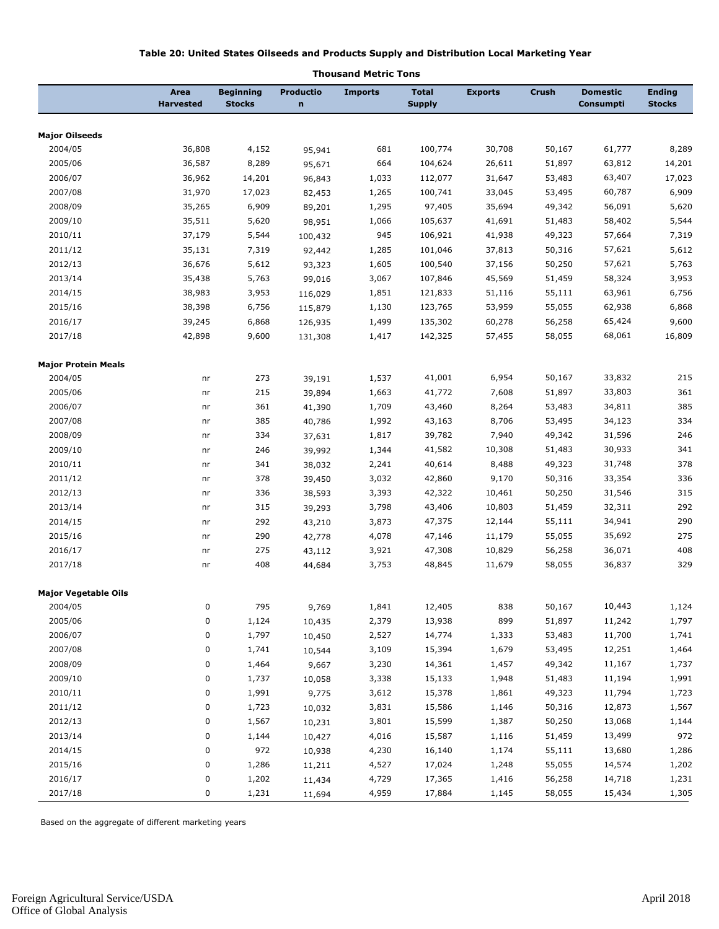#### **Table 20: United States Oilseeds and Products Supply and Distribution Local Marketing Year**

|                             |                          |                            | ,,,vusa,,      | u<br>PICUIL IVIIS |                               |                |        |                              |                                |
|-----------------------------|--------------------------|----------------------------|----------------|-------------------|-------------------------------|----------------|--------|------------------------------|--------------------------------|
|                             | Area<br><b>Harvested</b> | Beginning<br><b>Stocks</b> | Productio<br>n | <b>Imports</b>    | <b>Total</b><br><b>Supply</b> | <b>Exports</b> | Crush  | <b>Domestic</b><br>Consumpti | <b>Ending</b><br><b>Stocks</b> |
| <b>Major Oilseeds</b>       |                          |                            |                |                   |                               |                |        |                              |                                |
| 2004/05                     | 36,808                   | 4,152                      | 95,941         | 681               | 100,774                       | 30,708         | 50,167 | 61,777                       | 8,289                          |
| 2005/06                     | 36,587                   | 8,289                      | 95,671         | 664               | 104,624                       | 26,611         | 51,897 | 63,812                       | 14,201                         |
| 2006/07                     | 36,962                   | 14,201                     | 96,843         | 1,033             | 112,077                       | 31,647         | 53,483 | 63,407                       | 17,023                         |
| 2007/08                     | 31,970                   | 17,023                     | 82,453         | 1,265             | 100,741                       | 33,045         | 53,495 | 60,787                       | 6,909                          |
| 2008/09                     | 35,265                   | 6,909                      | 89,201         | 1,295             | 97,405                        | 35,694         | 49,342 | 56,091                       | 5,620                          |
| 2009/10                     | 35,511                   | 5,620                      | 98,951         | 1,066             | 105,637                       | 41,691         | 51,483 | 58,402                       | 5,544                          |
| 2010/11                     | 37,179                   | 5,544                      | 100,432        | 945               | 106,921                       | 41,938         | 49,323 | 57,664                       | 7,319                          |
| 2011/12                     | 35,131                   | 7,319                      | 92,442         | 1,285             | 101,046                       | 37,813         | 50,316 | 57,621                       | 5,612                          |
| 2012/13                     | 36,676                   | 5,612                      | 93,323         | 1,605             | 100,540                       | 37,156         | 50,250 | 57,621                       | 5,763                          |
| 2013/14                     | 35,438                   | 5,763                      | 99,016         | 3,067             | 107,846                       | 45,569         | 51,459 | 58,324                       | 3,953                          |
| 2014/15                     | 38,983                   | 3,953                      | 116,029        | 1,851             | 121,833                       | 51,116         | 55,111 | 63,961                       | 6,756                          |
| 2015/16                     | 38,398                   | 6,756                      | 115,879        | 1,130             | 123,765                       | 53,959         | 55,055 | 62,938                       | 6,868                          |
| 2016/17                     | 39,245                   | 6,868                      | 126,935        | 1,499             | 135,302                       | 60,278         | 56,258 | 65,424                       | 9,600                          |
| 2017/18                     | 42,898                   | 9,600                      | 131,308        | 1,417             | 142,325                       | 57,455         | 58,055 | 68,061                       | 16,809                         |
| <b>Major Protein Meals</b>  |                          |                            |                |                   |                               |                |        |                              |                                |
| 2004/05                     | nr                       | 273                        | 39,191         | 1,537             | 41,001                        | 6,954          | 50,167 | 33,832                       | 215                            |
| 2005/06                     | nr                       | 215                        | 39,894         | 1,663             | 41,772                        | 7,608          | 51,897 | 33,803                       | 361                            |
| 2006/07                     | nr                       | 361                        | 41,390         | 1,709             | 43,460                        | 8,264          | 53,483 | 34,811                       | 385                            |
| 2007/08                     | nr                       | 385                        | 40,786         | 1,992             | 43,163                        | 8,706          | 53,495 | 34,123                       | 334                            |
| 2008/09                     | nr                       | 334                        | 37,631         | 1,817             | 39,782                        | 7,940          | 49,342 | 31,596                       | 246                            |
| 2009/10                     | nr                       | 246                        | 39,992         | 1,344             | 41,582                        | 10,308         | 51,483 | 30,933                       | 341                            |
| 2010/11                     | nr                       | 341                        | 38,032         | 2,241             | 40,614                        | 8,488          | 49,323 | 31,748                       | 378                            |
| 2011/12                     | nr                       | 378                        | 39,450         | 3,032             | 42,860                        | 9,170          | 50,316 | 33,354                       | 336                            |
| 2012/13                     | nr                       | 336                        | 38,593         | 3,393             | 42,322                        | 10,461         | 50,250 | 31,546                       | 315                            |
| 2013/14                     | nr                       | 315                        | 39,293         | 3,798             | 43,406                        | 10,803         | 51,459 | 32,311                       | 292                            |
| 2014/15                     | nr                       | 292                        | 43,210         | 3,873             | 47,375                        | 12,144         | 55,111 | 34,941                       | 290                            |
| 2015/16                     | nr                       | 290                        | 42,778         | 4,078             | 47,146                        | 11,179         | 55,055 | 35,692                       | 275                            |
| 2016/17                     | nr                       | 275                        | 43,112         | 3,921             | 47,308                        | 10,829         | 56,258 | 36,071                       | 408                            |
| 2017/18                     | nr                       | 408                        | 44,684         | 3,753             | 48,845                        | 11,679         | 58,055 | 36,837                       | 329                            |
| <b>Major Vegetable Oils</b> |                          |                            |                |                   |                               |                |        |                              |                                |
| 2004/05                     | 0                        | 795                        | 9,769          | 1,841             | 12,405                        | 838            | 50,167 | 10,443                       | 1,124                          |
| 2005/06                     | 0                        | 1,124                      | 10,435         | 2,379             | 13,938                        | 899            | 51,897 | 11,242                       | 1,797                          |
| 2006/07                     | 0                        | 1,797                      | 10,450         | 2,527             | 14,774                        | 1,333          | 53,483 | 11,700                       | 1,741                          |
| 2007/08                     | 0                        | 1,741                      | 10,544         | 3,109             | 15,394                        | 1,679          | 53,495 | 12,251                       | 1,464                          |
| 2008/09                     | 0                        | 1,464                      | 9,667          | 3,230             | 14,361                        | 1,457          | 49,342 | 11,167                       | 1,737                          |
| 2009/10                     | 0                        | 1,737                      | 10,058         | 3,338             | 15,133                        | 1,948          | 51,483 | 11,194                       | 1,991                          |
| 2010/11                     | 0                        | 1,991                      | 9,775          | 3,612             | 15,378                        | 1,861          | 49,323 | 11,794                       | 1,723                          |
| 2011/12                     | 0                        | 1,723                      | 10,032         | 3,831             | 15,586                        | 1,146          | 50,316 | 12,873                       | 1,567                          |
| 2012/13                     | 0                        | 1,567                      | 10,231         | 3,801             | 15,599                        | 1,387          | 50,250 | 13,068                       | 1,144                          |
| 2013/14                     | 0                        | 1,144                      | 10,427         | 4,016             | 15,587                        | 1,116          | 51,459 | 13,499                       | 972                            |
| 2014/15                     | 0                        | 972                        | 10,938         | 4,230             | 16,140                        | 1,174          | 55,111 | 13,680                       | 1,286                          |
| 2015/16                     | 0                        | 1,286                      | 11,211         | 4,527             | 17,024                        | 1,248          | 55,055 | 14,574                       | 1,202                          |
| 2016/17                     | 0                        | 1,202                      | 11,434         | 4,729             | 17,365                        | 1,416          | 56,258 | 14,718                       | 1,231                          |
| 2017/18                     | 0                        | 1,231                      | 11,694         | 4,959             | 17,884                        | 1,145          | 58,055 | 15,434                       | 1,305                          |

#### **Thousand Metric Tons**

Based on the aggregate of different marketing years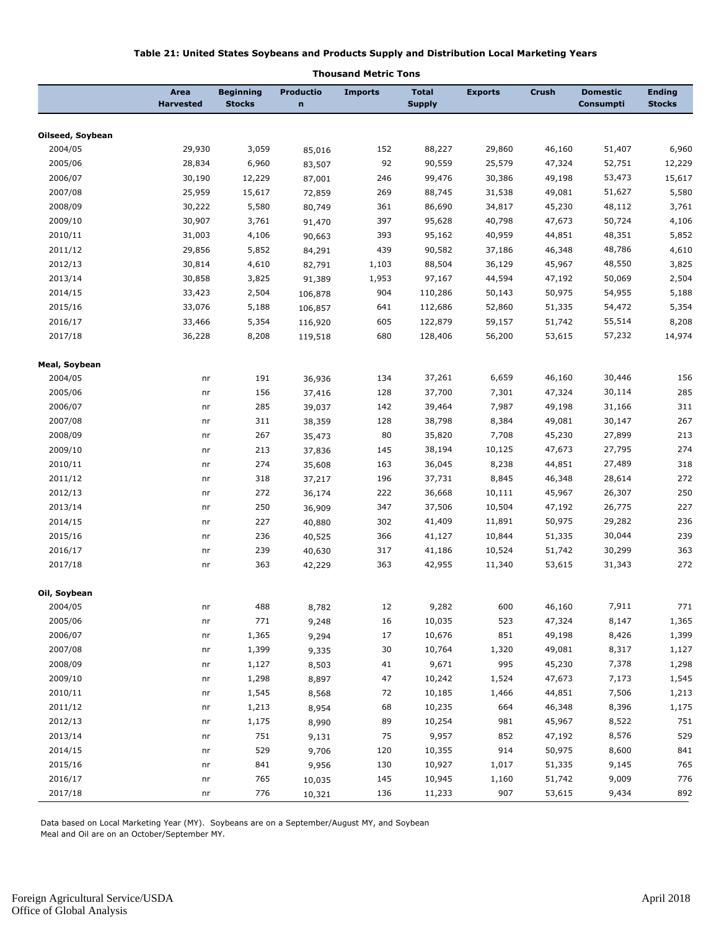#### **Table 21: United States Soybeans and Products Supply and Distribution Local Marketing Years**

|                  | Area<br><b>Harvested</b> | <b>Beginning</b><br><b>Stocks</b> | <b>Productio</b><br>$\mathbf n$ | <b>Imports</b> | <b>Total</b><br><b>Supply</b> | <b>Exports</b> | Crush  | <b>Domestic</b><br>Consumpti | <b>Ending</b><br><b>Stocks</b> |
|------------------|--------------------------|-----------------------------------|---------------------------------|----------------|-------------------------------|----------------|--------|------------------------------|--------------------------------|
|                  |                          |                                   |                                 |                |                               |                |        |                              |                                |
| Oilseed, Soybean |                          |                                   |                                 |                |                               |                |        |                              |                                |
| 2004/05          | 29,930                   | 3,059                             | 85,016                          | 152            | 88,227                        | 29,860         | 46,160 | 51,407                       | 6,960                          |
| 2005/06          | 28,834                   | 6,960                             | 83,507                          | 92             | 90,559                        | 25,579         | 47,324 | 52,751                       | 12,229                         |
| 2006/07          | 30,190                   | 12,229                            | 87,001                          | 246            | 99,476                        | 30,386         | 49,198 | 53,473                       | 15,617                         |
| 2007/08          | 25,959                   | 15,617                            | 72,859                          | 269            | 88,745                        | 31,538         | 49,081 | 51,627                       | 5,580                          |
| 2008/09          | 30,222                   | 5,580                             | 80,749                          | 361            | 86,690                        | 34,817         | 45,230 | 48,112                       | 3,761                          |
| 2009/10          | 30,907                   | 3,761                             | 91,470                          | 397            | 95,628                        | 40,798         | 47,673 | 50,724                       | 4,106                          |
| 2010/11          | 31,003                   | 4,106                             | 90,663                          | 393            | 95,162                        | 40,959         | 44,851 | 48,351                       | 5,852                          |
| 2011/12          | 29,856                   | 5,852                             | 84,291                          | 439            | 90,582                        | 37,186         | 46,348 | 48,786                       | 4,610                          |
| 2012/13          | 30,814                   | 4,610                             | 82,791                          | 1,103          | 88,504                        | 36,129         | 45,967 | 48,550                       | 3,825                          |
| 2013/14          | 30,858                   | 3,825                             | 91,389                          | 1,953          | 97,167                        | 44,594         | 47,192 | 50,069                       | 2,504                          |
| 2014/15          | 33,423                   | 2,504                             | 106,878                         | 904            | 110,286                       | 50,143         | 50,975 | 54,955                       | 5,188                          |
| 2015/16          | 33,076                   | 5,188                             | 106,857                         | 641            | 112,686                       | 52,860         | 51,335 | 54,472                       | 5,354                          |
| 2016/17          | 33,466                   | 5,354                             | 116,920                         | 605            | 122,879                       | 59,157         | 51,742 | 55,514                       | 8,208                          |
| 2017/18          | 36,228                   | 8,208                             | 119,518                         | 680            | 128,406                       | 56,200         | 53,615 | 57,232                       | 14,974                         |
| Meal, Soybean    |                          |                                   |                                 |                |                               |                |        |                              |                                |
| 2004/05          | nr                       | 191                               | 36,936                          | 134            | 37,261                        | 6,659          | 46,160 | 30,446                       | 156                            |
| 2005/06          | nr                       | 156                               | 37,416                          | 128            | 37,700                        | 7,301          | 47,324 | 30,114                       | 285                            |
| 2006/07          | nr                       | 285                               | 39,037                          | 142            | 39,464                        | 7,987          | 49,198 | 31,166                       | 311                            |
| 2007/08          | nr                       | 311                               | 38,359                          | 128            | 38,798                        | 8,384          | 49,081 | 30,147                       | 267                            |
| 2008/09          | nr                       | 267                               | 35,473                          | 80             | 35,820                        | 7,708          | 45,230 | 27,899                       | 213                            |
| 2009/10          | nr                       | 213                               | 37,836                          | 145            | 38,194                        | 10,125         | 47,673 | 27,795                       | 274                            |
| 2010/11          | nr                       | 274                               | 35,608                          | 163            | 36,045                        | 8,238          | 44,851 | 27,489                       | 318                            |
| 2011/12          | nr                       | 318                               | 37,217                          | 196            | 37,731                        | 8,845          | 46,348 | 28,614                       | 272                            |
| 2012/13          | nr                       | 272                               | 36,174                          | 222            | 36,668                        | 10,111         | 45,967 | 26,307                       | 250                            |
| 2013/14          | nr                       | 250                               | 36,909                          | 347            | 37,506                        | 10,504         | 47,192 | 26,775                       | 227                            |
| 2014/15          | nr                       | 227                               | 40,880                          | 302            | 41,409                        | 11,891         | 50,975 | 29,282                       | 236                            |
| 2015/16          | nr                       | 236                               | 40,525                          | 366            | 41,127                        | 10,844         | 51,335 | 30,044                       | 239                            |
| 2016/17          | nr                       | 239                               | 40,630                          | 317            | 41,186                        | 10,524         | 51,742 | 30,299                       | 363                            |
| 2017/18          | nr                       | 363                               | 42,229                          | 363            | 42,955                        | 11,340         | 53,615 | 31,343                       | 272                            |
| Oil, Soybean     |                          |                                   |                                 |                |                               |                |        |                              |                                |
| 2004/05          | nr                       | 488                               | 8,782                           | 12             | 9,282                         | 600            | 46,160 | 7,911                        | 771                            |
| 2005/06          | nr                       | $771\,$                           | 9,248                           | $16\,$         | 10,035                        | 523            | 47,324 | 8,147                        | 1,365                          |
| 2006/07          | nr                       | 1,365                             | 9,294                           | 17             | 10,676                        | 851            | 49,198 | 8,426                        | 1,399                          |
| 2007/08          | nr                       | 1,399                             | 9,335                           | $30\,$         | 10,764                        | 1,320          | 49,081 | 8,317                        | 1,127                          |
| 2008/09          | nr                       | 1,127                             | 8,503                           | 41             | 9,671                         | 995            | 45,230 | 7,378                        | 1,298                          |
| 2009/10          | nr                       | 1,298                             | 8,897                           | 47             | 10,242                        | 1,524          | 47,673 | 7,173                        | 1,545                          |
| 2010/11          | nr                       | 1,545                             | 8,568                           | 72             | 10,185                        | 1,466          | 44,851 | 7,506                        | 1,213                          |
| 2011/12          | nr                       | 1,213                             | 8,954                           | 68             | 10,235                        | 664            | 46,348 | 8,396                        | 1,175                          |
| 2012/13          | nr                       | 1,175                             | 8,990                           | 89             | 10,254                        | 981            | 45,967 | 8,522                        | 751                            |
| 2013/14          |                          | 751                               |                                 | 75             |                               | 852            |        | 8,576                        | 529                            |
| 2014/15          | nr                       |                                   | 9,131                           | 120            | 9,957                         | 914            | 47,192 | 8,600                        | 841                            |
|                  | nr                       | 529                               | 9,706                           |                | 10,355                        |                | 50,975 |                              |                                |
| 2015/16          | nr                       | 841                               | 9,956                           | 130            | 10,927                        | 1,017          | 51,335 | 9,145                        | 765                            |
| 2016/17          | nr                       | 765                               | 10,035                          | 145            | 10,945                        | 1,160          | 51,742 | 9,009                        | 776                            |
| 2017/18          | nr                       | 776                               | 10,321                          | 136            | 11,233                        | 907            | 53,615 | 9,434                        | 892                            |

#### **Thousand Metric Tons**

Data based on Local Marketing Year (MY). Soybeans are on a September/August MY, and Soybean

Meal and Oil are on an October/September MY.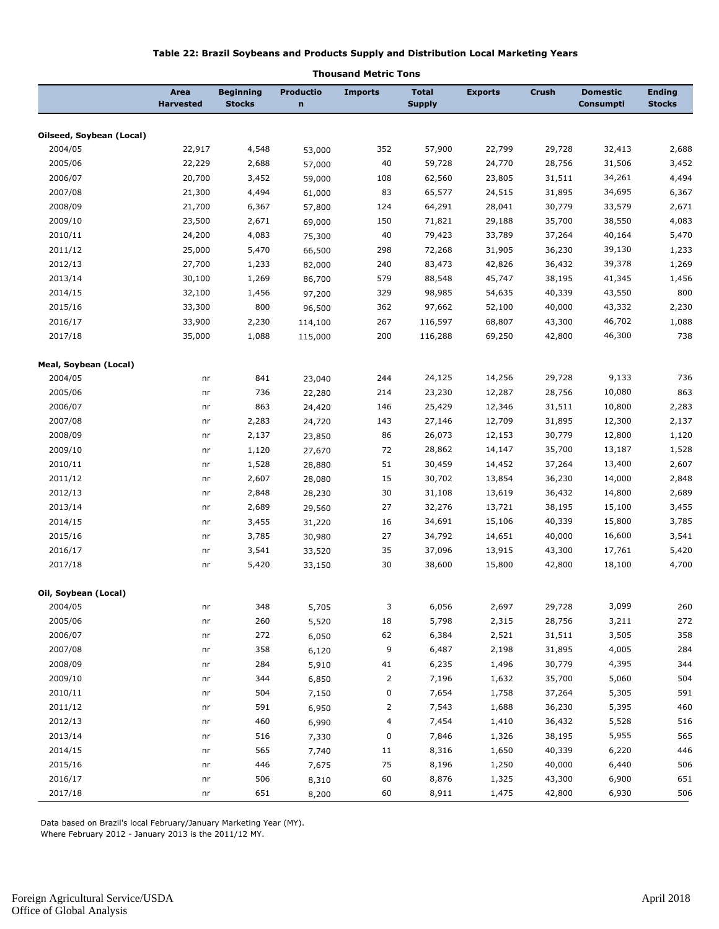#### **Table 22: Brazil Soybeans and Products Supply and Distribution Local Marketing Years**

|                          | Area<br><b>Harvested</b> | Beginning<br><b>Stocks</b> | Productio<br>n | <b>Imports</b> | <b>Total</b><br><b>Supply</b> | <b>Exports</b> | <b>Crush</b> | <b>Domestic</b><br>Consumpti | <b>Ending</b><br><b>Stocks</b> |
|--------------------------|--------------------------|----------------------------|----------------|----------------|-------------------------------|----------------|--------------|------------------------------|--------------------------------|
| Oilseed, Soybean (Local) |                          |                            |                |                |                               |                |              |                              |                                |
| 2004/05                  | 22,917                   | 4,548                      |                | 352            | 57,900                        | 22,799         | 29,728       | 32,413                       | 2,688                          |
| 2005/06                  | 22,229                   | 2,688                      | 53,000         | 40             | 59,728                        | 24,770         | 28,756       | 31,506                       |                                |
| 2006/07                  | 20,700                   | 3,452                      | 57,000         |                | 62,560                        | 23,805         | 31,511       | 34,261                       | 3,452<br>4,494                 |
|                          |                          |                            | 59,000         | 108            |                               |                |              | 34,695                       |                                |
| 2007/08                  | 21,300                   | 4,494                      | 61,000         | 83             | 65,577                        | 24,515         | 31,895       |                              | 6,367                          |
| 2008/09                  | 21,700                   | 6,367                      | 57,800         | 124            | 64,291                        | 28,041         | 30,779       | 33,579                       | 2,671                          |
| 2009/10                  | 23,500                   | 2,671                      | 69,000         | 150            | 71,821                        | 29,188         | 35,700       | 38,550                       | 4,083                          |
| 2010/11                  | 24,200                   | 4,083                      | 75,300         | 40             | 79,423                        | 33,789         | 37,264       | 40,164                       | 5,470                          |
| 2011/12                  | 25,000                   | 5,470                      | 66,500         | 298            | 72,268                        | 31,905         | 36,230       | 39,130                       | 1,233                          |
| 2012/13                  | 27,700                   | 1,233                      | 82,000         | 240            | 83,473                        | 42,826         | 36,432       | 39,378                       | 1,269                          |
| 2013/14                  | 30,100                   | 1,269                      | 86,700         | 579            | 88,548                        | 45,747         | 38,195       | 41,345                       | 1,456                          |
| 2014/15                  | 32,100                   | 1,456                      | 97,200         | 329            | 98,985                        | 54,635         | 40,339       | 43,550                       | 800                            |
| 2015/16                  | 33,300                   | 800                        | 96,500         | 362            | 97,662                        | 52,100         | 40,000       | 43,332                       | 2,230                          |
| 2016/17                  | 33,900                   | 2,230                      | 114,100        | 267            | 116,597                       | 68,807         | 43,300       | 46,702                       | 1,088                          |
| 2017/18                  | 35,000                   | 1,088                      | 115,000        | 200            | 116,288                       | 69,250         | 42,800       | 46,300                       | 738                            |
| Meal, Soybean (Local)    |                          |                            |                |                |                               |                |              |                              |                                |
| 2004/05                  | nr                       | 841                        | 23,040         | 244            | 24,125                        | 14,256         | 29,728       | 9,133                        | 736                            |
| 2005/06                  | nr                       | 736                        | 22,280         | 214            | 23,230                        | 12,287         | 28,756       | 10,080                       | 863                            |
| 2006/07                  | nr                       | 863                        | 24,420         | 146            | 25,429                        | 12,346         | 31,511       | 10,800                       | 2,283                          |
| 2007/08                  | nr                       | 2,283                      | 24,720         | 143            | 27,146                        | 12,709         | 31,895       | 12,300                       | 2,137                          |
| 2008/09                  | nr                       | 2,137                      | 23,850         | 86             | 26,073                        | 12,153         | 30,779       | 12,800                       | 1,120                          |
| 2009/10                  | nr                       | 1,120                      | 27,670         | 72             | 28,862                        | 14,147         | 35,700       | 13,187                       | 1,528                          |
| 2010/11                  | nr                       | 1,528                      | 28,880         | 51             | 30,459                        | 14,452         | 37,264       | 13,400                       | 2,607                          |
| 2011/12                  | nr                       | 2,607                      | 28,080         | 15             | 30,702                        | 13,854         | 36,230       | 14,000                       | 2,848                          |
| 2012/13                  | nr                       | 2,848                      | 28,230         | 30             | 31,108                        | 13,619         | 36,432       | 14,800                       | 2,689                          |
| 2013/14                  | nr                       | 2,689                      | 29,560         | 27             | 32,276                        | 13,721         | 38,195       | 15,100                       | 3,455                          |
| 2014/15                  | nr                       | 3,455                      | 31,220         | 16             | 34,691                        | 15,106         | 40,339       | 15,800                       | 3,785                          |
| 2015/16                  | nr                       | 3,785                      | 30,980         | 27             | 34,792                        | 14,651         | 40,000       | 16,600                       | 3,541                          |
| 2016/17                  | nr                       | 3,541                      | 33,520         | 35             | 37,096                        | 13,915         | 43,300       | 17,761                       | 5,420                          |
| 2017/18                  | nr                       | 5,420                      | 33,150         | 30             | 38,600                        | 15,800         | 42,800       | 18,100                       | 4,700                          |
| Oil, Soybean (Local)     |                          |                            |                |                |                               |                |              |                              |                                |
| 2004/05                  | nr                       | 348                        | 5,705          | 3              | 6,056                         | 2,697          | 29,728       | 3,099                        | 260                            |
| 2005/06                  | nr                       | 260                        | 5,520          | $18\,$         | 5,798                         | 2,315          | 28,756       | 3,211                        | 272                            |
| 2006/07                  | nr                       | 272                        | 6,050          | 62             | 6,384                         | 2,521          | 31,511       | 3,505                        | 358                            |
| 2007/08                  | nr                       | 358                        | 6,120          | 9              | 6,487                         | 2,198          | 31,895       | 4,005                        | 284                            |
| 2008/09                  | nr                       | 284                        | 5,910          | $41\,$         | 6,235                         | 1,496          | 30,779       | 4,395                        | 344                            |
| 2009/10                  | nr                       | 344                        | 6,850          | $\overline{2}$ | 7,196                         | 1,632          | 35,700       | 5,060                        | 504                            |
| 2010/11                  | nr                       | 504                        | 7,150          | 0              | 7,654                         | 1,758          | 37,264       | 5,305                        | 591                            |
| 2011/12                  | nr                       | 591                        | 6,950          | $\overline{c}$ | 7,543                         | 1,688          | 36,230       | 5,395                        | 460                            |
| 2012/13                  | nr                       | 460                        | 6,990          | 4              | 7,454                         | 1,410          | 36,432       | 5,528                        | 516                            |
| 2013/14                  | nr                       | 516                        |                | 0              | 7,846                         | 1,326          | 38,195       | 5,955                        | 565                            |
| 2014/15                  | nr                       | 565                        | 7,330          | 11             | 8,316                         | 1,650          | 40,339       | 6,220                        | 446                            |
| 2015/16                  |                          | 446                        | 7,740          | $75\,$         | 8,196                         | 1,250          | 40,000       | 6,440                        | 506                            |
| 2016/17                  | nr                       |                            | 7,675          |                |                               |                |              | 6,900                        | 651                            |
|                          | nr                       | 506                        | 8,310          | 60             | 8,876                         | 1,325          | 43,300       |                              |                                |
| 2017/18                  | nr                       | 651                        | 8,200          | 60             | 8,911                         | 1,475          | 42,800       | 6,930                        | 506                            |

#### **Thousand Metric Tons**

Data based on Brazil's local February/January Marketing Year (MY).

Where February 2012 - January 2013 is the 2011/12 MY.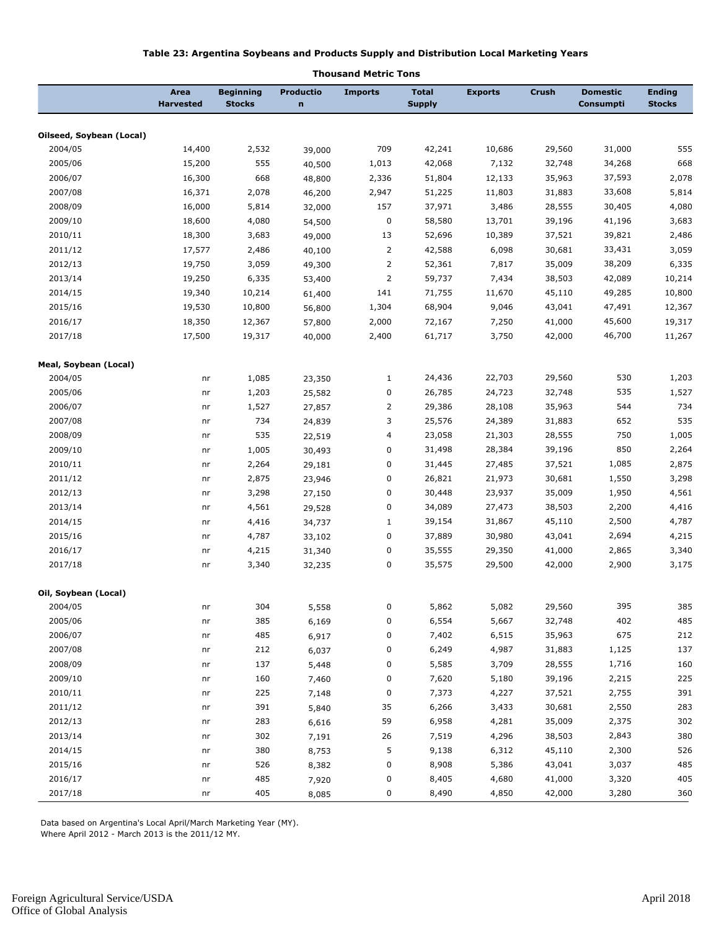#### **Table 23: Argentina Soybeans and Products Supply and Distribution Local Marketing Years**

|                          |                          |                                   |                          | vusanu meu ic T |                               |                |        |                              |                                |
|--------------------------|--------------------------|-----------------------------------|--------------------------|-----------------|-------------------------------|----------------|--------|------------------------------|--------------------------------|
|                          | Area<br><b>Harvested</b> | <b>Beginning</b><br><b>Stocks</b> | Productio<br>$\mathbf n$ | <b>Imports</b>  | <b>Total</b><br><b>Supply</b> | <b>Exports</b> | Crush  | <b>Domestic</b><br>Consumpti | <b>Ending</b><br><b>Stocks</b> |
|                          |                          |                                   |                          |                 |                               |                |        |                              |                                |
| Oilseed, Soybean (Local) |                          |                                   |                          |                 |                               |                |        |                              |                                |
| 2004/05                  | 14,400                   | 2,532                             | 39,000                   | 709             | 42,241                        | 10,686         | 29,560 | 31,000                       | 555                            |
| 2005/06                  | 15,200                   | 555                               | 40,500                   | 1,013           | 42,068                        | 7,132          | 32,748 | 34,268                       | 668                            |
| 2006/07                  | 16,300                   | 668                               | 48,800                   | 2,336           | 51,804                        | 12,133         | 35,963 | 37,593                       | 2,078                          |
| 2007/08                  | 16,371                   | 2,078                             | 46,200                   | 2,947           | 51,225                        | 11,803         | 31,883 | 33,608                       | 5,814                          |
| 2008/09                  | 16,000                   | 5,814                             | 32,000                   | 157             | 37,971                        | 3,486          | 28,555 | 30,405                       | 4,080                          |
| 2009/10                  | 18,600                   | 4,080                             | 54,500                   | $\pmb{0}$       | 58,580                        | 13,701         | 39,196 | 41,196                       | 3,683                          |
| 2010/11                  | 18,300                   | 3,683                             | 49,000                   | 13              | 52,696                        | 10,389         | 37,521 | 39,821                       | 2,486                          |
| 2011/12                  | 17,577                   | 2,486                             | 40,100                   | $\overline{2}$  | 42,588                        | 6,098          | 30,681 | 33,431                       | 3,059                          |
| 2012/13                  | 19,750                   | 3,059                             | 49,300                   | $\overline{2}$  | 52,361                        | 7,817          | 35,009 | 38,209                       | 6,335                          |
| 2013/14                  | 19,250                   | 6,335                             | 53,400                   | $\overline{2}$  | 59,737                        | 7,434          | 38,503 | 42,089                       | 10,214                         |
| 2014/15                  | 19,340                   | 10,214                            | 61,400                   | 141             | 71,755                        | 11,670         | 45,110 | 49,285                       | 10,800                         |
| 2015/16                  | 19,530                   | 10,800                            | 56,800                   | 1,304           | 68,904                        | 9,046          | 43,041 | 47,491                       | 12,367                         |
| 2016/17                  | 18,350                   | 12,367                            | 57,800                   | 2,000           | 72,167                        | 7,250          | 41,000 | 45,600                       | 19,317                         |
| 2017/18                  | 17,500                   | 19,317                            | 40,000                   | 2,400           | 61,717                        | 3,750          | 42,000 | 46,700                       | 11,267                         |
| Meal, Soybean (Local)    |                          |                                   |                          |                 |                               |                |        |                              |                                |
| 2004/05                  | nr                       | 1,085                             | 23,350                   | $\mathbf{1}$    | 24,436                        | 22,703         | 29,560 | 530                          | 1,203                          |
| 2005/06                  | nr                       | 1,203                             | 25,582                   | 0               | 26,785                        | 24,723         | 32,748 | 535                          | 1,527                          |
| 2006/07                  | nr                       | 1,527                             | 27,857                   | $\overline{2}$  | 29,386                        | 28,108         | 35,963 | 544                          | 734                            |
| 2007/08                  | nr                       | 734                               | 24,839                   | 3               | 25,576                        | 24,389         | 31,883 | 652                          | 535                            |
| 2008/09                  | nr                       | 535                               | 22,519                   | 4               | 23,058                        | 21,303         | 28,555 | 750                          | 1,005                          |
| 2009/10                  | nr                       | 1,005                             | 30,493                   | 0               | 31,498                        | 28,384         | 39,196 | 850                          | 2,264                          |
| 2010/11                  | nr                       | 2,264                             | 29,181                   | 0               | 31,445                        | 27,485         | 37,521 | 1,085                        | 2,875                          |
| 2011/12                  | nr                       | 2,875                             | 23,946                   | 0               | 26,821                        | 21,973         | 30,681 | 1,550                        | 3,298                          |
| 2012/13                  | nr                       | 3,298                             | 27,150                   | 0               | 30,448                        | 23,937         | 35,009 | 1,950                        | 4,561                          |
| 2013/14                  | nr                       | 4,561                             | 29,528                   | 0               | 34,089                        | 27,473         | 38,503 | 2,200                        | 4,416                          |
| 2014/15                  | nr                       | 4,416                             | 34,737                   | $\mathbf{1}$    | 39,154                        | 31,867         | 45,110 | 2,500                        | 4,787                          |
| 2015/16                  | nr                       | 4,787                             | 33,102                   | 0               | 37,889                        | 30,980         | 43,041 | 2,694                        | 4,215                          |
| 2016/17                  | nr                       | 4,215                             | 31,340                   | 0               | 35,555                        | 29,350         | 41,000 | 2,865                        | 3,340                          |
| 2017/18                  | nr                       | 3,340                             | 32,235                   | 0               | 35,575                        | 29,500         | 42,000 | 2,900                        | 3,175                          |
| Oil, Soybean (Local)     |                          |                                   |                          |                 |                               |                |        |                              |                                |
| 2004/05                  | nr                       | 304                               | 5,558                    | 0               | 5,862                         | 5,082          | 29,560 | 395                          | 385                            |
| 2005/06                  | nr                       | 385                               | 6,169                    | $\pmb{0}$       | 6,554                         | 5,667          | 32,748 | 402                          | 485                            |
| 2006/07                  | nr                       | 485                               |                          | 0               | 7,402                         | 6,515          | 35,963 | 675                          | 212                            |
| 2007/08                  |                          | 212                               | 6,917                    | 0               | 6,249                         | 4,987          | 31,883 | 1,125                        | 137                            |
| 2008/09                  | nr                       | 137                               | 6,037                    |                 |                               | 3,709          |        | 1,716                        | 160                            |
|                          | nr                       |                                   | 5,448                    | 0               | 5,585                         |                | 28,555 |                              |                                |
| 2009/10                  | nr                       | 160                               | 7,460                    | 0               | 7,620                         | 5,180          | 39,196 | 2,215                        | 225                            |
| 2010/11                  | nr                       | 225                               | 7,148                    | ${\bf 0}$       | 7,373                         | 4,227          | 37,521 | 2,755                        | 391                            |
| 2011/12                  | nr                       | 391                               | 5,840                    | 35              | 6,266                         | 3,433          | 30,681 | 2,550                        | 283                            |
| 2012/13                  | nr                       | 283                               | 6,616                    | 59              | 6,958                         | 4,281          | 35,009 | 2,375                        | 302                            |
| 2013/14                  | nr                       | 302                               | 7,191                    | 26              | 7,519                         | 4,296          | 38,503 | 2,843                        | 380                            |
| 2014/15                  | nr                       | 380                               | 8,753                    | 5               | 9,138                         | 6,312          | 45,110 | 2,300                        | 526                            |
| 2015/16                  | nr                       | 526                               | 8,382                    | 0               | 8,908                         | 5,386          | 43,041 | 3,037                        | 485                            |
| 2016/17                  | nr                       | 485                               | 7,920                    | 0               | 8,405                         | 4,680          | 41,000 | 3,320                        | 405                            |
| 2017/18                  | nr                       | 405                               | 8,085                    | 0               | 8,490                         | 4,850          | 42,000 | 3,280                        | 360                            |

#### **Thousand Metric Tons**

Data based on Argentina's Local April/March Marketing Year (MY). Where April 2012 - March 2013 is the 2011/12 MY.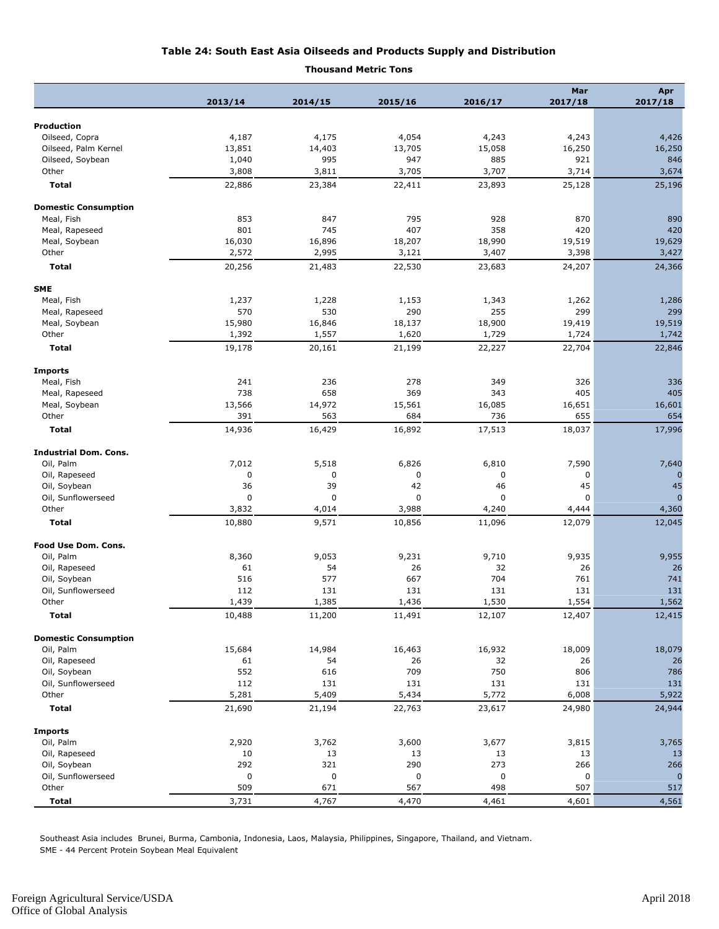#### **Table 24: South East Asia Oilseeds and Products Supply and Distribution**

#### **Thousand Metric Tons**

|                                    |                 |                 |                 |                 | Mar             | Apr                     |
|------------------------------------|-----------------|-----------------|-----------------|-----------------|-----------------|-------------------------|
|                                    | 2013/14         | 2014/15         | 2015/16         | 2016/17         | 2017/18         | 2017/18                 |
| <b>Production</b>                  |                 |                 |                 |                 |                 |                         |
| Oilseed, Copra                     | 4,187           | 4,175           | 4,054           | 4,243           | 4,243           | 4,426                   |
| Oilseed, Palm Kernel               | 13,851          | 14,403          | 13,705          | 15,058          | 16,250          | 16,250                  |
| Oilseed, Soybean                   | 1,040           | 995             | 947             | 885             | 921             | 846                     |
| Other                              | 3,808           | 3,811           | 3,705           | 3,707           | 3,714           | 3,674                   |
| <b>Total</b>                       | 22,886          | 23,384          | 22,411          | 23,893          | 25,128          | 25,196                  |
|                                    |                 |                 |                 |                 |                 |                         |
| <b>Domestic Consumption</b>        |                 |                 |                 |                 |                 |                         |
| Meal, Fish                         | 853             | 847             | 795             | 928             | 870             | 890                     |
| Meal, Rapeseed                     | 801             | 745             | 407             | 358             | 420             | 420                     |
| Meal, Soybean                      | 16,030          | 16,896          | 18,207          | 18,990          | 19,519          | 19,629                  |
| Other<br><b>Total</b>              | 2,572<br>20,256 | 2,995<br>21,483 | 3,121<br>22,530 | 3,407<br>23,683 | 3,398<br>24,207 | 3,427<br>24,366         |
|                                    |                 |                 |                 |                 |                 |                         |
| <b>SME</b>                         |                 |                 |                 |                 |                 |                         |
| Meal, Fish                         | 1,237           | 1,228           | 1,153           | 1,343           | 1,262           | 1,286                   |
| Meal, Rapeseed                     | 570             | 530             | 290             | 255             | 299             | 299                     |
| Meal, Soybean                      | 15,980          | 16,846          | 18,137          | 18,900          | 19,419          | 19,519                  |
| Other                              | 1,392           | 1,557           | 1,620           | 1,729           | 1,724           | 1,742                   |
| <b>Total</b>                       | 19,178          | 20,161          | 21,199          | 22,227          | 22,704          | 22,846                  |
| <b>Imports</b>                     |                 |                 |                 |                 |                 |                         |
| Meal, Fish                         | 241             | 236             | 278             | 349             | 326             | 336                     |
| Meal, Rapeseed                     | 738             | 658             | 369             | 343             | 405             | 405                     |
| Meal, Soybean                      | 13,566          | 14,972          | 15,561          | 16,085          | 16,651          | 16,601                  |
| Other                              | 391             | 563             | 684             | 736             | 655             | 654                     |
| <b>Total</b>                       | 14,936          | 16,429          | 16,892          | 17,513          | 18,037          | 17,996                  |
|                                    |                 |                 |                 |                 |                 |                         |
| <b>Industrial Dom. Cons.</b>       |                 |                 |                 |                 |                 |                         |
| Oil, Palm                          | 7,012           | 5,518           | 6,826           | 6,810           | 7,590           | 7,640                   |
| Oil, Rapeseed                      | $\mathbf 0$     | 0               | 0               | 0               | 0               | $\mathbf 0$             |
| Oil, Soybean                       | 36              | 39              | 42              | 46              | 45              | 45                      |
| Oil, Sunflowerseed                 | $\mathbf 0$     | $\mathbf 0$     | 0               | 0               | $\mathbf 0$     | $\Omega$                |
| Other                              | 3,832           | 4,014           | 3,988           | 4,240           | 4,444           | 4,360                   |
| Total                              | 10,880          | 9,571           | 10,856          | 11,096          | 12,079          | 12,045                  |
| Food Use Dom. Cons.                |                 |                 |                 |                 |                 |                         |
| Oil, Palm                          | 8,360           | 9,053           | 9,231           | 9,710           | 9,935           | 9,955                   |
| Oil, Rapeseed                      | 61              | 54              | 26              | 32              | 26              | 26                      |
| Oil, Soybean                       | 516             | 577             | 667             | 704             | 761             | 741                     |
| Oil, Sunflowerseed                 | 112             | 131             | 131             | 131             | 131             | 131                     |
| Other                              | 1,439           | 1,385           | 1,436           | 1,530           | 1,554           | 1,562                   |
| <b>Total</b>                       | 10,488          | 11,200          | 11,491          | 12,107          | 12,407          | 12,415                  |
| <b>Domestic Consumption</b>        |                 |                 |                 |                 |                 |                         |
| Oil, Palm                          | 15,684          | 14,984          | 16,463          | 16,932          | 18,009          | 18,079                  |
| Oil, Rapeseed                      | 61              | 54              | 26              | 32              | 26              | 26                      |
| Oil, Soybean                       | 552             | 616             | 709             | 750             | 806             | 786                     |
| Oil, Sunflowerseed                 | 112             | 131             | 131             | 131             | 131             | 131                     |
| Other                              | 5,281           | 5,409           | 5,434           | 5,772           | 6,008           | 5,922                   |
| <b>Total</b>                       | 21,690          | 21,194          | 22,763          | 23,617          | 24,980          | 24,944                  |
|                                    |                 |                 |                 |                 |                 |                         |
| <b>Imports</b>                     |                 |                 |                 |                 |                 |                         |
| Oil, Palm                          | 2,920           | 3,762           | 3,600           | 3,677           | 3,815           | 3,765                   |
| Oil, Rapeseed                      | 10              | 13              | 13              | 13              | 13              | 13                      |
| Oil, Soybean<br>Oil, Sunflowerseed | 292<br>0        | 321<br>0        | 290<br>0        | 273<br>0        | 266<br>0        | 266                     |
| Other                              | 509             | 671             | 567             | 498             | 507             | $\boldsymbol{0}$<br>517 |
|                                    |                 |                 |                 |                 |                 |                         |
| <b>Total</b>                       | 3,731           | 4,767           | 4,470           | 4,461           | 4,601           | 4,561                   |

Southeast Asia includes Brunei, Burma, Cambonia, Indonesia, Laos, Malaysia, Philippines, Singapore, Thailand, and Vietnam. SME - 44 Percent Protein Soybean Meal Equivalent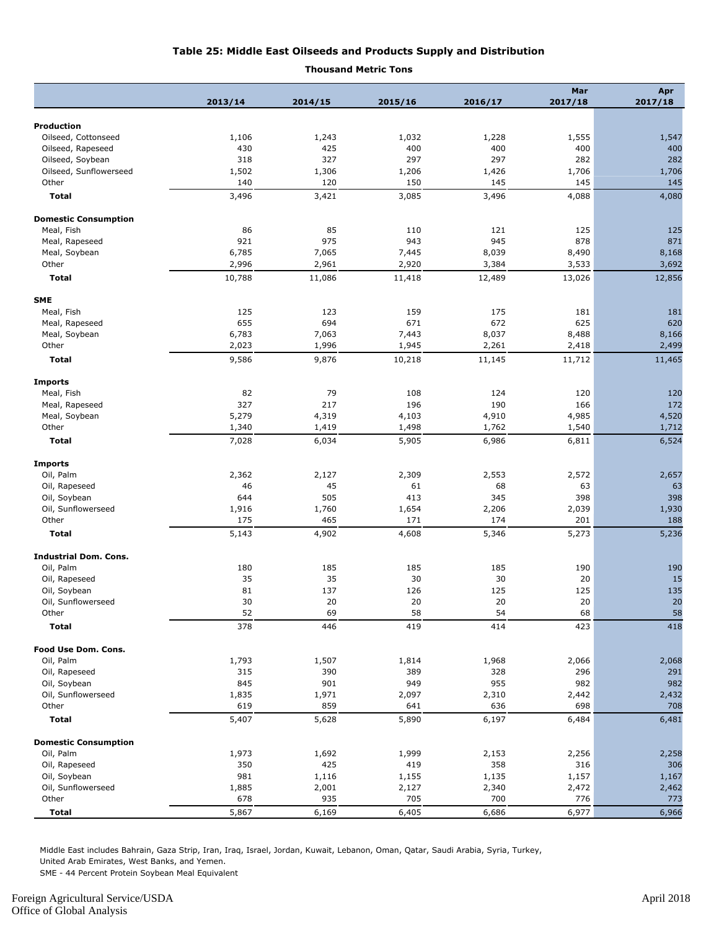#### **Table 25: Middle East Oilseeds and Products Supply and Distribution**

#### **Thousand Metric Tons**

| 2013/14<br>2014/15<br>2015/16<br>2016/17<br>Production<br>Oilseed, Cottonseed<br>1,106<br>1,243<br>1,032<br>1,228<br>1,555<br>1,547<br>430<br>425<br>400<br>400<br>400<br>400<br>Oilseed, Rapeseed<br>318<br>327<br>297<br>297<br>282<br>282<br>Oilseed, Soybean<br>1,206<br>1,706<br>Oilseed, Sunflowerseed<br>1,502<br>1,306<br>1,426<br>1,706<br>Other<br>140<br>120<br>150<br>145<br>145<br>145<br><b>Total</b><br>3,496<br>3,421<br>3,085<br>3,496<br>4,088<br>4,080<br><b>Domestic Consumption</b><br>Meal, Fish<br>86<br>85<br>110<br>121<br>125<br>125<br>921<br>975<br>Meal, Rapeseed<br>943<br>945<br>878<br>871<br>6,785<br>7,065<br>8,039<br>8,490<br>Meal, Soybean<br>7,445<br>8,168<br>2,920<br>Other<br>2,996<br>2,961<br>3,384<br>3,533<br>3,692<br><b>Total</b><br>10,788<br>11,086<br>11,418<br>12,489<br>13,026<br>12,856<br>125<br>123<br>159<br>175<br>181<br>Meal, Fish<br>181<br>655<br>672<br>694<br>671<br>625<br>620<br>Meal, Rapeseed<br>6,783<br>7,063<br>8,037<br>8,488<br>8,166<br>Meal, Soybean<br>7,443<br>Other<br>2,023<br>1,996<br>1,945<br>2,261<br>2,418<br>2,499<br>9,586<br>11,465<br><b>Total</b><br>9,876<br>10,218<br>11,145<br>11,712<br>82<br>79<br>108<br>124<br>Meal, Fish<br>120<br>120<br>327<br>217<br>196<br>190<br>166<br>172<br>Meal, Rapeseed<br>4,520<br>5,279<br>4,319<br>4,103<br>4,910<br>4,985<br>Meal, Soybean<br>Other<br>1,340<br>1,498<br>1,762<br>1,712<br>1,419<br>1,540<br><b>Total</b><br>7,028<br>6,034<br>5,905<br>6,986<br>6,524<br>6,811<br>Oil, Palm<br>2,362<br>2,127<br>2,309<br>2,553<br>2,572<br>2,657<br>46<br>45<br>61<br>68<br>63<br>Oil, Rapeseed<br>63<br>505<br>398<br>398<br>644<br>413<br>345<br>Oil, Soybean<br>Oil, Sunflowerseed<br>1,916<br>1,760<br>1,654<br>1,930<br>2,206<br>2,039<br>Other<br>175<br>465<br>201<br>171<br>174<br>188<br><b>Total</b><br>5,143<br>5,273<br>5,236<br>4,902<br>4,608<br>5,346<br>Oil, Palm<br>180<br>185<br>185<br>185<br>190<br>190<br>35<br>35<br>30<br>30<br>20<br>15<br>Oil, Rapeseed<br>Oil, Soybean<br>81<br>137<br>126<br>125<br>125<br>135<br>Oil, Sunflowerseed<br>30<br>20<br>20<br>20<br>20<br>20<br>Other<br>58<br>52<br>69<br>58<br>54<br>68<br>378<br>446<br>419<br>414<br>423<br>418<br><b>Total</b><br>Oil, Palm<br>1,793<br>1,507<br>1,814<br>1,968<br>2,066<br>2,068<br>315<br>Oil, Rapeseed<br>390<br>389<br>328<br>296<br>291<br>982<br>Oil, Soybean<br>845<br>901<br>949<br>955<br>982<br>1,835<br>1,971<br>2,097<br>2,310<br>2,432<br>Oil, Sunflowerseed<br>2,442<br>619<br>Other<br>859<br>636<br>698<br>708<br>641<br><b>Total</b><br>5,407<br>5,628<br>5,890<br>6,197<br>6,484<br>6,481<br><b>Domestic Consumption</b><br>2,256<br>2,258<br>Oil, Palm<br>1,973<br>1,692<br>1,999<br>2,153<br>Oil, Rapeseed<br>350<br>425<br>419<br>358<br>316<br>306<br>981<br>1,135<br>1,157<br>Oil, Soybean<br>1,116<br>1,155<br>1,167<br>1,885<br>Oil, Sunflowerseed<br>2,001<br>2,127<br>2,340<br>2,472<br>2,462<br>678<br>700<br>Other<br>935<br>705<br>776<br>773<br><b>Total</b><br>5,867<br>6,169<br>6,405<br>6,686<br>6,977<br>6,966 |                              |  |  | Mar     | Apr     |
|--------------------------------------------------------------------------------------------------------------------------------------------------------------------------------------------------------------------------------------------------------------------------------------------------------------------------------------------------------------------------------------------------------------------------------------------------------------------------------------------------------------------------------------------------------------------------------------------------------------------------------------------------------------------------------------------------------------------------------------------------------------------------------------------------------------------------------------------------------------------------------------------------------------------------------------------------------------------------------------------------------------------------------------------------------------------------------------------------------------------------------------------------------------------------------------------------------------------------------------------------------------------------------------------------------------------------------------------------------------------------------------------------------------------------------------------------------------------------------------------------------------------------------------------------------------------------------------------------------------------------------------------------------------------------------------------------------------------------------------------------------------------------------------------------------------------------------------------------------------------------------------------------------------------------------------------------------------------------------------------------------------------------------------------------------------------------------------------------------------------------------------------------------------------------------------------------------------------------------------------------------------------------------------------------------------------------------------------------------------------------------------------------------------------------------------------------------------------------------------------------------------------------------------------------------------------------------------------------------------------------------------------------------------------------------------------------------------------------------------------------------------------------------------------------------------------------------------------------------------------------------------------------------------------------------------------------------------------------------------------------------------------------------------------------------------------------------|------------------------------|--|--|---------|---------|
|                                                                                                                                                                                                                                                                                                                                                                                                                                                                                                                                                                                                                                                                                                                                                                                                                                                                                                                                                                                                                                                                                                                                                                                                                                                                                                                                                                                                                                                                                                                                                                                                                                                                                                                                                                                                                                                                                                                                                                                                                                                                                                                                                                                                                                                                                                                                                                                                                                                                                                                                                                                                                                                                                                                                                                                                                                                                                                                                                                                                                                                                                |                              |  |  | 2017/18 | 2017/18 |
|                                                                                                                                                                                                                                                                                                                                                                                                                                                                                                                                                                                                                                                                                                                                                                                                                                                                                                                                                                                                                                                                                                                                                                                                                                                                                                                                                                                                                                                                                                                                                                                                                                                                                                                                                                                                                                                                                                                                                                                                                                                                                                                                                                                                                                                                                                                                                                                                                                                                                                                                                                                                                                                                                                                                                                                                                                                                                                                                                                                                                                                                                |                              |  |  |         |         |
|                                                                                                                                                                                                                                                                                                                                                                                                                                                                                                                                                                                                                                                                                                                                                                                                                                                                                                                                                                                                                                                                                                                                                                                                                                                                                                                                                                                                                                                                                                                                                                                                                                                                                                                                                                                                                                                                                                                                                                                                                                                                                                                                                                                                                                                                                                                                                                                                                                                                                                                                                                                                                                                                                                                                                                                                                                                                                                                                                                                                                                                                                |                              |  |  |         |         |
|                                                                                                                                                                                                                                                                                                                                                                                                                                                                                                                                                                                                                                                                                                                                                                                                                                                                                                                                                                                                                                                                                                                                                                                                                                                                                                                                                                                                                                                                                                                                                                                                                                                                                                                                                                                                                                                                                                                                                                                                                                                                                                                                                                                                                                                                                                                                                                                                                                                                                                                                                                                                                                                                                                                                                                                                                                                                                                                                                                                                                                                                                |                              |  |  |         |         |
|                                                                                                                                                                                                                                                                                                                                                                                                                                                                                                                                                                                                                                                                                                                                                                                                                                                                                                                                                                                                                                                                                                                                                                                                                                                                                                                                                                                                                                                                                                                                                                                                                                                                                                                                                                                                                                                                                                                                                                                                                                                                                                                                                                                                                                                                                                                                                                                                                                                                                                                                                                                                                                                                                                                                                                                                                                                                                                                                                                                                                                                                                |                              |  |  |         |         |
|                                                                                                                                                                                                                                                                                                                                                                                                                                                                                                                                                                                                                                                                                                                                                                                                                                                                                                                                                                                                                                                                                                                                                                                                                                                                                                                                                                                                                                                                                                                                                                                                                                                                                                                                                                                                                                                                                                                                                                                                                                                                                                                                                                                                                                                                                                                                                                                                                                                                                                                                                                                                                                                                                                                                                                                                                                                                                                                                                                                                                                                                                |                              |  |  |         |         |
|                                                                                                                                                                                                                                                                                                                                                                                                                                                                                                                                                                                                                                                                                                                                                                                                                                                                                                                                                                                                                                                                                                                                                                                                                                                                                                                                                                                                                                                                                                                                                                                                                                                                                                                                                                                                                                                                                                                                                                                                                                                                                                                                                                                                                                                                                                                                                                                                                                                                                                                                                                                                                                                                                                                                                                                                                                                                                                                                                                                                                                                                                |                              |  |  |         |         |
|                                                                                                                                                                                                                                                                                                                                                                                                                                                                                                                                                                                                                                                                                                                                                                                                                                                                                                                                                                                                                                                                                                                                                                                                                                                                                                                                                                                                                                                                                                                                                                                                                                                                                                                                                                                                                                                                                                                                                                                                                                                                                                                                                                                                                                                                                                                                                                                                                                                                                                                                                                                                                                                                                                                                                                                                                                                                                                                                                                                                                                                                                |                              |  |  |         |         |
|                                                                                                                                                                                                                                                                                                                                                                                                                                                                                                                                                                                                                                                                                                                                                                                                                                                                                                                                                                                                                                                                                                                                                                                                                                                                                                                                                                                                                                                                                                                                                                                                                                                                                                                                                                                                                                                                                                                                                                                                                                                                                                                                                                                                                                                                                                                                                                                                                                                                                                                                                                                                                                                                                                                                                                                                                                                                                                                                                                                                                                                                                |                              |  |  |         |         |
|                                                                                                                                                                                                                                                                                                                                                                                                                                                                                                                                                                                                                                                                                                                                                                                                                                                                                                                                                                                                                                                                                                                                                                                                                                                                                                                                                                                                                                                                                                                                                                                                                                                                                                                                                                                                                                                                                                                                                                                                                                                                                                                                                                                                                                                                                                                                                                                                                                                                                                                                                                                                                                                                                                                                                                                                                                                                                                                                                                                                                                                                                |                              |  |  |         |         |
|                                                                                                                                                                                                                                                                                                                                                                                                                                                                                                                                                                                                                                                                                                                                                                                                                                                                                                                                                                                                                                                                                                                                                                                                                                                                                                                                                                                                                                                                                                                                                                                                                                                                                                                                                                                                                                                                                                                                                                                                                                                                                                                                                                                                                                                                                                                                                                                                                                                                                                                                                                                                                                                                                                                                                                                                                                                                                                                                                                                                                                                                                |                              |  |  |         |         |
|                                                                                                                                                                                                                                                                                                                                                                                                                                                                                                                                                                                                                                                                                                                                                                                                                                                                                                                                                                                                                                                                                                                                                                                                                                                                                                                                                                                                                                                                                                                                                                                                                                                                                                                                                                                                                                                                                                                                                                                                                                                                                                                                                                                                                                                                                                                                                                                                                                                                                                                                                                                                                                                                                                                                                                                                                                                                                                                                                                                                                                                                                |                              |  |  |         |         |
|                                                                                                                                                                                                                                                                                                                                                                                                                                                                                                                                                                                                                                                                                                                                                                                                                                                                                                                                                                                                                                                                                                                                                                                                                                                                                                                                                                                                                                                                                                                                                                                                                                                                                                                                                                                                                                                                                                                                                                                                                                                                                                                                                                                                                                                                                                                                                                                                                                                                                                                                                                                                                                                                                                                                                                                                                                                                                                                                                                                                                                                                                |                              |  |  |         |         |
|                                                                                                                                                                                                                                                                                                                                                                                                                                                                                                                                                                                                                                                                                                                                                                                                                                                                                                                                                                                                                                                                                                                                                                                                                                                                                                                                                                                                                                                                                                                                                                                                                                                                                                                                                                                                                                                                                                                                                                                                                                                                                                                                                                                                                                                                                                                                                                                                                                                                                                                                                                                                                                                                                                                                                                                                                                                                                                                                                                                                                                                                                |                              |  |  |         |         |
|                                                                                                                                                                                                                                                                                                                                                                                                                                                                                                                                                                                                                                                                                                                                                                                                                                                                                                                                                                                                                                                                                                                                                                                                                                                                                                                                                                                                                                                                                                                                                                                                                                                                                                                                                                                                                                                                                                                                                                                                                                                                                                                                                                                                                                                                                                                                                                                                                                                                                                                                                                                                                                                                                                                                                                                                                                                                                                                                                                                                                                                                                | <b>SME</b>                   |  |  |         |         |
|                                                                                                                                                                                                                                                                                                                                                                                                                                                                                                                                                                                                                                                                                                                                                                                                                                                                                                                                                                                                                                                                                                                                                                                                                                                                                                                                                                                                                                                                                                                                                                                                                                                                                                                                                                                                                                                                                                                                                                                                                                                                                                                                                                                                                                                                                                                                                                                                                                                                                                                                                                                                                                                                                                                                                                                                                                                                                                                                                                                                                                                                                |                              |  |  |         |         |
|                                                                                                                                                                                                                                                                                                                                                                                                                                                                                                                                                                                                                                                                                                                                                                                                                                                                                                                                                                                                                                                                                                                                                                                                                                                                                                                                                                                                                                                                                                                                                                                                                                                                                                                                                                                                                                                                                                                                                                                                                                                                                                                                                                                                                                                                                                                                                                                                                                                                                                                                                                                                                                                                                                                                                                                                                                                                                                                                                                                                                                                                                |                              |  |  |         |         |
|                                                                                                                                                                                                                                                                                                                                                                                                                                                                                                                                                                                                                                                                                                                                                                                                                                                                                                                                                                                                                                                                                                                                                                                                                                                                                                                                                                                                                                                                                                                                                                                                                                                                                                                                                                                                                                                                                                                                                                                                                                                                                                                                                                                                                                                                                                                                                                                                                                                                                                                                                                                                                                                                                                                                                                                                                                                                                                                                                                                                                                                                                |                              |  |  |         |         |
|                                                                                                                                                                                                                                                                                                                                                                                                                                                                                                                                                                                                                                                                                                                                                                                                                                                                                                                                                                                                                                                                                                                                                                                                                                                                                                                                                                                                                                                                                                                                                                                                                                                                                                                                                                                                                                                                                                                                                                                                                                                                                                                                                                                                                                                                                                                                                                                                                                                                                                                                                                                                                                                                                                                                                                                                                                                                                                                                                                                                                                                                                |                              |  |  |         |         |
|                                                                                                                                                                                                                                                                                                                                                                                                                                                                                                                                                                                                                                                                                                                                                                                                                                                                                                                                                                                                                                                                                                                                                                                                                                                                                                                                                                                                                                                                                                                                                                                                                                                                                                                                                                                                                                                                                                                                                                                                                                                                                                                                                                                                                                                                                                                                                                                                                                                                                                                                                                                                                                                                                                                                                                                                                                                                                                                                                                                                                                                                                |                              |  |  |         |         |
|                                                                                                                                                                                                                                                                                                                                                                                                                                                                                                                                                                                                                                                                                                                                                                                                                                                                                                                                                                                                                                                                                                                                                                                                                                                                                                                                                                                                                                                                                                                                                                                                                                                                                                                                                                                                                                                                                                                                                                                                                                                                                                                                                                                                                                                                                                                                                                                                                                                                                                                                                                                                                                                                                                                                                                                                                                                                                                                                                                                                                                                                                | <b>Imports</b>               |  |  |         |         |
|                                                                                                                                                                                                                                                                                                                                                                                                                                                                                                                                                                                                                                                                                                                                                                                                                                                                                                                                                                                                                                                                                                                                                                                                                                                                                                                                                                                                                                                                                                                                                                                                                                                                                                                                                                                                                                                                                                                                                                                                                                                                                                                                                                                                                                                                                                                                                                                                                                                                                                                                                                                                                                                                                                                                                                                                                                                                                                                                                                                                                                                                                |                              |  |  |         |         |
|                                                                                                                                                                                                                                                                                                                                                                                                                                                                                                                                                                                                                                                                                                                                                                                                                                                                                                                                                                                                                                                                                                                                                                                                                                                                                                                                                                                                                                                                                                                                                                                                                                                                                                                                                                                                                                                                                                                                                                                                                                                                                                                                                                                                                                                                                                                                                                                                                                                                                                                                                                                                                                                                                                                                                                                                                                                                                                                                                                                                                                                                                |                              |  |  |         |         |
|                                                                                                                                                                                                                                                                                                                                                                                                                                                                                                                                                                                                                                                                                                                                                                                                                                                                                                                                                                                                                                                                                                                                                                                                                                                                                                                                                                                                                                                                                                                                                                                                                                                                                                                                                                                                                                                                                                                                                                                                                                                                                                                                                                                                                                                                                                                                                                                                                                                                                                                                                                                                                                                                                                                                                                                                                                                                                                                                                                                                                                                                                |                              |  |  |         |         |
|                                                                                                                                                                                                                                                                                                                                                                                                                                                                                                                                                                                                                                                                                                                                                                                                                                                                                                                                                                                                                                                                                                                                                                                                                                                                                                                                                                                                                                                                                                                                                                                                                                                                                                                                                                                                                                                                                                                                                                                                                                                                                                                                                                                                                                                                                                                                                                                                                                                                                                                                                                                                                                                                                                                                                                                                                                                                                                                                                                                                                                                                                |                              |  |  |         |         |
|                                                                                                                                                                                                                                                                                                                                                                                                                                                                                                                                                                                                                                                                                                                                                                                                                                                                                                                                                                                                                                                                                                                                                                                                                                                                                                                                                                                                                                                                                                                                                                                                                                                                                                                                                                                                                                                                                                                                                                                                                                                                                                                                                                                                                                                                                                                                                                                                                                                                                                                                                                                                                                                                                                                                                                                                                                                                                                                                                                                                                                                                                |                              |  |  |         |         |
|                                                                                                                                                                                                                                                                                                                                                                                                                                                                                                                                                                                                                                                                                                                                                                                                                                                                                                                                                                                                                                                                                                                                                                                                                                                                                                                                                                                                                                                                                                                                                                                                                                                                                                                                                                                                                                                                                                                                                                                                                                                                                                                                                                                                                                                                                                                                                                                                                                                                                                                                                                                                                                                                                                                                                                                                                                                                                                                                                                                                                                                                                | <b>Imports</b>               |  |  |         |         |
|                                                                                                                                                                                                                                                                                                                                                                                                                                                                                                                                                                                                                                                                                                                                                                                                                                                                                                                                                                                                                                                                                                                                                                                                                                                                                                                                                                                                                                                                                                                                                                                                                                                                                                                                                                                                                                                                                                                                                                                                                                                                                                                                                                                                                                                                                                                                                                                                                                                                                                                                                                                                                                                                                                                                                                                                                                                                                                                                                                                                                                                                                |                              |  |  |         |         |
|                                                                                                                                                                                                                                                                                                                                                                                                                                                                                                                                                                                                                                                                                                                                                                                                                                                                                                                                                                                                                                                                                                                                                                                                                                                                                                                                                                                                                                                                                                                                                                                                                                                                                                                                                                                                                                                                                                                                                                                                                                                                                                                                                                                                                                                                                                                                                                                                                                                                                                                                                                                                                                                                                                                                                                                                                                                                                                                                                                                                                                                                                |                              |  |  |         |         |
|                                                                                                                                                                                                                                                                                                                                                                                                                                                                                                                                                                                                                                                                                                                                                                                                                                                                                                                                                                                                                                                                                                                                                                                                                                                                                                                                                                                                                                                                                                                                                                                                                                                                                                                                                                                                                                                                                                                                                                                                                                                                                                                                                                                                                                                                                                                                                                                                                                                                                                                                                                                                                                                                                                                                                                                                                                                                                                                                                                                                                                                                                |                              |  |  |         |         |
|                                                                                                                                                                                                                                                                                                                                                                                                                                                                                                                                                                                                                                                                                                                                                                                                                                                                                                                                                                                                                                                                                                                                                                                                                                                                                                                                                                                                                                                                                                                                                                                                                                                                                                                                                                                                                                                                                                                                                                                                                                                                                                                                                                                                                                                                                                                                                                                                                                                                                                                                                                                                                                                                                                                                                                                                                                                                                                                                                                                                                                                                                |                              |  |  |         |         |
|                                                                                                                                                                                                                                                                                                                                                                                                                                                                                                                                                                                                                                                                                                                                                                                                                                                                                                                                                                                                                                                                                                                                                                                                                                                                                                                                                                                                                                                                                                                                                                                                                                                                                                                                                                                                                                                                                                                                                                                                                                                                                                                                                                                                                                                                                                                                                                                                                                                                                                                                                                                                                                                                                                                                                                                                                                                                                                                                                                                                                                                                                |                              |  |  |         |         |
|                                                                                                                                                                                                                                                                                                                                                                                                                                                                                                                                                                                                                                                                                                                                                                                                                                                                                                                                                                                                                                                                                                                                                                                                                                                                                                                                                                                                                                                                                                                                                                                                                                                                                                                                                                                                                                                                                                                                                                                                                                                                                                                                                                                                                                                                                                                                                                                                                                                                                                                                                                                                                                                                                                                                                                                                                                                                                                                                                                                                                                                                                |                              |  |  |         |         |
|                                                                                                                                                                                                                                                                                                                                                                                                                                                                                                                                                                                                                                                                                                                                                                                                                                                                                                                                                                                                                                                                                                                                                                                                                                                                                                                                                                                                                                                                                                                                                                                                                                                                                                                                                                                                                                                                                                                                                                                                                                                                                                                                                                                                                                                                                                                                                                                                                                                                                                                                                                                                                                                                                                                                                                                                                                                                                                                                                                                                                                                                                | <b>Industrial Dom. Cons.</b> |  |  |         |         |
|                                                                                                                                                                                                                                                                                                                                                                                                                                                                                                                                                                                                                                                                                                                                                                                                                                                                                                                                                                                                                                                                                                                                                                                                                                                                                                                                                                                                                                                                                                                                                                                                                                                                                                                                                                                                                                                                                                                                                                                                                                                                                                                                                                                                                                                                                                                                                                                                                                                                                                                                                                                                                                                                                                                                                                                                                                                                                                                                                                                                                                                                                |                              |  |  |         |         |
|                                                                                                                                                                                                                                                                                                                                                                                                                                                                                                                                                                                                                                                                                                                                                                                                                                                                                                                                                                                                                                                                                                                                                                                                                                                                                                                                                                                                                                                                                                                                                                                                                                                                                                                                                                                                                                                                                                                                                                                                                                                                                                                                                                                                                                                                                                                                                                                                                                                                                                                                                                                                                                                                                                                                                                                                                                                                                                                                                                                                                                                                                |                              |  |  |         |         |
|                                                                                                                                                                                                                                                                                                                                                                                                                                                                                                                                                                                                                                                                                                                                                                                                                                                                                                                                                                                                                                                                                                                                                                                                                                                                                                                                                                                                                                                                                                                                                                                                                                                                                                                                                                                                                                                                                                                                                                                                                                                                                                                                                                                                                                                                                                                                                                                                                                                                                                                                                                                                                                                                                                                                                                                                                                                                                                                                                                                                                                                                                |                              |  |  |         |         |
|                                                                                                                                                                                                                                                                                                                                                                                                                                                                                                                                                                                                                                                                                                                                                                                                                                                                                                                                                                                                                                                                                                                                                                                                                                                                                                                                                                                                                                                                                                                                                                                                                                                                                                                                                                                                                                                                                                                                                                                                                                                                                                                                                                                                                                                                                                                                                                                                                                                                                                                                                                                                                                                                                                                                                                                                                                                                                                                                                                                                                                                                                |                              |  |  |         |         |
|                                                                                                                                                                                                                                                                                                                                                                                                                                                                                                                                                                                                                                                                                                                                                                                                                                                                                                                                                                                                                                                                                                                                                                                                                                                                                                                                                                                                                                                                                                                                                                                                                                                                                                                                                                                                                                                                                                                                                                                                                                                                                                                                                                                                                                                                                                                                                                                                                                                                                                                                                                                                                                                                                                                                                                                                                                                                                                                                                                                                                                                                                |                              |  |  |         |         |
|                                                                                                                                                                                                                                                                                                                                                                                                                                                                                                                                                                                                                                                                                                                                                                                                                                                                                                                                                                                                                                                                                                                                                                                                                                                                                                                                                                                                                                                                                                                                                                                                                                                                                                                                                                                                                                                                                                                                                                                                                                                                                                                                                                                                                                                                                                                                                                                                                                                                                                                                                                                                                                                                                                                                                                                                                                                                                                                                                                                                                                                                                |                              |  |  |         |         |
|                                                                                                                                                                                                                                                                                                                                                                                                                                                                                                                                                                                                                                                                                                                                                                                                                                                                                                                                                                                                                                                                                                                                                                                                                                                                                                                                                                                                                                                                                                                                                                                                                                                                                                                                                                                                                                                                                                                                                                                                                                                                                                                                                                                                                                                                                                                                                                                                                                                                                                                                                                                                                                                                                                                                                                                                                                                                                                                                                                                                                                                                                | Food Use Dom. Cons.          |  |  |         |         |
|                                                                                                                                                                                                                                                                                                                                                                                                                                                                                                                                                                                                                                                                                                                                                                                                                                                                                                                                                                                                                                                                                                                                                                                                                                                                                                                                                                                                                                                                                                                                                                                                                                                                                                                                                                                                                                                                                                                                                                                                                                                                                                                                                                                                                                                                                                                                                                                                                                                                                                                                                                                                                                                                                                                                                                                                                                                                                                                                                                                                                                                                                |                              |  |  |         |         |
|                                                                                                                                                                                                                                                                                                                                                                                                                                                                                                                                                                                                                                                                                                                                                                                                                                                                                                                                                                                                                                                                                                                                                                                                                                                                                                                                                                                                                                                                                                                                                                                                                                                                                                                                                                                                                                                                                                                                                                                                                                                                                                                                                                                                                                                                                                                                                                                                                                                                                                                                                                                                                                                                                                                                                                                                                                                                                                                                                                                                                                                                                |                              |  |  |         |         |
|                                                                                                                                                                                                                                                                                                                                                                                                                                                                                                                                                                                                                                                                                                                                                                                                                                                                                                                                                                                                                                                                                                                                                                                                                                                                                                                                                                                                                                                                                                                                                                                                                                                                                                                                                                                                                                                                                                                                                                                                                                                                                                                                                                                                                                                                                                                                                                                                                                                                                                                                                                                                                                                                                                                                                                                                                                                                                                                                                                                                                                                                                |                              |  |  |         |         |
|                                                                                                                                                                                                                                                                                                                                                                                                                                                                                                                                                                                                                                                                                                                                                                                                                                                                                                                                                                                                                                                                                                                                                                                                                                                                                                                                                                                                                                                                                                                                                                                                                                                                                                                                                                                                                                                                                                                                                                                                                                                                                                                                                                                                                                                                                                                                                                                                                                                                                                                                                                                                                                                                                                                                                                                                                                                                                                                                                                                                                                                                                |                              |  |  |         |         |
|                                                                                                                                                                                                                                                                                                                                                                                                                                                                                                                                                                                                                                                                                                                                                                                                                                                                                                                                                                                                                                                                                                                                                                                                                                                                                                                                                                                                                                                                                                                                                                                                                                                                                                                                                                                                                                                                                                                                                                                                                                                                                                                                                                                                                                                                                                                                                                                                                                                                                                                                                                                                                                                                                                                                                                                                                                                                                                                                                                                                                                                                                |                              |  |  |         |         |
|                                                                                                                                                                                                                                                                                                                                                                                                                                                                                                                                                                                                                                                                                                                                                                                                                                                                                                                                                                                                                                                                                                                                                                                                                                                                                                                                                                                                                                                                                                                                                                                                                                                                                                                                                                                                                                                                                                                                                                                                                                                                                                                                                                                                                                                                                                                                                                                                                                                                                                                                                                                                                                                                                                                                                                                                                                                                                                                                                                                                                                                                                |                              |  |  |         |         |
|                                                                                                                                                                                                                                                                                                                                                                                                                                                                                                                                                                                                                                                                                                                                                                                                                                                                                                                                                                                                                                                                                                                                                                                                                                                                                                                                                                                                                                                                                                                                                                                                                                                                                                                                                                                                                                                                                                                                                                                                                                                                                                                                                                                                                                                                                                                                                                                                                                                                                                                                                                                                                                                                                                                                                                                                                                                                                                                                                                                                                                                                                |                              |  |  |         |         |
|                                                                                                                                                                                                                                                                                                                                                                                                                                                                                                                                                                                                                                                                                                                                                                                                                                                                                                                                                                                                                                                                                                                                                                                                                                                                                                                                                                                                                                                                                                                                                                                                                                                                                                                                                                                                                                                                                                                                                                                                                                                                                                                                                                                                                                                                                                                                                                                                                                                                                                                                                                                                                                                                                                                                                                                                                                                                                                                                                                                                                                                                                |                              |  |  |         |         |
|                                                                                                                                                                                                                                                                                                                                                                                                                                                                                                                                                                                                                                                                                                                                                                                                                                                                                                                                                                                                                                                                                                                                                                                                                                                                                                                                                                                                                                                                                                                                                                                                                                                                                                                                                                                                                                                                                                                                                                                                                                                                                                                                                                                                                                                                                                                                                                                                                                                                                                                                                                                                                                                                                                                                                                                                                                                                                                                                                                                                                                                                                |                              |  |  |         |         |
|                                                                                                                                                                                                                                                                                                                                                                                                                                                                                                                                                                                                                                                                                                                                                                                                                                                                                                                                                                                                                                                                                                                                                                                                                                                                                                                                                                                                                                                                                                                                                                                                                                                                                                                                                                                                                                                                                                                                                                                                                                                                                                                                                                                                                                                                                                                                                                                                                                                                                                                                                                                                                                                                                                                                                                                                                                                                                                                                                                                                                                                                                |                              |  |  |         |         |
|                                                                                                                                                                                                                                                                                                                                                                                                                                                                                                                                                                                                                                                                                                                                                                                                                                                                                                                                                                                                                                                                                                                                                                                                                                                                                                                                                                                                                                                                                                                                                                                                                                                                                                                                                                                                                                                                                                                                                                                                                                                                                                                                                                                                                                                                                                                                                                                                                                                                                                                                                                                                                                                                                                                                                                                                                                                                                                                                                                                                                                                                                |                              |  |  |         |         |
|                                                                                                                                                                                                                                                                                                                                                                                                                                                                                                                                                                                                                                                                                                                                                                                                                                                                                                                                                                                                                                                                                                                                                                                                                                                                                                                                                                                                                                                                                                                                                                                                                                                                                                                                                                                                                                                                                                                                                                                                                                                                                                                                                                                                                                                                                                                                                                                                                                                                                                                                                                                                                                                                                                                                                                                                                                                                                                                                                                                                                                                                                |                              |  |  |         |         |

Middle East includes Bahrain, Gaza Strip, Iran, Iraq, Israel, Jordan, Kuwait, Lebanon, Oman, Qatar, Saudi Arabia, Syria, Turkey, United Arab Emirates, West Banks, and Yemen.

SME - 44 Percent Protein Soybean Meal Equivalent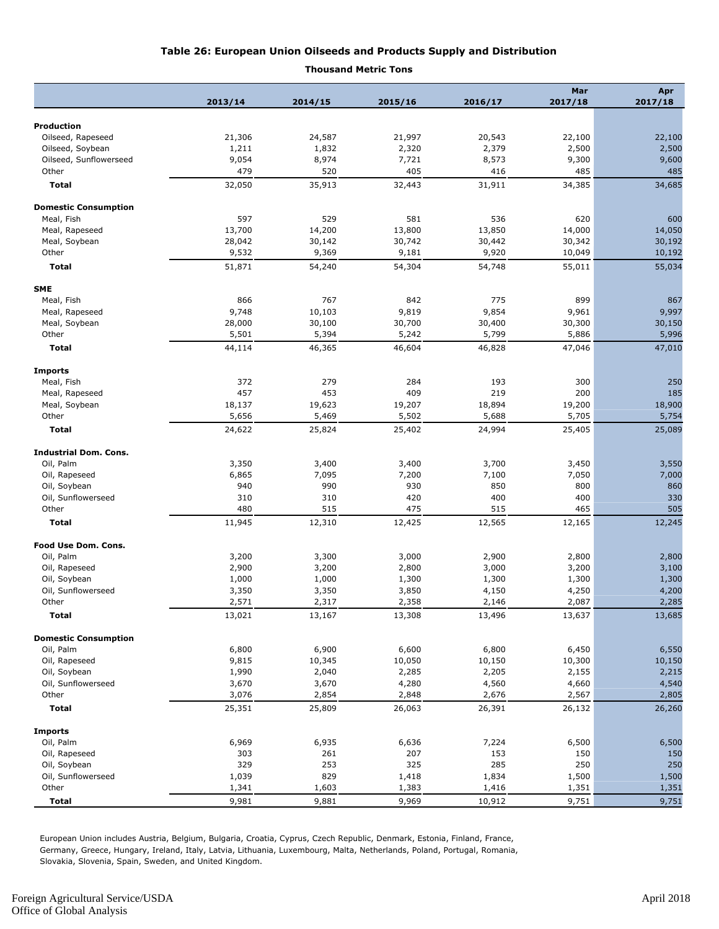#### **Table 26: European Union Oilseeds and Products Supply and Distribution**

**Thousand Metric Tons**

|                              |                 |                 |                 |                 | Mar              | Apr              |
|------------------------------|-----------------|-----------------|-----------------|-----------------|------------------|------------------|
|                              | 2013/14         | 2014/15         | 2015/16         | 2016/17         | 2017/18          | 2017/18          |
| <b>Production</b>            |                 |                 |                 |                 |                  |                  |
| Oilseed, Rapeseed            | 21,306          | 24,587          | 21,997          | 20,543          | 22,100           | 22,100           |
| Oilseed, Soybean             | 1,211           | 1,832           | 2,320           | 2,379           | 2,500            | 2,500            |
| Oilseed, Sunflowerseed       | 9,054           | 8,974           | 7,721           | 8,573           | 9,300            | 9,600            |
| Other                        | 479             | 520             | 405             | 416             | 485              | 485              |
| <b>Total</b>                 | 32,050          | 35,913          | 32,443          | 31,911          | 34,385           | 34,685           |
|                              |                 |                 |                 |                 |                  |                  |
| <b>Domestic Consumption</b>  |                 |                 |                 |                 |                  |                  |
| Meal, Fish                   | 597             | 529             | 581             | 536             | 620              | 600              |
| Meal, Rapeseed               | 13,700          | 14,200          | 13,800          | 13,850          | 14,000           | 14,050           |
| Meal, Soybean<br>Other       | 28,042<br>9,532 | 30,142<br>9,369 | 30,742<br>9,181 | 30,442<br>9,920 | 30,342<br>10,049 | 30,192<br>10,192 |
| <b>Total</b>                 | 51,871          | 54,240          | 54,304          | 54,748          | 55,011           | 55,034           |
|                              |                 |                 |                 |                 |                  |                  |
| <b>SME</b>                   |                 |                 |                 |                 |                  |                  |
| Meal, Fish                   | 866             | 767             | 842             | 775             | 899              | 867              |
| Meal, Rapeseed               | 9,748           | 10,103          | 9,819           | 9,854           | 9,961            | 9,997            |
| Meal, Soybean                | 28,000          | 30,100          | 30,700          | 30,400          | 30,300           | 30,150           |
| Other                        | 5,501           | 5,394           | 5,242           | 5,799           | 5,886            | 5,996            |
| <b>Total</b>                 | 44,114          | 46,365          | 46,604          | 46,828          | 47,046           | 47,010           |
| <b>Imports</b>               |                 |                 |                 |                 |                  |                  |
| Meal, Fish                   | 372             | 279             | 284             | 193             | 300              | 250              |
| Meal, Rapeseed               | 457             | 453             | 409             | 219             | 200              | 185              |
| Meal, Soybean                | 18,137          | 19,623          | 19,207          | 18,894          | 19,200           | 18,900           |
| Other                        | 5,656           | 5,469           | 5,502           | 5,688           | 5,705            | 5,754            |
| <b>Total</b>                 | 24,622          | 25,824          | 25,402          | 24,994          | 25,405           | 25,089           |
| <b>Industrial Dom. Cons.</b> |                 |                 |                 |                 |                  |                  |
| Oil, Palm                    | 3,350           | 3,400           | 3,400           | 3,700           | 3,450            | 3,550            |
| Oil, Rapeseed                | 6,865           | 7,095           | 7,200           | 7,100           | 7,050            | 7,000            |
| Oil, Soybean                 | 940             | 990             | 930             | 850             | 800              | 860              |
| Oil, Sunflowerseed           | 310             | 310             | 420             | 400             | 400              | 330              |
| Other                        | 480             | 515             | 475             | 515             | 465              | 505              |
| Total                        | 11,945          | 12,310          | 12,425          | 12,565          | 12,165           | 12,245           |
|                              |                 |                 |                 |                 |                  |                  |
| Food Use Dom. Cons.          |                 |                 |                 |                 |                  |                  |
| Oil, Palm                    | 3,200           | 3,300           | 3,000           | 2,900           | 2,800            | 2,800            |
| Oil, Rapeseed                | 2,900           | 3,200           | 2,800           | 3,000           | 3,200            | 3,100            |
| Oil, Soybean                 | 1,000           | 1,000           | 1,300           | 1,300           | 1,300            | 1,300            |
| Oil, Sunflowerseed           | 3,350           | 3,350           | 3,850           | 4,150           | 4,250            | 4,200            |
| Other                        | 2,571           | 2,317           | 2,358           | 2,146           | 2,087            | 2,285            |
| Total                        | 13,021          | 13,167          | 13,308          | 13,496          | 13,637           | 13,685           |
| <b>Domestic Consumption</b>  |                 |                 |                 |                 |                  |                  |
| Oil, Palm                    | 6,800           | 6,900           | 6,600           | 6,800           | 6,450            | 6,550            |
| Oil, Rapeseed                | 9,815           | 10,345          | 10,050          | 10,150          | 10,300           | 10,150           |
| Oil, Soybean                 | 1,990           | 2,040           | 2,285           | 2,205           | 2,155            | 2,215            |
| Oil, Sunflowerseed           | 3,670           | 3,670           | 4,280           | 4,560           | 4,660            | 4,540            |
| Other                        | 3,076           | 2,854           | 2,848           | 2,676           | 2,567            | 2,805            |
| <b>Total</b>                 | 25,351          | 25,809          | 26,063          | 26,391          | 26,132           | 26,260           |
| <b>Imports</b>               |                 |                 |                 |                 |                  |                  |
| Oil, Palm                    | 6,969           | 6,935           | 6,636           | 7,224           | 6,500            | 6,500            |
| Oil, Rapeseed                | 303             | 261             | 207             | 153             | 150              | 150              |
| Oil, Soybean                 | 329             | 253             | 325             | 285             | 250              | 250              |
| Oil, Sunflowerseed           | 1,039           | 829             | 1,418           | 1,834           | 1,500            | 1,500            |
| Other                        | 1,341           | 1,603           | 1,383           | 1,416           | 1,351            | 1,351            |
| <b>Total</b>                 | 9,981           | 9,881           | 9,969           | 10,912          | 9,751            | 9,751            |

European Union includes Austria, Belgium, Bulgaria, Croatia, Cyprus, Czech Republic, Denmark, Estonia, Finland, France, Germany, Greece, Hungary, Ireland, Italy, Latvia, Lithuania, Luxembourg, Malta, Netherlands, Poland, Portugal, Romania, Slovakia, Slovenia, Spain, Sweden, and United Kingdom.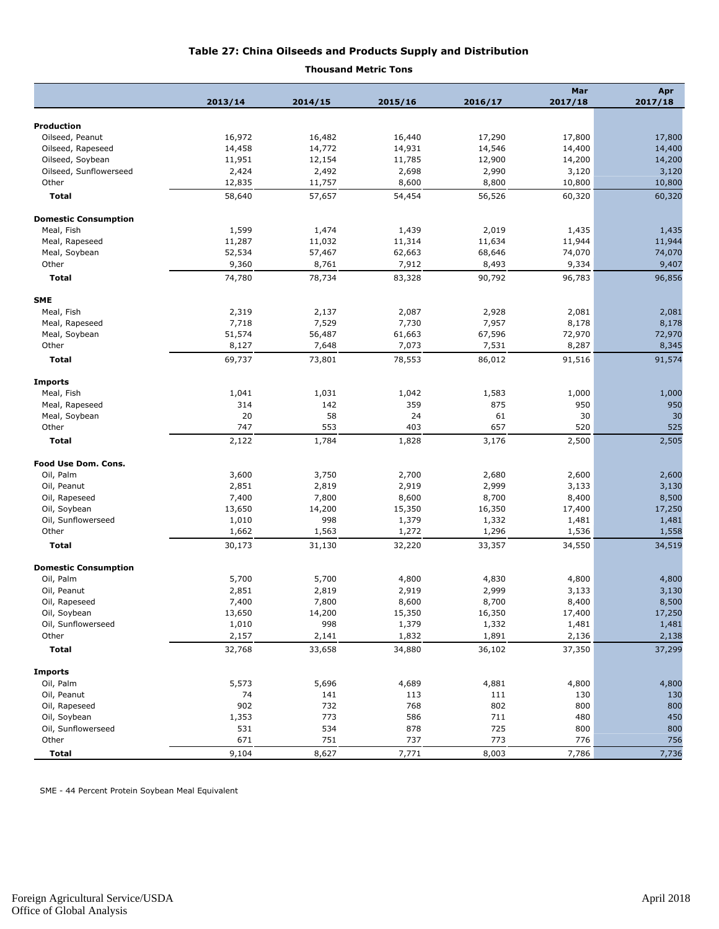#### **Table 27: China Oilseeds and Products Supply and Distribution**

#### **Thousand Metric Tons**

|                             |         |                  |         |         | Mar     | Apr     |
|-----------------------------|---------|------------------|---------|---------|---------|---------|
|                             | 2013/14 | 2014/15          | 2015/16 | 2016/17 | 2017/18 | 2017/18 |
| <b>Production</b>           |         |                  |         |         |         |         |
| Oilseed, Peanut             | 16,972  | 16,482           | 16,440  | 17,290  | 17,800  | 17,800  |
| Oilseed, Rapeseed           | 14,458  | 14,772           | 14,931  | 14,546  | 14,400  | 14,400  |
| Oilseed, Soybean            | 11,951  | 12,154           | 11,785  | 12,900  | 14,200  | 14,200  |
| Oilseed, Sunflowerseed      | 2,424   | 2,492            | 2,698   | 2,990   | 3,120   | 3,120   |
| Other                       | 12,835  |                  | 8,600   | 8,800   | 10,800  | 10,800  |
| <b>Total</b>                | 58,640  | 11,757<br>57,657 | 54,454  | 56,526  | 60,320  | 60,320  |
|                             |         |                  |         |         |         |         |
| <b>Domestic Consumption</b> |         |                  |         |         |         |         |
| Meal, Fish                  | 1,599   | 1,474            | 1,439   | 2,019   | 1,435   | 1,435   |
| Meal, Rapeseed              | 11,287  | 11,032           | 11,314  | 11,634  | 11,944  | 11,944  |
| Meal, Soybean               | 52,534  | 57,467           | 62,663  | 68,646  | 74,070  | 74,070  |
| Other                       | 9,360   | 8,761            | 7,912   | 8,493   | 9,334   | 9,407   |
| <b>Total</b>                | 74,780  | 78,734           | 83,328  | 90,792  | 96,783  | 96,856  |
| <b>SME</b>                  |         |                  |         |         |         |         |
| Meal, Fish                  | 2,319   | 2,137            | 2,087   | 2,928   | 2,081   | 2,081   |
| Meal, Rapeseed              | 7,718   | 7,529            | 7,730   | 7,957   | 8,178   | 8,178   |
| Meal, Soybean               | 51,574  | 56,487           | 61,663  | 67,596  | 72,970  | 72,970  |
| Other                       | 8,127   | 7,648            | 7,073   | 7,531   | 8,287   | 8,345   |
| Total                       | 69,737  | 73,801           | 78,553  | 86,012  | 91,516  | 91,574  |
| <b>Imports</b>              |         |                  |         |         |         |         |
| Meal, Fish                  | 1,041   | 1,031            | 1,042   | 1,583   | 1,000   | 1,000   |
| Meal, Rapeseed              | 314     | 142              | 359     | 875     | 950     | 950     |
| Meal, Soybean               | 20      | 58               | 24      | 61      | 30      | 30      |
| Other                       | 747     | 553              | 403     | 657     | 520     | 525     |
| <b>Total</b>                | 2,122   | 1,784            | 1,828   | 3,176   | 2,500   | 2,505   |
|                             |         |                  |         |         |         |         |
| Food Use Dom. Cons.         |         |                  |         |         |         |         |
| Oil, Palm                   | 3,600   | 3,750            | 2,700   | 2,680   | 2,600   | 2,600   |
| Oil, Peanut                 | 2,851   | 2,819            | 2,919   | 2,999   | 3,133   | 3,130   |
| Oil, Rapeseed               | 7,400   | 7,800            | 8,600   | 8,700   | 8,400   | 8,500   |
| Oil, Soybean                | 13,650  | 14,200           | 15,350  | 16,350  | 17,400  | 17,250  |
| Oil, Sunflowerseed          | 1,010   | 998              | 1,379   | 1,332   | 1,481   | 1,481   |
| Other                       | 1,662   | 1,563            | 1,272   | 1,296   | 1,536   | 1,558   |
| <b>Total</b>                | 30,173  | 31,130           | 32,220  | 33,357  | 34,550  | 34,519  |
| <b>Domestic Consumption</b> |         |                  |         |         |         |         |
| Oil, Palm                   | 5,700   | 5,700            | 4,800   | 4,830   | 4,800   | 4,800   |
| Oil, Peanut                 | 2,851   | 2,819            | 2,919   | 2,999   | 3,133   | 3,130   |
| Oil, Rapeseed               | 7,400   | 7,800            | 8,600   | 8,700   | 8,400   | 8,500   |
| Oil, Soybean                | 13,650  | 14,200           | 15,350  | 16,350  | 17,400  | 17,250  |
| Oil, Sunflowerseed          | 1,010   | 998              | 1,379   | 1,332   | 1,481   | 1,481   |
| Other                       | 2,157   | 2,141            | 1,832   | 1,891   | 2,136   | 2,138   |
| <b>Total</b>                | 32,768  | 33,658           | 34,880  | 36,102  | 37,350  | 37,299  |
|                             |         |                  |         |         |         |         |
| <b>Imports</b>              |         |                  |         |         |         |         |
| Oil, Palm                   | 5,573   | 5,696            | 4,689   | 4,881   | 4,800   | 4,800   |
| Oil, Peanut                 | 74      | 141              | 113     | 111     | 130     | 130     |
| Oil, Rapeseed               | 902     | 732              | 768     | 802     | 800     | 800     |
| Oil, Soybean                | 1,353   | 773              | 586     | 711     | 480     | 450     |
| Oil, Sunflowerseed          | 531     | 534              | 878     | 725     | 800     | 800     |
| Other                       | 671     | 751              | 737     | 773     | 776     | 756     |
| <b>Total</b>                | 9,104   | 8,627            | 7,771   | 8,003   | 7,786   | 7,736   |

SME - 44 Percent Protein Soybean Meal Equivalent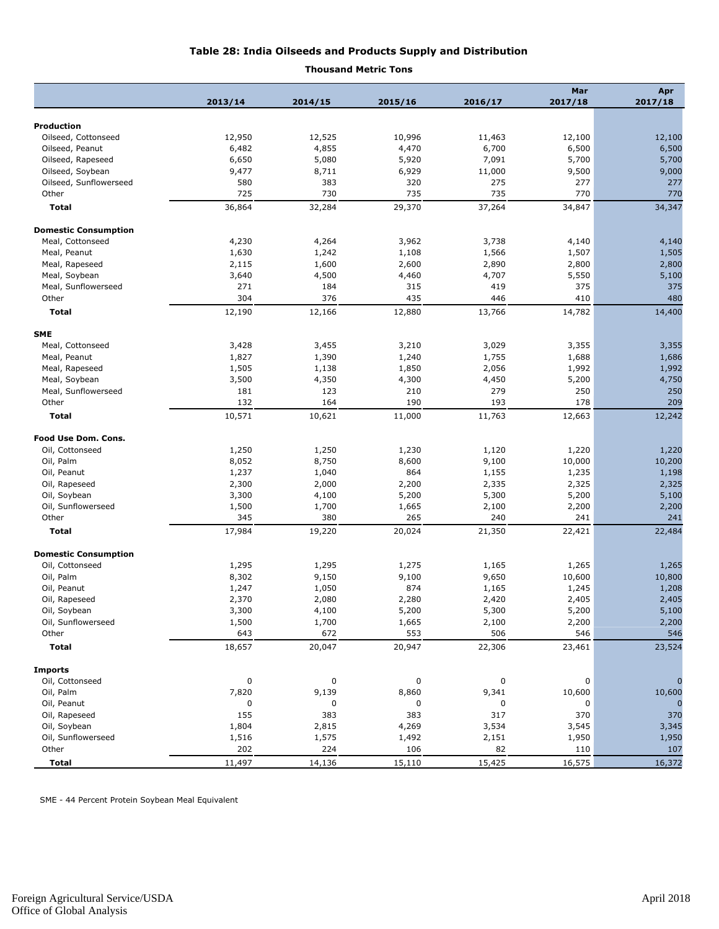#### **Table 28: India Oilseeds and Products Supply and Distribution**

#### **Thousand Metric Tons**

| 2013/14<br>2014/15<br>2015/16<br>2016/17<br>2017/18<br>2017/18<br><b>Production</b><br>Oilseed, Cottonseed<br>12,950<br>12,525<br>10,996<br>12,100<br>12,100<br>11,463<br>6,482<br>4,855<br>4,470<br>6,700<br>6,500<br>6,500<br>Oilseed, Peanut<br>Oilseed, Rapeseed<br>6,650<br>5,080<br>5,920<br>7,091<br>5,700<br>5,700<br>9,000<br>Oilseed, Soybean<br>9,477<br>8,711<br>6,929<br>11,000<br>9,500<br>Oilseed, Sunflowerseed<br>580<br>383<br>320<br>275<br>277<br>277<br>725<br>730<br>735<br>735<br>Other<br>770<br>770<br><b>Total</b><br>36,864<br>32,284<br>29,370<br>37,264<br>34,847<br>34,347<br><b>Domestic Consumption</b><br>Meal, Cottonseed<br>4,230<br>4,264<br>3,962<br>3,738<br>4,140<br>4,140<br>Meal, Peanut<br>1,630<br>1,242<br>1,108<br>1,507<br>1,505<br>1,566<br>Meal, Rapeseed<br>2,115<br>1,600<br>2,600<br>2,890<br>2,800<br>2,800<br>5,100<br>Meal, Soybean<br>3,640<br>4,500<br>4,460<br>4,707<br>5,550<br>Meal, Sunflowerseed<br>184<br>375<br>271<br>315<br>419<br>375<br>Other<br>304<br>376<br>435<br>446<br>410<br>480<br>12,190<br>12,166<br>12,880<br>13,766<br>14,782<br>14,400<br>Total<br><b>SME</b><br>Meal, Cottonseed<br>3,428<br>3,455<br>3,210<br>3,029<br>3,355<br>3,355<br>1,390<br>1,240<br>Meal, Peanut<br>1,827<br>1,755<br>1,688<br>1,686<br>Meal, Rapeseed<br>1,505<br>1,138<br>1,850<br>2,056<br>1,992<br>1,992<br>4,750<br>Meal, Soybean<br>3,500<br>4,350<br>4,300<br>4,450<br>5,200<br>181<br>123<br>279<br>250<br>250<br>Meal, Sunflowerseed<br>210<br>132<br>164<br>190<br>193<br>178<br>209<br>Other<br>10,571<br>10,621<br>11,000<br>11,763<br>12,663<br>12,242<br>Total<br>Food Use Dom. Cons.<br>Oil, Cottonseed<br>1,250<br>1,250<br>1,230<br>1,120<br>1,220<br>1,220<br>Oil, Palm<br>8,052<br>8,750<br>8,600<br>9,100<br>10,000<br>10,200<br>Oil, Peanut<br>1,237<br>1,040<br>864<br>1,235<br>1,198<br>1,155<br>2,325<br>Oil, Rapeseed<br>2,300<br>2,000<br>2,200<br>2,335<br>2,325<br>Oil, Soybean<br>3,300<br>4,100<br>5,200<br>5,300<br>5,200<br>5,100<br>Oil, Sunflowerseed<br>1,700<br>1,665<br>2,200<br>2,200<br>1,500<br>2,100<br>Other<br>345<br>380<br>265<br>240<br>241<br>241<br>17,984<br>22,484<br>Total<br>19,220<br>20,024<br>21,350<br>22,421<br><b>Domestic Consumption</b><br>1,295<br>1,295<br>Oil, Cottonseed<br>1,275<br>1,165<br>1,265<br>1,265<br>9,150<br>10,800<br>Oil, Palm<br>8,302<br>9,100<br>9,650<br>10,600<br>874<br>1,208<br>Oil, Peanut<br>1,247<br>1,050<br>1,165<br>1,245<br>2,405<br>Oil, Rapeseed<br>2,370<br>2,080<br>2,280<br>2,420<br>2,405<br>5,200<br>5,100<br>Oil, Soybean<br>5,300<br>3,300<br>4,100<br>5,200<br>Oil, Sunflowerseed<br>1,500<br>1,700<br>2,100<br>1,665<br>2,200<br>2,200<br>553<br>Other<br>643<br>672<br>506<br>546<br>546<br><b>Total</b><br>18,657<br>20,047<br>20,947<br>22,306<br>23,461<br>23,524<br><b>Imports</b><br>Oil, Cottonseed<br>0<br>0<br>0<br>0<br>0<br>$\sqrt{ }$<br>Oil, Palm<br>7,820<br>9,139<br>8,860<br>9,341<br>10,600<br>10,600<br>Oil, Peanut<br>0<br>0<br>0<br>0<br>0<br>Oil, Rapeseed<br>155<br>383<br>383<br>317<br>370<br>370<br>Oil, Soybean<br>1,804<br>2,815<br>4,269<br>3,534<br>3,545<br>3,345<br>Oil, Sunflowerseed<br>1,575<br>1,950<br>1,516<br>1,492<br>2,151<br>1,950<br>Other<br>202<br>224<br>106<br>82<br>110<br>107<br>11,497<br>15,425<br>16,575<br><b>Total</b><br>14,136<br>15,110<br>16,372 |  |  | Mar | Apr |
|----------------------------------------------------------------------------------------------------------------------------------------------------------------------------------------------------------------------------------------------------------------------------------------------------------------------------------------------------------------------------------------------------------------------------------------------------------------------------------------------------------------------------------------------------------------------------------------------------------------------------------------------------------------------------------------------------------------------------------------------------------------------------------------------------------------------------------------------------------------------------------------------------------------------------------------------------------------------------------------------------------------------------------------------------------------------------------------------------------------------------------------------------------------------------------------------------------------------------------------------------------------------------------------------------------------------------------------------------------------------------------------------------------------------------------------------------------------------------------------------------------------------------------------------------------------------------------------------------------------------------------------------------------------------------------------------------------------------------------------------------------------------------------------------------------------------------------------------------------------------------------------------------------------------------------------------------------------------------------------------------------------------------------------------------------------------------------------------------------------------------------------------------------------------------------------------------------------------------------------------------------------------------------------------------------------------------------------------------------------------------------------------------------------------------------------------------------------------------------------------------------------------------------------------------------------------------------------------------------------------------------------------------------------------------------------------------------------------------------------------------------------------------------------------------------------------------------------------------------------------------------------------------------------------------------------------------------------------------------------------------------------------------------------------------------------------------------------------------------------------------------------------------------------------------------------------------------------------------------------------------------------------------------------------------------------------------------------------------------------------------|--|--|-----|-----|
|                                                                                                                                                                                                                                                                                                                                                                                                                                                                                                                                                                                                                                                                                                                                                                                                                                                                                                                                                                                                                                                                                                                                                                                                                                                                                                                                                                                                                                                                                                                                                                                                                                                                                                                                                                                                                                                                                                                                                                                                                                                                                                                                                                                                                                                                                                                                                                                                                                                                                                                                                                                                                                                                                                                                                                                                                                                                                                                                                                                                                                                                                                                                                                                                                                                                                                                                                                            |  |  |     |     |
|                                                                                                                                                                                                                                                                                                                                                                                                                                                                                                                                                                                                                                                                                                                                                                                                                                                                                                                                                                                                                                                                                                                                                                                                                                                                                                                                                                                                                                                                                                                                                                                                                                                                                                                                                                                                                                                                                                                                                                                                                                                                                                                                                                                                                                                                                                                                                                                                                                                                                                                                                                                                                                                                                                                                                                                                                                                                                                                                                                                                                                                                                                                                                                                                                                                                                                                                                                            |  |  |     |     |
|                                                                                                                                                                                                                                                                                                                                                                                                                                                                                                                                                                                                                                                                                                                                                                                                                                                                                                                                                                                                                                                                                                                                                                                                                                                                                                                                                                                                                                                                                                                                                                                                                                                                                                                                                                                                                                                                                                                                                                                                                                                                                                                                                                                                                                                                                                                                                                                                                                                                                                                                                                                                                                                                                                                                                                                                                                                                                                                                                                                                                                                                                                                                                                                                                                                                                                                                                                            |  |  |     |     |
|                                                                                                                                                                                                                                                                                                                                                                                                                                                                                                                                                                                                                                                                                                                                                                                                                                                                                                                                                                                                                                                                                                                                                                                                                                                                                                                                                                                                                                                                                                                                                                                                                                                                                                                                                                                                                                                                                                                                                                                                                                                                                                                                                                                                                                                                                                                                                                                                                                                                                                                                                                                                                                                                                                                                                                                                                                                                                                                                                                                                                                                                                                                                                                                                                                                                                                                                                                            |  |  |     |     |
|                                                                                                                                                                                                                                                                                                                                                                                                                                                                                                                                                                                                                                                                                                                                                                                                                                                                                                                                                                                                                                                                                                                                                                                                                                                                                                                                                                                                                                                                                                                                                                                                                                                                                                                                                                                                                                                                                                                                                                                                                                                                                                                                                                                                                                                                                                                                                                                                                                                                                                                                                                                                                                                                                                                                                                                                                                                                                                                                                                                                                                                                                                                                                                                                                                                                                                                                                                            |  |  |     |     |
|                                                                                                                                                                                                                                                                                                                                                                                                                                                                                                                                                                                                                                                                                                                                                                                                                                                                                                                                                                                                                                                                                                                                                                                                                                                                                                                                                                                                                                                                                                                                                                                                                                                                                                                                                                                                                                                                                                                                                                                                                                                                                                                                                                                                                                                                                                                                                                                                                                                                                                                                                                                                                                                                                                                                                                                                                                                                                                                                                                                                                                                                                                                                                                                                                                                                                                                                                                            |  |  |     |     |
|                                                                                                                                                                                                                                                                                                                                                                                                                                                                                                                                                                                                                                                                                                                                                                                                                                                                                                                                                                                                                                                                                                                                                                                                                                                                                                                                                                                                                                                                                                                                                                                                                                                                                                                                                                                                                                                                                                                                                                                                                                                                                                                                                                                                                                                                                                                                                                                                                                                                                                                                                                                                                                                                                                                                                                                                                                                                                                                                                                                                                                                                                                                                                                                                                                                                                                                                                                            |  |  |     |     |
|                                                                                                                                                                                                                                                                                                                                                                                                                                                                                                                                                                                                                                                                                                                                                                                                                                                                                                                                                                                                                                                                                                                                                                                                                                                                                                                                                                                                                                                                                                                                                                                                                                                                                                                                                                                                                                                                                                                                                                                                                                                                                                                                                                                                                                                                                                                                                                                                                                                                                                                                                                                                                                                                                                                                                                                                                                                                                                                                                                                                                                                                                                                                                                                                                                                                                                                                                                            |  |  |     |     |
|                                                                                                                                                                                                                                                                                                                                                                                                                                                                                                                                                                                                                                                                                                                                                                                                                                                                                                                                                                                                                                                                                                                                                                                                                                                                                                                                                                                                                                                                                                                                                                                                                                                                                                                                                                                                                                                                                                                                                                                                                                                                                                                                                                                                                                                                                                                                                                                                                                                                                                                                                                                                                                                                                                                                                                                                                                                                                                                                                                                                                                                                                                                                                                                                                                                                                                                                                                            |  |  |     |     |
|                                                                                                                                                                                                                                                                                                                                                                                                                                                                                                                                                                                                                                                                                                                                                                                                                                                                                                                                                                                                                                                                                                                                                                                                                                                                                                                                                                                                                                                                                                                                                                                                                                                                                                                                                                                                                                                                                                                                                                                                                                                                                                                                                                                                                                                                                                                                                                                                                                                                                                                                                                                                                                                                                                                                                                                                                                                                                                                                                                                                                                                                                                                                                                                                                                                                                                                                                                            |  |  |     |     |
|                                                                                                                                                                                                                                                                                                                                                                                                                                                                                                                                                                                                                                                                                                                                                                                                                                                                                                                                                                                                                                                                                                                                                                                                                                                                                                                                                                                                                                                                                                                                                                                                                                                                                                                                                                                                                                                                                                                                                                                                                                                                                                                                                                                                                                                                                                                                                                                                                                                                                                                                                                                                                                                                                                                                                                                                                                                                                                                                                                                                                                                                                                                                                                                                                                                                                                                                                                            |  |  |     |     |
|                                                                                                                                                                                                                                                                                                                                                                                                                                                                                                                                                                                                                                                                                                                                                                                                                                                                                                                                                                                                                                                                                                                                                                                                                                                                                                                                                                                                                                                                                                                                                                                                                                                                                                                                                                                                                                                                                                                                                                                                                                                                                                                                                                                                                                                                                                                                                                                                                                                                                                                                                                                                                                                                                                                                                                                                                                                                                                                                                                                                                                                                                                                                                                                                                                                                                                                                                                            |  |  |     |     |
|                                                                                                                                                                                                                                                                                                                                                                                                                                                                                                                                                                                                                                                                                                                                                                                                                                                                                                                                                                                                                                                                                                                                                                                                                                                                                                                                                                                                                                                                                                                                                                                                                                                                                                                                                                                                                                                                                                                                                                                                                                                                                                                                                                                                                                                                                                                                                                                                                                                                                                                                                                                                                                                                                                                                                                                                                                                                                                                                                                                                                                                                                                                                                                                                                                                                                                                                                                            |  |  |     |     |
|                                                                                                                                                                                                                                                                                                                                                                                                                                                                                                                                                                                                                                                                                                                                                                                                                                                                                                                                                                                                                                                                                                                                                                                                                                                                                                                                                                                                                                                                                                                                                                                                                                                                                                                                                                                                                                                                                                                                                                                                                                                                                                                                                                                                                                                                                                                                                                                                                                                                                                                                                                                                                                                                                                                                                                                                                                                                                                                                                                                                                                                                                                                                                                                                                                                                                                                                                                            |  |  |     |     |
|                                                                                                                                                                                                                                                                                                                                                                                                                                                                                                                                                                                                                                                                                                                                                                                                                                                                                                                                                                                                                                                                                                                                                                                                                                                                                                                                                                                                                                                                                                                                                                                                                                                                                                                                                                                                                                                                                                                                                                                                                                                                                                                                                                                                                                                                                                                                                                                                                                                                                                                                                                                                                                                                                                                                                                                                                                                                                                                                                                                                                                                                                                                                                                                                                                                                                                                                                                            |  |  |     |     |
|                                                                                                                                                                                                                                                                                                                                                                                                                                                                                                                                                                                                                                                                                                                                                                                                                                                                                                                                                                                                                                                                                                                                                                                                                                                                                                                                                                                                                                                                                                                                                                                                                                                                                                                                                                                                                                                                                                                                                                                                                                                                                                                                                                                                                                                                                                                                                                                                                                                                                                                                                                                                                                                                                                                                                                                                                                                                                                                                                                                                                                                                                                                                                                                                                                                                                                                                                                            |  |  |     |     |
|                                                                                                                                                                                                                                                                                                                                                                                                                                                                                                                                                                                                                                                                                                                                                                                                                                                                                                                                                                                                                                                                                                                                                                                                                                                                                                                                                                                                                                                                                                                                                                                                                                                                                                                                                                                                                                                                                                                                                                                                                                                                                                                                                                                                                                                                                                                                                                                                                                                                                                                                                                                                                                                                                                                                                                                                                                                                                                                                                                                                                                                                                                                                                                                                                                                                                                                                                                            |  |  |     |     |
|                                                                                                                                                                                                                                                                                                                                                                                                                                                                                                                                                                                                                                                                                                                                                                                                                                                                                                                                                                                                                                                                                                                                                                                                                                                                                                                                                                                                                                                                                                                                                                                                                                                                                                                                                                                                                                                                                                                                                                                                                                                                                                                                                                                                                                                                                                                                                                                                                                                                                                                                                                                                                                                                                                                                                                                                                                                                                                                                                                                                                                                                                                                                                                                                                                                                                                                                                                            |  |  |     |     |
|                                                                                                                                                                                                                                                                                                                                                                                                                                                                                                                                                                                                                                                                                                                                                                                                                                                                                                                                                                                                                                                                                                                                                                                                                                                                                                                                                                                                                                                                                                                                                                                                                                                                                                                                                                                                                                                                                                                                                                                                                                                                                                                                                                                                                                                                                                                                                                                                                                                                                                                                                                                                                                                                                                                                                                                                                                                                                                                                                                                                                                                                                                                                                                                                                                                                                                                                                                            |  |  |     |     |
|                                                                                                                                                                                                                                                                                                                                                                                                                                                                                                                                                                                                                                                                                                                                                                                                                                                                                                                                                                                                                                                                                                                                                                                                                                                                                                                                                                                                                                                                                                                                                                                                                                                                                                                                                                                                                                                                                                                                                                                                                                                                                                                                                                                                                                                                                                                                                                                                                                                                                                                                                                                                                                                                                                                                                                                                                                                                                                                                                                                                                                                                                                                                                                                                                                                                                                                                                                            |  |  |     |     |
|                                                                                                                                                                                                                                                                                                                                                                                                                                                                                                                                                                                                                                                                                                                                                                                                                                                                                                                                                                                                                                                                                                                                                                                                                                                                                                                                                                                                                                                                                                                                                                                                                                                                                                                                                                                                                                                                                                                                                                                                                                                                                                                                                                                                                                                                                                                                                                                                                                                                                                                                                                                                                                                                                                                                                                                                                                                                                                                                                                                                                                                                                                                                                                                                                                                                                                                                                                            |  |  |     |     |
|                                                                                                                                                                                                                                                                                                                                                                                                                                                                                                                                                                                                                                                                                                                                                                                                                                                                                                                                                                                                                                                                                                                                                                                                                                                                                                                                                                                                                                                                                                                                                                                                                                                                                                                                                                                                                                                                                                                                                                                                                                                                                                                                                                                                                                                                                                                                                                                                                                                                                                                                                                                                                                                                                                                                                                                                                                                                                                                                                                                                                                                                                                                                                                                                                                                                                                                                                                            |  |  |     |     |
|                                                                                                                                                                                                                                                                                                                                                                                                                                                                                                                                                                                                                                                                                                                                                                                                                                                                                                                                                                                                                                                                                                                                                                                                                                                                                                                                                                                                                                                                                                                                                                                                                                                                                                                                                                                                                                                                                                                                                                                                                                                                                                                                                                                                                                                                                                                                                                                                                                                                                                                                                                                                                                                                                                                                                                                                                                                                                                                                                                                                                                                                                                                                                                                                                                                                                                                                                                            |  |  |     |     |
|                                                                                                                                                                                                                                                                                                                                                                                                                                                                                                                                                                                                                                                                                                                                                                                                                                                                                                                                                                                                                                                                                                                                                                                                                                                                                                                                                                                                                                                                                                                                                                                                                                                                                                                                                                                                                                                                                                                                                                                                                                                                                                                                                                                                                                                                                                                                                                                                                                                                                                                                                                                                                                                                                                                                                                                                                                                                                                                                                                                                                                                                                                                                                                                                                                                                                                                                                                            |  |  |     |     |
|                                                                                                                                                                                                                                                                                                                                                                                                                                                                                                                                                                                                                                                                                                                                                                                                                                                                                                                                                                                                                                                                                                                                                                                                                                                                                                                                                                                                                                                                                                                                                                                                                                                                                                                                                                                                                                                                                                                                                                                                                                                                                                                                                                                                                                                                                                                                                                                                                                                                                                                                                                                                                                                                                                                                                                                                                                                                                                                                                                                                                                                                                                                                                                                                                                                                                                                                                                            |  |  |     |     |
|                                                                                                                                                                                                                                                                                                                                                                                                                                                                                                                                                                                                                                                                                                                                                                                                                                                                                                                                                                                                                                                                                                                                                                                                                                                                                                                                                                                                                                                                                                                                                                                                                                                                                                                                                                                                                                                                                                                                                                                                                                                                                                                                                                                                                                                                                                                                                                                                                                                                                                                                                                                                                                                                                                                                                                                                                                                                                                                                                                                                                                                                                                                                                                                                                                                                                                                                                                            |  |  |     |     |
|                                                                                                                                                                                                                                                                                                                                                                                                                                                                                                                                                                                                                                                                                                                                                                                                                                                                                                                                                                                                                                                                                                                                                                                                                                                                                                                                                                                                                                                                                                                                                                                                                                                                                                                                                                                                                                                                                                                                                                                                                                                                                                                                                                                                                                                                                                                                                                                                                                                                                                                                                                                                                                                                                                                                                                                                                                                                                                                                                                                                                                                                                                                                                                                                                                                                                                                                                                            |  |  |     |     |
|                                                                                                                                                                                                                                                                                                                                                                                                                                                                                                                                                                                                                                                                                                                                                                                                                                                                                                                                                                                                                                                                                                                                                                                                                                                                                                                                                                                                                                                                                                                                                                                                                                                                                                                                                                                                                                                                                                                                                                                                                                                                                                                                                                                                                                                                                                                                                                                                                                                                                                                                                                                                                                                                                                                                                                                                                                                                                                                                                                                                                                                                                                                                                                                                                                                                                                                                                                            |  |  |     |     |
|                                                                                                                                                                                                                                                                                                                                                                                                                                                                                                                                                                                                                                                                                                                                                                                                                                                                                                                                                                                                                                                                                                                                                                                                                                                                                                                                                                                                                                                                                                                                                                                                                                                                                                                                                                                                                                                                                                                                                                                                                                                                                                                                                                                                                                                                                                                                                                                                                                                                                                                                                                                                                                                                                                                                                                                                                                                                                                                                                                                                                                                                                                                                                                                                                                                                                                                                                                            |  |  |     |     |
|                                                                                                                                                                                                                                                                                                                                                                                                                                                                                                                                                                                                                                                                                                                                                                                                                                                                                                                                                                                                                                                                                                                                                                                                                                                                                                                                                                                                                                                                                                                                                                                                                                                                                                                                                                                                                                                                                                                                                                                                                                                                                                                                                                                                                                                                                                                                                                                                                                                                                                                                                                                                                                                                                                                                                                                                                                                                                                                                                                                                                                                                                                                                                                                                                                                                                                                                                                            |  |  |     |     |
|                                                                                                                                                                                                                                                                                                                                                                                                                                                                                                                                                                                                                                                                                                                                                                                                                                                                                                                                                                                                                                                                                                                                                                                                                                                                                                                                                                                                                                                                                                                                                                                                                                                                                                                                                                                                                                                                                                                                                                                                                                                                                                                                                                                                                                                                                                                                                                                                                                                                                                                                                                                                                                                                                                                                                                                                                                                                                                                                                                                                                                                                                                                                                                                                                                                                                                                                                                            |  |  |     |     |
|                                                                                                                                                                                                                                                                                                                                                                                                                                                                                                                                                                                                                                                                                                                                                                                                                                                                                                                                                                                                                                                                                                                                                                                                                                                                                                                                                                                                                                                                                                                                                                                                                                                                                                                                                                                                                                                                                                                                                                                                                                                                                                                                                                                                                                                                                                                                                                                                                                                                                                                                                                                                                                                                                                                                                                                                                                                                                                                                                                                                                                                                                                                                                                                                                                                                                                                                                                            |  |  |     |     |
|                                                                                                                                                                                                                                                                                                                                                                                                                                                                                                                                                                                                                                                                                                                                                                                                                                                                                                                                                                                                                                                                                                                                                                                                                                                                                                                                                                                                                                                                                                                                                                                                                                                                                                                                                                                                                                                                                                                                                                                                                                                                                                                                                                                                                                                                                                                                                                                                                                                                                                                                                                                                                                                                                                                                                                                                                                                                                                                                                                                                                                                                                                                                                                                                                                                                                                                                                                            |  |  |     |     |
|                                                                                                                                                                                                                                                                                                                                                                                                                                                                                                                                                                                                                                                                                                                                                                                                                                                                                                                                                                                                                                                                                                                                                                                                                                                                                                                                                                                                                                                                                                                                                                                                                                                                                                                                                                                                                                                                                                                                                                                                                                                                                                                                                                                                                                                                                                                                                                                                                                                                                                                                                                                                                                                                                                                                                                                                                                                                                                                                                                                                                                                                                                                                                                                                                                                                                                                                                                            |  |  |     |     |
|                                                                                                                                                                                                                                                                                                                                                                                                                                                                                                                                                                                                                                                                                                                                                                                                                                                                                                                                                                                                                                                                                                                                                                                                                                                                                                                                                                                                                                                                                                                                                                                                                                                                                                                                                                                                                                                                                                                                                                                                                                                                                                                                                                                                                                                                                                                                                                                                                                                                                                                                                                                                                                                                                                                                                                                                                                                                                                                                                                                                                                                                                                                                                                                                                                                                                                                                                                            |  |  |     |     |
|                                                                                                                                                                                                                                                                                                                                                                                                                                                                                                                                                                                                                                                                                                                                                                                                                                                                                                                                                                                                                                                                                                                                                                                                                                                                                                                                                                                                                                                                                                                                                                                                                                                                                                                                                                                                                                                                                                                                                                                                                                                                                                                                                                                                                                                                                                                                                                                                                                                                                                                                                                                                                                                                                                                                                                                                                                                                                                                                                                                                                                                                                                                                                                                                                                                                                                                                                                            |  |  |     |     |
|                                                                                                                                                                                                                                                                                                                                                                                                                                                                                                                                                                                                                                                                                                                                                                                                                                                                                                                                                                                                                                                                                                                                                                                                                                                                                                                                                                                                                                                                                                                                                                                                                                                                                                                                                                                                                                                                                                                                                                                                                                                                                                                                                                                                                                                                                                                                                                                                                                                                                                                                                                                                                                                                                                                                                                                                                                                                                                                                                                                                                                                                                                                                                                                                                                                                                                                                                                            |  |  |     |     |
|                                                                                                                                                                                                                                                                                                                                                                                                                                                                                                                                                                                                                                                                                                                                                                                                                                                                                                                                                                                                                                                                                                                                                                                                                                                                                                                                                                                                                                                                                                                                                                                                                                                                                                                                                                                                                                                                                                                                                                                                                                                                                                                                                                                                                                                                                                                                                                                                                                                                                                                                                                                                                                                                                                                                                                                                                                                                                                                                                                                                                                                                                                                                                                                                                                                                                                                                                                            |  |  |     |     |
|                                                                                                                                                                                                                                                                                                                                                                                                                                                                                                                                                                                                                                                                                                                                                                                                                                                                                                                                                                                                                                                                                                                                                                                                                                                                                                                                                                                                                                                                                                                                                                                                                                                                                                                                                                                                                                                                                                                                                                                                                                                                                                                                                                                                                                                                                                                                                                                                                                                                                                                                                                                                                                                                                                                                                                                                                                                                                                                                                                                                                                                                                                                                                                                                                                                                                                                                                                            |  |  |     |     |
|                                                                                                                                                                                                                                                                                                                                                                                                                                                                                                                                                                                                                                                                                                                                                                                                                                                                                                                                                                                                                                                                                                                                                                                                                                                                                                                                                                                                                                                                                                                                                                                                                                                                                                                                                                                                                                                                                                                                                                                                                                                                                                                                                                                                                                                                                                                                                                                                                                                                                                                                                                                                                                                                                                                                                                                                                                                                                                                                                                                                                                                                                                                                                                                                                                                                                                                                                                            |  |  |     |     |
|                                                                                                                                                                                                                                                                                                                                                                                                                                                                                                                                                                                                                                                                                                                                                                                                                                                                                                                                                                                                                                                                                                                                                                                                                                                                                                                                                                                                                                                                                                                                                                                                                                                                                                                                                                                                                                                                                                                                                                                                                                                                                                                                                                                                                                                                                                                                                                                                                                                                                                                                                                                                                                                                                                                                                                                                                                                                                                                                                                                                                                                                                                                                                                                                                                                                                                                                                                            |  |  |     |     |
|                                                                                                                                                                                                                                                                                                                                                                                                                                                                                                                                                                                                                                                                                                                                                                                                                                                                                                                                                                                                                                                                                                                                                                                                                                                                                                                                                                                                                                                                                                                                                                                                                                                                                                                                                                                                                                                                                                                                                                                                                                                                                                                                                                                                                                                                                                                                                                                                                                                                                                                                                                                                                                                                                                                                                                                                                                                                                                                                                                                                                                                                                                                                                                                                                                                                                                                                                                            |  |  |     |     |
|                                                                                                                                                                                                                                                                                                                                                                                                                                                                                                                                                                                                                                                                                                                                                                                                                                                                                                                                                                                                                                                                                                                                                                                                                                                                                                                                                                                                                                                                                                                                                                                                                                                                                                                                                                                                                                                                                                                                                                                                                                                                                                                                                                                                                                                                                                                                                                                                                                                                                                                                                                                                                                                                                                                                                                                                                                                                                                                                                                                                                                                                                                                                                                                                                                                                                                                                                                            |  |  |     |     |
|                                                                                                                                                                                                                                                                                                                                                                                                                                                                                                                                                                                                                                                                                                                                                                                                                                                                                                                                                                                                                                                                                                                                                                                                                                                                                                                                                                                                                                                                                                                                                                                                                                                                                                                                                                                                                                                                                                                                                                                                                                                                                                                                                                                                                                                                                                                                                                                                                                                                                                                                                                                                                                                                                                                                                                                                                                                                                                                                                                                                                                                                                                                                                                                                                                                                                                                                                                            |  |  |     |     |
|                                                                                                                                                                                                                                                                                                                                                                                                                                                                                                                                                                                                                                                                                                                                                                                                                                                                                                                                                                                                                                                                                                                                                                                                                                                                                                                                                                                                                                                                                                                                                                                                                                                                                                                                                                                                                                                                                                                                                                                                                                                                                                                                                                                                                                                                                                                                                                                                                                                                                                                                                                                                                                                                                                                                                                                                                                                                                                                                                                                                                                                                                                                                                                                                                                                                                                                                                                            |  |  |     |     |
|                                                                                                                                                                                                                                                                                                                                                                                                                                                                                                                                                                                                                                                                                                                                                                                                                                                                                                                                                                                                                                                                                                                                                                                                                                                                                                                                                                                                                                                                                                                                                                                                                                                                                                                                                                                                                                                                                                                                                                                                                                                                                                                                                                                                                                                                                                                                                                                                                                                                                                                                                                                                                                                                                                                                                                                                                                                                                                                                                                                                                                                                                                                                                                                                                                                                                                                                                                            |  |  |     |     |
|                                                                                                                                                                                                                                                                                                                                                                                                                                                                                                                                                                                                                                                                                                                                                                                                                                                                                                                                                                                                                                                                                                                                                                                                                                                                                                                                                                                                                                                                                                                                                                                                                                                                                                                                                                                                                                                                                                                                                                                                                                                                                                                                                                                                                                                                                                                                                                                                                                                                                                                                                                                                                                                                                                                                                                                                                                                                                                                                                                                                                                                                                                                                                                                                                                                                                                                                                                            |  |  |     |     |
|                                                                                                                                                                                                                                                                                                                                                                                                                                                                                                                                                                                                                                                                                                                                                                                                                                                                                                                                                                                                                                                                                                                                                                                                                                                                                                                                                                                                                                                                                                                                                                                                                                                                                                                                                                                                                                                                                                                                                                                                                                                                                                                                                                                                                                                                                                                                                                                                                                                                                                                                                                                                                                                                                                                                                                                                                                                                                                                                                                                                                                                                                                                                                                                                                                                                                                                                                                            |  |  |     |     |
|                                                                                                                                                                                                                                                                                                                                                                                                                                                                                                                                                                                                                                                                                                                                                                                                                                                                                                                                                                                                                                                                                                                                                                                                                                                                                                                                                                                                                                                                                                                                                                                                                                                                                                                                                                                                                                                                                                                                                                                                                                                                                                                                                                                                                                                                                                                                                                                                                                                                                                                                                                                                                                                                                                                                                                                                                                                                                                                                                                                                                                                                                                                                                                                                                                                                                                                                                                            |  |  |     |     |
|                                                                                                                                                                                                                                                                                                                                                                                                                                                                                                                                                                                                                                                                                                                                                                                                                                                                                                                                                                                                                                                                                                                                                                                                                                                                                                                                                                                                                                                                                                                                                                                                                                                                                                                                                                                                                                                                                                                                                                                                                                                                                                                                                                                                                                                                                                                                                                                                                                                                                                                                                                                                                                                                                                                                                                                                                                                                                                                                                                                                                                                                                                                                                                                                                                                                                                                                                                            |  |  |     |     |
|                                                                                                                                                                                                                                                                                                                                                                                                                                                                                                                                                                                                                                                                                                                                                                                                                                                                                                                                                                                                                                                                                                                                                                                                                                                                                                                                                                                                                                                                                                                                                                                                                                                                                                                                                                                                                                                                                                                                                                                                                                                                                                                                                                                                                                                                                                                                                                                                                                                                                                                                                                                                                                                                                                                                                                                                                                                                                                                                                                                                                                                                                                                                                                                                                                                                                                                                                                            |  |  |     |     |
|                                                                                                                                                                                                                                                                                                                                                                                                                                                                                                                                                                                                                                                                                                                                                                                                                                                                                                                                                                                                                                                                                                                                                                                                                                                                                                                                                                                                                                                                                                                                                                                                                                                                                                                                                                                                                                                                                                                                                                                                                                                                                                                                                                                                                                                                                                                                                                                                                                                                                                                                                                                                                                                                                                                                                                                                                                                                                                                                                                                                                                                                                                                                                                                                                                                                                                                                                                            |  |  |     |     |
|                                                                                                                                                                                                                                                                                                                                                                                                                                                                                                                                                                                                                                                                                                                                                                                                                                                                                                                                                                                                                                                                                                                                                                                                                                                                                                                                                                                                                                                                                                                                                                                                                                                                                                                                                                                                                                                                                                                                                                                                                                                                                                                                                                                                                                                                                                                                                                                                                                                                                                                                                                                                                                                                                                                                                                                                                                                                                                                                                                                                                                                                                                                                                                                                                                                                                                                                                                            |  |  |     |     |
|                                                                                                                                                                                                                                                                                                                                                                                                                                                                                                                                                                                                                                                                                                                                                                                                                                                                                                                                                                                                                                                                                                                                                                                                                                                                                                                                                                                                                                                                                                                                                                                                                                                                                                                                                                                                                                                                                                                                                                                                                                                                                                                                                                                                                                                                                                                                                                                                                                                                                                                                                                                                                                                                                                                                                                                                                                                                                                                                                                                                                                                                                                                                                                                                                                                                                                                                                                            |  |  |     |     |
|                                                                                                                                                                                                                                                                                                                                                                                                                                                                                                                                                                                                                                                                                                                                                                                                                                                                                                                                                                                                                                                                                                                                                                                                                                                                                                                                                                                                                                                                                                                                                                                                                                                                                                                                                                                                                                                                                                                                                                                                                                                                                                                                                                                                                                                                                                                                                                                                                                                                                                                                                                                                                                                                                                                                                                                                                                                                                                                                                                                                                                                                                                                                                                                                                                                                                                                                                                            |  |  |     |     |
|                                                                                                                                                                                                                                                                                                                                                                                                                                                                                                                                                                                                                                                                                                                                                                                                                                                                                                                                                                                                                                                                                                                                                                                                                                                                                                                                                                                                                                                                                                                                                                                                                                                                                                                                                                                                                                                                                                                                                                                                                                                                                                                                                                                                                                                                                                                                                                                                                                                                                                                                                                                                                                                                                                                                                                                                                                                                                                                                                                                                                                                                                                                                                                                                                                                                                                                                                                            |  |  |     |     |

SME - 44 Percent Protein Soybean Meal Equivalent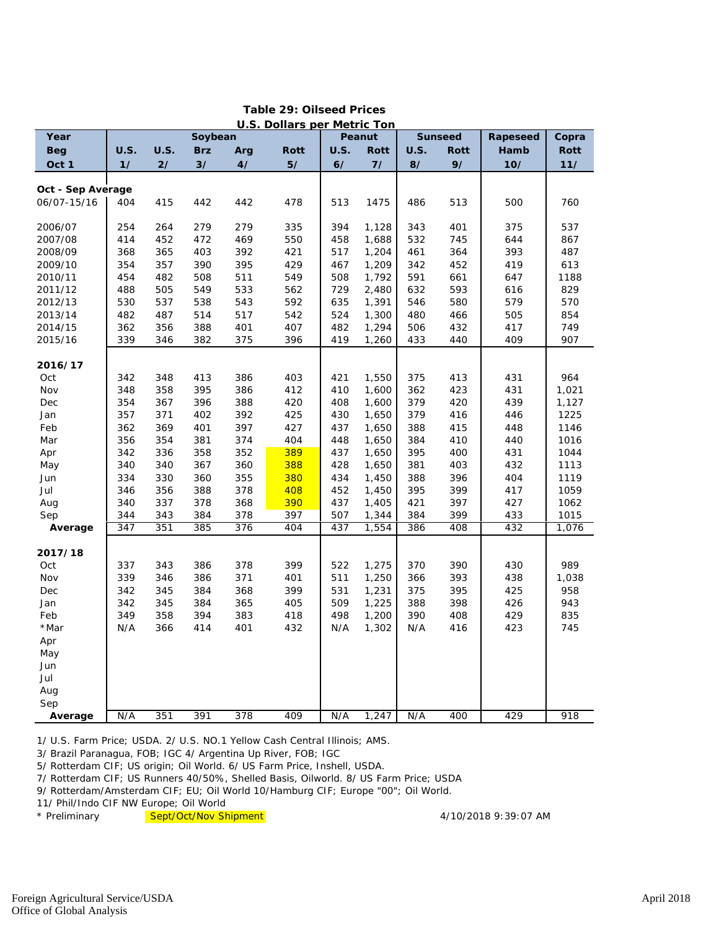|                   | <b>U.S. Dollars per Metric Ton</b> |             |            |                  |             |             |             |                |             |       |       |  |  |
|-------------------|------------------------------------|-------------|------------|------------------|-------------|-------------|-------------|----------------|-------------|-------|-------|--|--|
| Year              | Soybean                            |             |            |                  |             | Peanut      |             | <b>Sunseed</b> | Rapeseed    | Copra |       |  |  |
| <b>Beg</b>        | <b>U.S.</b>                        | <b>U.S.</b> | <b>Brz</b> | Arg              | <b>Rott</b> | <b>U.S.</b> | <b>Rott</b> | <b>U.S.</b>    | <b>Rott</b> | Hamb  | Rott  |  |  |
| Oct 1             | 1/                                 | 2/          | 3/         | 4/               | 5/          | 6/          | 7/          | 8/             | 9/          | 10/   | 11/   |  |  |
|                   |                                    |             |            |                  |             |             |             |                |             |       |       |  |  |
| Oct - Sep Average |                                    |             |            |                  |             |             |             |                |             |       |       |  |  |
| 06/07-15/16       | 404                                | 415         | 442        | 442              | 478         | 513         | 1475        | 486            | 513         | 500   | 760   |  |  |
| 2006/07           | 254                                | 264         | 279        | 279              | 335         | 394         | 1,128       | 343            | 401         | 375   | 537   |  |  |
| 2007/08           | 414                                | 452         | 472        | 469              | 550         | 458         | 1,688       | 532            | 745         | 644   | 867   |  |  |
| 2008/09           | 368                                | 365         | 403        | 392              | 421         | 517         | 1,204       | 461            | 364         | 393   | 487   |  |  |
| 2009/10           | 354                                | 357         | 390        | 395              | 429         | 467         | 1,209       | 342            | 452         | 419   | 613   |  |  |
| 2010/11           | 454                                | 482         | 508        | 511              | 549         | 508         | 1,792       | 591            | 661         | 647   | 1188  |  |  |
| 2011/12           | 488                                | 505         | 549        | 533              | 562         | 729         | 2,480       | 632            | 593         | 616   | 829   |  |  |
|                   |                                    | 537         | 538        |                  |             |             |             |                |             |       | 570   |  |  |
| 2012/13           | 530                                |             |            | 543              | 592         | 635         | 1,391       | 546            | 580         | 579   |       |  |  |
| 2013/14           | 482                                | 487         | 514        | 517              | 542         | 524         | 1,300       | 480            | 466         | 505   | 854   |  |  |
| 2014/15           | 362                                | 356         | 388        | 401              | 407         | 482         | 1,294       | 506            | 432         | 417   | 749   |  |  |
| 2015/16           | 339                                | 346         | 382        | 375              | 396         | 419         | 1,260       | 433            | 440         | 409   | 907   |  |  |
| 2016/17           |                                    |             |            |                  |             |             |             |                |             |       |       |  |  |
| Oct               | 342                                | 348         | 413        | 386              | 403         | 421         | 1,550       | 375            | 413         | 431   | 964   |  |  |
| Nov               | 348                                | 358         | 395        | 386              | 412         | 410         | 1,600       | 362            | 423         | 431   | 1,021 |  |  |
| Dec               | 354                                | 367         | 396        | 388              | 420         | 408         | 1,600       | 379            | 420         | 439   | 1,127 |  |  |
|                   |                                    |             |            |                  |             |             |             |                |             |       |       |  |  |
| Jan               | 357                                | 371         | 402        | 392              | 425         | 430         | 1,650       | 379            | 416         | 446   | 1225  |  |  |
| Feb               | 362                                | 369         | 401        | 397              | 427         | 437         | 1,650       | 388            | 415         | 448   | 1146  |  |  |
| Mar               | 356                                | 354         | 381        | 374              | 404         | 448         | 1,650       | 384            | 410         | 440   | 1016  |  |  |
| Apr               | 342                                | 336         | 358        | 352              | 389         | 437         | 1,650       | 395            | 400         | 431   | 1044  |  |  |
| May               | 340                                | 340         | 367        | 360              | 388         | 428         | 1,650       | 381            | 403         | 432   | 1113  |  |  |
| Jun               | 334                                | 330         | 360        | 355              | 380         | 434         | 1,450       | 388            | 396         | 404   | 1119  |  |  |
| Jul               | 346                                | 356         | 388        | 378              | 408         | 452         | 1,450       | 395            | 399         | 417   | 1059  |  |  |
| Aug               | 340                                | 337         | 378        | 368              | 390         | 437         | 1,405       | 421            | 397         | 427   | 1062  |  |  |
| Sep               | 344                                | 343         | 384        | 378              | 397         | 507         | 1,344       | 384            | 399         | 433   | 1015  |  |  |
| Average           | 347                                | 351         | 385        | 376              | 404         | 437         | 1,554       | 386            | 408         | 432   | 1,076 |  |  |
| 2017/18           |                                    |             |            |                  |             |             |             |                |             |       |       |  |  |
| Oct               | 337                                | 343         | 386        | 378              | 399         | 522         | 1,275       | 370            | 390         | 430   | 989   |  |  |
| Nov               | 339                                | 346         | 386        | 371              | 401         | 511         | 1,250       | 366            | 393         | 438   | 1,038 |  |  |
| Dec               | 342                                | 345         | 384        | 368              | 399         | 531         | 1,231       | 375            | 395         | 425   | 958   |  |  |
|                   |                                    |             |            |                  |             |             |             |                |             |       |       |  |  |
| Jan               | 342                                | 345         | 384        | 365              | 405         | 509         | 1,225       | 388            | 398         | 426   | 943   |  |  |
| Feb               | 349                                | 358         | 394        | 383              | 418         | 498         | 1,200       | 390            | 408         | 429   | 835   |  |  |
| *Mar              | N/A                                | 366         | 414        | 401              | 432         | N/A         | 1,302       | N/A            | 416         | 423   | 745   |  |  |
| Apr               |                                    |             |            |                  |             |             |             |                |             |       |       |  |  |
| May               |                                    |             |            |                  |             |             |             |                |             |       |       |  |  |
| Jun               |                                    |             |            |                  |             |             |             |                |             |       |       |  |  |
| Jul               |                                    |             |            |                  |             |             |             |                |             |       |       |  |  |
| Aug               |                                    |             |            |                  |             |             |             |                |             |       |       |  |  |
| Sep               |                                    |             |            |                  |             |             |             |                |             |       |       |  |  |
| Average           | N/A                                | 351         | 391        | $\overline{378}$ | 409         | N/A         | 1,247       | N/A            | 400         | 429   | 918   |  |  |

## **Table 29: Oilseed Prices**

1/ U.S. Farm Price; USDA. 2/ U.S. NO.1 Yellow Cash Central Illinois; AMS.

3/ Brazil Paranagua, FOB; IGC 4/ Argentina Up River, FOB; IGC

5/ Rotterdam CIF; US origin; Oil World. 6/ US Farm Price, Inshell, USDA.

7/ Rotterdam CIF; US Runners 40/50%, Shelled Basis, Oilworld. 8/ US Farm Price; USDA

9/ Rotterdam/Amsterdam CIF; EU; Oil World 10/Hamburg CIF; Europe "00"; Oil World.

11/ Phil/Indo CIF NW Europe; Oil World

\* Preliminary and Sept/Oct/Nov Shipment **Accord 100 and Accord 4/10/2018** 9:39:07 AM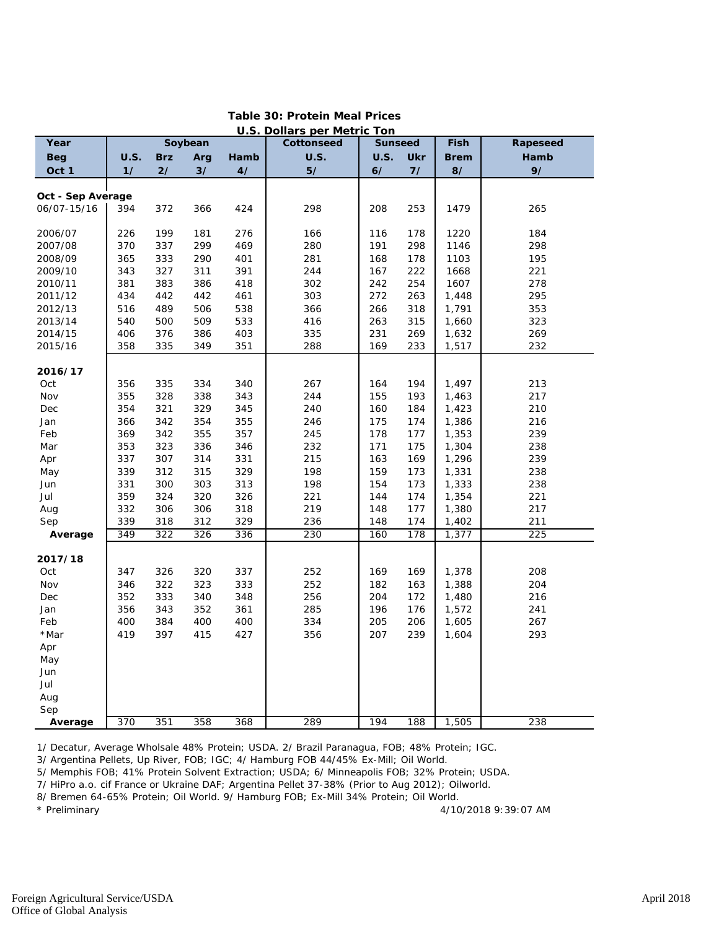| <b>U.S. Dollars per Metric Ton</b> |             |            |         |      |             |                |            |             |          |  |  |
|------------------------------------|-------------|------------|---------|------|-------------|----------------|------------|-------------|----------|--|--|
| Year                               |             |            | Soybean |      | Cottonseed  | <b>Sunseed</b> |            | Fish        | Rapeseed |  |  |
| <b>Beg</b>                         | <b>U.S.</b> | <b>Brz</b> | Arg     | Hamb | <b>U.S.</b> | <b>U.S.</b>    | <b>Ukr</b> | <b>Brem</b> | Hamb     |  |  |
| Oct 1                              | 1/          | 2/         | 3/      | 4/   | 5/          | 6/             | 7/         | 8/          | 9/       |  |  |
|                                    |             |            |         |      |             |                |            |             |          |  |  |
| Oct - Sep Average                  |             |            |         |      |             |                |            |             |          |  |  |
| 06/07-15/16                        | 394         | 372        | 366     | 424  | 298         | 208            | 253        | 1479        | 265      |  |  |
|                                    |             |            |         |      |             |                |            |             |          |  |  |
| 2006/07                            | 226         | 199        | 181     | 276  | 166         | 116            | 178        | 1220        | 184      |  |  |
| 2007/08                            | 370         | 337        | 299     | 469  | 280         | 191            | 298        | 1146        | 298      |  |  |
| 2008/09                            | 365         | 333        | 290     | 401  | 281         | 168            | 178        | 1103        | 195      |  |  |
| 2009/10                            | 343         | 327        | 311     | 391  | 244         | 167            | 222        | 1668        | 221      |  |  |
| 2010/11                            | 381         | 383        | 386     | 418  | 302         | 242            | 254        | 1607        | 278      |  |  |
| 2011/12                            | 434         | 442        | 442     | 461  | 303         | 272            | 263        | 1,448       | 295      |  |  |
| 2012/13                            | 516         | 489        | 506     | 538  | 366         | 266            | 318        | 1,791       | 353      |  |  |
| 2013/14                            | 540         | 500        | 509     | 533  | 416         | 263            | 315        | 1,660       | 323      |  |  |
| 2014/15                            | 406         | 376        | 386     | 403  | 335         | 231            | 269        | 1,632       | 269      |  |  |
| 2015/16                            | 358         | 335        | 349     | 351  | 288         | 169            | 233        | 1,517       | 232      |  |  |
|                                    |             |            |         |      |             |                |            |             |          |  |  |
| 2016/17                            |             |            |         |      |             |                |            |             |          |  |  |
| Oct                                | 356         | 335        | 334     | 340  | 267         | 164            | 194        | 1,497       | 213      |  |  |
| Nov                                | 355         | 328        | 338     | 343  | 244         | 155            | 193        | 1,463       | 217      |  |  |
| Dec                                | 354         | 321        | 329     | 345  | 240         | 160            | 184        | 1,423       | 210      |  |  |
| Jan                                | 366         | 342        | 354     | 355  | 246         | 175            | 174        | 1,386       | 216      |  |  |
| Feb                                | 369         | 342        | 355     | 357  | 245         | 178            | 177        | 1,353       | 239      |  |  |
| Mar                                | 353         | 323        | 336     | 346  | 232         | 171            | 175        | 1,304       | 238      |  |  |
| Apr                                | 337         | 307        | 314     | 331  | 215         | 163            | 169        | 1,296       | 239      |  |  |
| May                                | 339         | 312        | 315     | 329  | 198         | 159            | 173        | 1,331       | 238      |  |  |
| Jun                                | 331         | 300        | 303     | 313  | 198         | 154            | 173        | 1,333       | 238      |  |  |
| Jul                                | 359         | 324        | 320     | 326  | 221         | 144            | 174        | 1,354       | 221      |  |  |
| Aug                                | 332         | 306        | 306     | 318  | 219         | 148            | 177        | 1,380       | 217      |  |  |
| Sep                                | 339         | 318        | 312     | 329  | 236         | 148            | 174        | 1,402       | 211      |  |  |
| Average                            | 349         | 322        | 326     | 336  | 230         | 160            | 178        | 1,377       | 225      |  |  |
|                                    |             |            |         |      |             |                |            |             |          |  |  |
| 2017/18                            |             |            |         |      |             |                |            |             |          |  |  |
| Oct                                | 347         | 326        | 320     | 337  | 252         | 169            | 169        | 1,378       | 208      |  |  |
| Nov                                | 346         | 322        | 323     | 333  | 252         | 182            | 163        | 1,388       | 204      |  |  |
| Dec                                | 352         | 333        | 340     | 348  | 256         | 204            | 172        | 1,480       | 216      |  |  |
| Jan                                | 356         | 343        | 352     | 361  | 285         | 196            | 176        | 1,572       | 241      |  |  |
| Feb                                | 400         | 384        | 400     | 400  | 334         | 205            | 206        | 1,605       | 267      |  |  |
| *Mar                               | 419         | 397        | 415     | 427  | 356         | 207            | 239        | 1,604       | 293      |  |  |
| Apr                                |             |            |         |      |             |                |            |             |          |  |  |
| May                                |             |            |         |      |             |                |            |             |          |  |  |
| Jun                                |             |            |         |      |             |                |            |             |          |  |  |
| Jul                                |             |            |         |      |             |                |            |             |          |  |  |
| Aug                                |             |            |         |      |             |                |            |             |          |  |  |
| Sep                                |             |            |         |      |             |                |            |             |          |  |  |
| Average                            | 370         | 351        | 358     | 368  | 289         | 194            | 188        | 1,505       | 238      |  |  |

## **Table 30: Protein Meal Prices**

1/ Decatur, Average Wholsale 48% Protein; USDA. 2/ Brazil Paranagua, FOB; 48% Protein; IGC.

3/ Argentina Pellets, Up River, FOB; IGC; 4/ Hamburg FOB 44/45% Ex-Mill; Oil World.

5/ Memphis FOB; 41% Protein Solvent Extraction; USDA; 6/ Minneapolis FOB; 32% Protein; USDA.

7/ HiPro a.o. cif France or Ukraine DAF; Argentina Pellet 37-38% (Prior to Aug 2012); Oilworld.

8/ Bremen 64-65% Protein; Oil World. 9/ Hamburg FOB; Ex-Mill 34% Protein; Oil World.

4/10/2018 9:39:07 AM